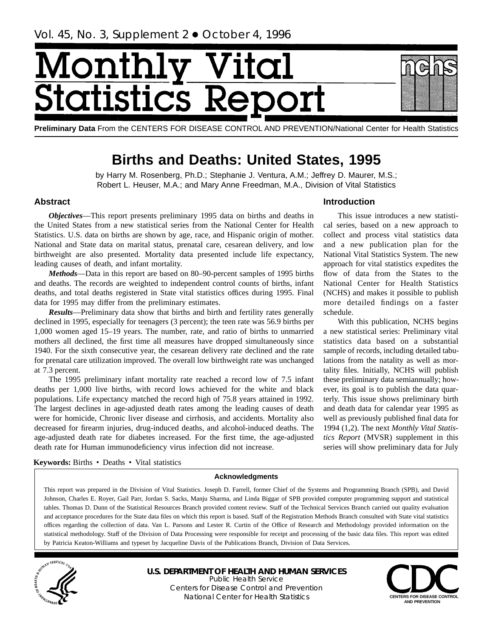# <span id="page-0-0"></span>Monthl itatistics F

**Preliminary Data** From the CENTERS FOR DISEASE CONTROL AND PREVENTION/National Center for Health Statistics

# **Births and Deaths: United States, 1995**

by Harry M. Rosenberg, Ph.D.; Stephanie J. Ventura, A.M.; Jeffrey D. Maurer, M.S.; Robert L. Heuser, M.A.; and Mary Anne Freedman, M.A., Division of Vital Statistics

# **Abstract**

*Objectives*—This report presents preliminary 1995 data on births and deaths in the United States from a new statistical series from the National Center for Health Statistics. U.S. data on births are shown by age, race, and Hispanic origin of mother. National and State data on marital status, prenatal care, cesarean delivery, and low birthweight are also presented. Mortality data presented include life expectancy, leading causes of death, and infant mortality.

*Methods*—Data in this report are based on 80–90-percent samples of 1995 births and deaths. The records are weighted to independent control counts of births, infant deaths, and total deaths registered in State vital statistics offices during 1995. Final data for 1995 may differ from the preliminary estimates.

*Results*—Preliminary data show that births and birth and fertility rates generally declined in 1995, especially for teenagers (3 percent); the teen rate was 56.9 births per 1,000 women aged 15–19 years. The number, rate, and ratio of births to unmarried mothers all declined, the first time all measures have dropped simultaneously since 1940. For the sixth consecutive year, the cesarean delivery rate declined and the rate for prenatal care utilization improved. The overall low birthweight rate was unchanged at 7.3 percent.

The 1995 preliminary infant mortality rate reached a record low of 7.5 infant deaths per 1,000 live births, with record lows achieved for the white and black populations. Life expectancy matched the record high of 75.8 years attained in 1992. The largest declines in age-adjusted death rates among the leading causes of death were for homicide, Chronic liver disease and cirrhosis, and accidents. Mortality also decreased for firearm injuries, drug-induced deaths, and alcohol-induced deaths. The age-adjusted death rate for diabetes increased. For the first time, the age-adjusted death rate for Human immunodeficiency virus infection did not increase.

# **Introduction**

This issue introduces a new statistical series, based on a new approach to collect and process vital statistics data and a new publication plan for the National Vital Statistics System. The new approach for vital statistics expedites the flow of data from the States to the National Center for Health Statistics (NCHS) and makes it possible to publish more detailed findings on a faster schedule.

With this publication, NCHS begins a new statistical series: Preliminary vital statistics data based on a substantial sample of records, including detailed tabulations from the natality as well as mortality files. Initially, NCHS will publish these preliminary data semiannually; however, its goal is to publish the data quarterly. This issue shows preliminary birth and death data for calendar year 1995 as well as previously published final data for 1994 (1,2). The next *Monthly Vital Statistics Report* (MVSR) supplement in this series will show preliminary data for July

Keywords: Births · Deaths · Vital statistics

# **Acknowledgments**

This report was prepared in the Division of Vital Statistics. Joseph D. Farrell, former Chief of the Systems and Programming Branch (SPB), and David Johnson, Charles E. Royer, Gail Parr, Jordan S. Sacks, Manju Sharma, and Linda Biggar of SPB provided computer programming support and statistical tables. Thomas D. Dunn of the Statistical Resources Branch provided content review. Staff of the Technical Services Branch carried out quality evaluation and acceptance procedures for the State data files on which this report is based. Staff of the Registration Methods Branch consulted with State vital statistics offices regarding the collection of data. Van L. Parsons and Lester R. Curtin of the Office of Research and Methodology provided information on the statistical methodology. Staff of the Division of Data Processing were responsible for receipt and processing of the basic data files. This report was edited by Patricia Keaton-Williams and typeset by Jacqueline Davis of the Publications Branch, Division of Data Services.



**U.S. DEPARTMENT OF HEALTH AND HUMAN SERVICES** Public Health Service Centers for Disease Control and Prevention National Center for Health Statistics **CENTERS FOR DISEASE CONTROL** 

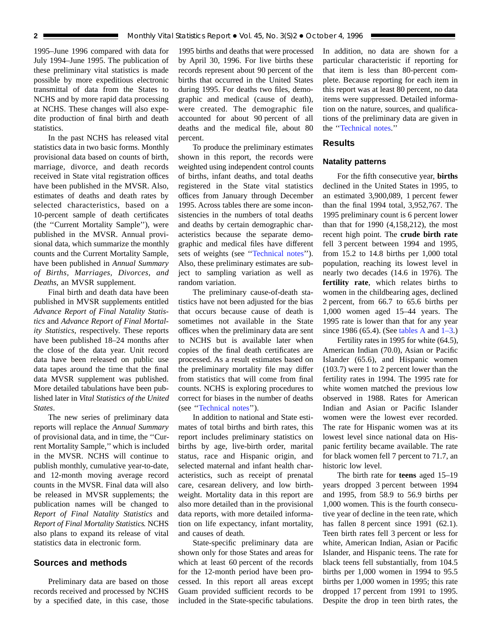<span id="page-1-0"></span>1995–June 1996 compared with data for July 1994–June 1995. The publication of these preliminary vital statistics is made possible by more expeditious electronic transmittal of data from the States to NCHS and by more rapid data processing at NCHS. These changes will also expedite production of final birth and death statistics.

In the past NCHS has released vital statistics data in two basic forms. Monthly provisional data based on counts of birth, marriage, divorce, and death records received in State vital registration offices have been published in the MVSR. Also, estimates of deaths and death rates by selected characteristics, based on a 10-percent sample of death certificates (the ''Current Mortality Sample''), were published in the MVSR. Annual provisional data, which summarize the monthly counts and the Current Mortality Sample, have been published in *Annual Summary of Births, Marriages, Divorces, and Deaths*, an MVSR supplement.

Final birth and death data have been published in MVSR supplements entitled *Advance Report of Final Natality Statistics* and *Advance Report of Final Mortality Statistics*, respectively. These reports have been published 18–24 months after the close of the data year. Unit record data have been released on public use data tapes around the time that the final data MVSR supplement was published. More detailed tabulations have been published later in *Vital Statistics of the United States*.

The new series of preliminary data reports will replace the *Annual Summary* of provisional data, and in time, the ''Current Mortality Sample,'' which is included in the MVSR. NCHS will continue to publish monthly, cumulative year-to-date, and 12-month moving average record counts in the MVSR. Final data will also be released in MVSR supplements; the publication names will be changed to *Report of Final Natality Statistics* and *Report of Final Mortality Statistics*. NCHS also plans to expand its release of vital statistics data in electronic form.

# **Sources and methods**

Preliminary data are based on those records received and processed by NCHS by a specified date, in this case, those

1995 births and deaths that were processed by April 30, 1996. For live births these records represent about 90 percent of the births that occurred in the United States during 1995. For deaths two files, demographic and medical (cause of death), were created. The demographic file accounted for about 90 percent of all deaths and the medical file, about 80 percent.

To produce the preliminary estimates shown in this report, the records were weighted using independent control counts of births, infant deaths, and total deaths registered in the State vital statistics offices from January through December 1995. Across tables there are some inconsistencies in the numbers of total deaths and deaths by certain demographic characteristics because the separate demographic and medical files have different sets of weights (see [''Technical notes''](#page-34-0)). Also, these preliminary estimates are subject to sampling variation as well as random variation.

The preliminary cause-of-death statistics have not been adjusted for the bias that occurs because cause of death is sometimes not available in the State offices when the preliminary data are sent to NCHS but is available later when copies of the final death certificates are processed. As a result estimates based on the preliminary mortality file may differ from statistics that will come from final counts. NCHS is exploring procedures to correct for biases in the number of deaths (see [''Technical notes'](#page-34-0)').

In addition to national and State estimates of total births and birth rates, this report includes preliminary statistics on births by age, live-birth order, marital status, race and Hispanic origin, and selected maternal and infant health characteristics, such as receipt of prenatal care, cesarean delivery, and low birthweight. Mortality data in this report are also more detailed than in the provisional data reports, with more detailed information on life expectancy, infant mortality, and causes of death.

State-specific preliminary data are shown only for those States and areas for which at least 60 percent of the records for the 12-month period have been processed. In this report all areas except Guam provided sufficient records to be included in the State-specific tabulations.

In addition, no data are shown for a particular characteristic if reporting for that item is less than 80-percent complete. Because reporting for each item in this report was at least 80 percent, no data items were suppressed. Detailed information on the nature, sources, and qualifications of the preliminary data are given in the '['Technical notes.](#page-34-0)''

# **Results**

#### **Natality patterns**

For the fifth consecutive year, **births** declined in the United States in 1995, to an estimated 3,900,089, 1 percent fewer than the final 1994 total, 3,952,767. The 1995 preliminary count is 6 percent lower than that for 1990 (4,158,212), the most recent high point. The **crude birth rate** fell 3 percent between 1994 and 1995, from 15.2 to 14.8 births per 1,000 total population, reaching its lowest level in nearly two decades (14.6 in 1976). The **fertility rate**, which relates births to women in the childbearing ages, declined 2 percent, from 66.7 to 65.6 births per 1,000 women aged 15–44 years. The 1995 rate is lower than that for any year since 1986 (65.4). (See [tables A](#page-2-0) and  $1-3$ .)

Fertility rates in 1995 for white (64.5), American Indian (70.0), Asian or Pacific Islander (65.6), and Hispanic women (103.7) were 1 to 2 percent lower than the fertility rates in 1994. The 1995 rate for white women matched the previous low observed in 1988. Rates for American Indian and Asian or Pacific Islander women were the lowest ever recorded. The rate for Hispanic women was at its lowest level since national data on Hispanic fertility became available. The rate for black women fell 7 percent to 71.7, an historic low level.

The birth rate for **teens** aged 15–19 years dropped 3 percent between 1994 and 1995, from 58.9 to 56.9 births per 1,000 women. This is the fourth consecutive year of decline in the teen rate, which has fallen 8 percent since 1991 (62.1). Teen birth rates fell 3 percent or less for white, American Indian, Asian or Pacific Islander, and Hispanic teens. The rate for black teens fell substantially, from 104.5 births per 1,000 women in 1994 to 95.5 births per 1,000 women in 1995; this rate dropped 17 percent from 1991 to 1995. Despite the drop in teen birth rates, the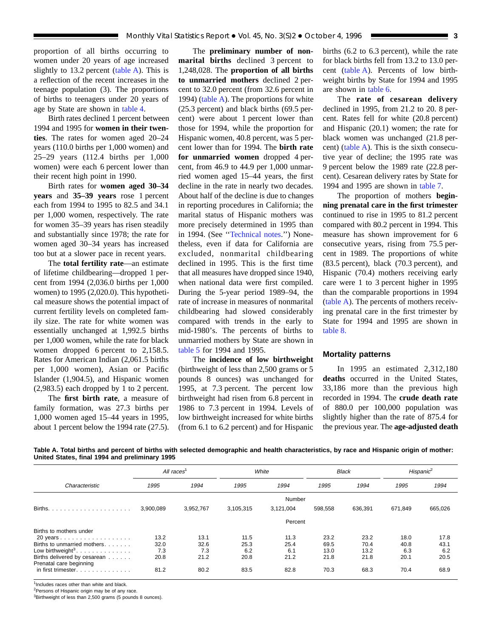<span id="page-2-0"></span>proportion of all births occurring to women under 20 years of age increased slightly to 13.2 percent (table A). This is a reflection of the recent increases in the teenage population (3). The proportions of births to teenagers under 20 years of age by State are shown in [table 4.](#page-9-0)

Birth rates declined 1 percent between 1994 and 1995 for **women in their twenties**. The rates for women aged 20–24 years (110.0 births per 1,000 women) and 25–29 years (112.4 births per 1,000 women) were each 6 percent lower than their recent high point in 1990.

Birth rates for **women aged 30–34 years** and **35–39 years** rose 1 percent each from 1994 to 1995 to 82.5 and 34.1 per 1,000 women, respectively. The rate for women 35–39 years has risen steadily and substantially since 1978; the rate for women aged 30–34 years has increased too but at a slower pace in recent years.

The **total fertility rate**—an estimate of lifetime childbearing—dropped 1 percent from 1994 (2,036.0 births per 1,000 women) to 1995 (2,020.0). This hypothetical measure shows the potential impact of current fertility levels on completed family size. The rate for white women was essentially unchanged at 1,992.5 births per 1,000 women, while the rate for black women dropped 6 percent to 2,158.5. Rates for American Indian (2,061.5 births per 1,000 women), Asian or Pacific Islander (1,904.5), and Hispanic women (2,983.5) each dropped by 1 to 2 percent.

The **first birth rate**, a measure of family formation, was 27.3 births per 1,000 women aged 15–44 years in 1995, about 1 percent below the 1994 rate (27.5).

The **preliminary number of nonmarital births** declined 3 percent to 1,248,028. The **proportion of all births to unmarried mothers** declined 2 percent to 32.0 percent (from 32.6 percent in 1994) (table  $\overline{A}$ ). The proportions for white (25.3 percent) and black births (69.5 percent) were about 1 percent lower than those for 1994, while the proportion for Hispanic women, 40.8 percent, was 5 percent lower than for 1994. The **birth rate for unmarried women** dropped 4 percent, from 46.9 to 44.9 per 1,000 unmarried women aged 15–44 years, the first decline in the rate in nearly two decades. About half of the decline is due to changes in reporting procedures in California; the marital status of Hispanic mothers was more precisely determined in 1995 than in 1994. (See [''Technical notes.'](#page-34-0)') Nonetheless, even if data for California are excluded, nonmarital childbearing declined in 1995. This is the first time that all measures have dropped since 1940, when national data were first compiled. During the 5-year period 1989–94, the rate of increase in measures of nonmarital childbearing had slowed considerably compared with trends in the early to mid-1980's. The percents of births to unmarried mothers by State are shown in [table 5](#page-10-0) for 1994 and 1995.

The **incidence of low birthweight** (birthweight of less than 2,500 grams or 5 pounds 8 ounces) was unchanged for 1995, at 7.3 percent. The percent low birthweight had risen from 6.8 percent in 1986 to 7.3 percent in 1994. Levels of low birthweight increased for white births (from 6.1 to 6.2 percent) and for Hispanic births (6.2 to 6.3 percent), while the rate for black births fell from 13.2 to 13.0 percent (table A). Percents of low birthweight births by State for 1994 and 1995 are shown in [table 6.](#page-11-0)

The **rate of cesarean delivery** declined in 1995, from 21.2 to 20. 8 percent. Rates fell for white (20.8 percent) and Hispanic (20.1) women; the rate for black women was unchanged (21.8 percent) (table A). This is the sixth consecutive year of decline; the 1995 rate was 9 percent below the 1989 rate (22.8 percent). Cesarean delivery rates by State for 1994 and 1995 are shown in [table 7](#page-12-0).

The proportion of mothers **beginning prenatal care in the first trimester** continued to rise in 1995 to 81.2 percent compared with 80.2 percent in 1994. This measure has shown improvement for 6 consecutive years, rising from 75.5 percent in 1989. The proportions of white (83.5 percent), black (70.3 percent), and Hispanic (70.4) mothers receiving early care were 1 to 3 percent higher in 1995 than the comparable proportions in 1994 (table A). The percents of mothers receiving prenatal care in the first trimester by State for 1994 and 1995 are shown in [table 8.](#page-13-0)

# **Mortality patterns**

In 1995 an estimated 2,312,180 **deaths** occurred in the United States, 33,186 more than the previous high recorded in 1994. The **crude death rate** of 880.0 per 100,000 population was slightly higher than the rate of 875.4 for the previous year. The **age-adjusted death**

**Table A. Total births and percent of births with selected demographic and health characteristics, by race and Hispanic origin of mother: United States, final 1994 and preliminary 1995**

|                                                               | All races <sup>1</sup> |           |           | White     |         | <b>Black</b> |         | His panic <sup>2</sup> |
|---------------------------------------------------------------|------------------------|-----------|-----------|-----------|---------|--------------|---------|------------------------|
| Characteristic                                                | 1995                   | 1994      | 1995      | 1994      | 1995    | 1994         | 1995    | 1994                   |
|                                                               |                        |           |           | Number    |         |              |         |                        |
| Births.                                                       | 3.900.089              | 3,952,767 | 3,105,315 | 3.121.004 | 598.558 | 636.391      | 671.849 | 665,026                |
|                                                               |                        |           |           | Percent   |         |              |         |                        |
| Births to mothers under                                       |                        |           |           |           |         |              |         |                        |
| 20 years                                                      | 13.2                   | 13.1      | 11.5      | 11.3      | 23.2    | 23.2         | 18.0    | 17.8                   |
| Births to unmarried mothers.                                  | 32.0                   | 32.6      | 25.3      | 25.4      | 69.5    | 70.4         | 40.8    | 43.1                   |
| Low birthweight <sup>3</sup>                                  | 7.3                    | 7.3       | 6.2       | 6.1       | 13.0    | 13.2         | 6.3     | 6.2                    |
| Births delivered by cesarean<br>Prenatal care beginning       | 20.8                   | 21.2      | 20.8      | 21.2      | 21.8    | 21.8         | 20.1    | 20.5                   |
| in first trimester. $\ldots$ , $\ldots$ , $\ldots$ , $\ldots$ | 81.2                   | 80.2      | 83.5      | 82.8      | 70.3    | 68.3         | 70.4    | 68.9                   |

 $1$ Includes races other than white and black.

<sup>2</sup>Persons of Hispanic origin may be of any race

<sup>3</sup>Birthweight of less than 2,500 grams (5 pounds 8 ounces).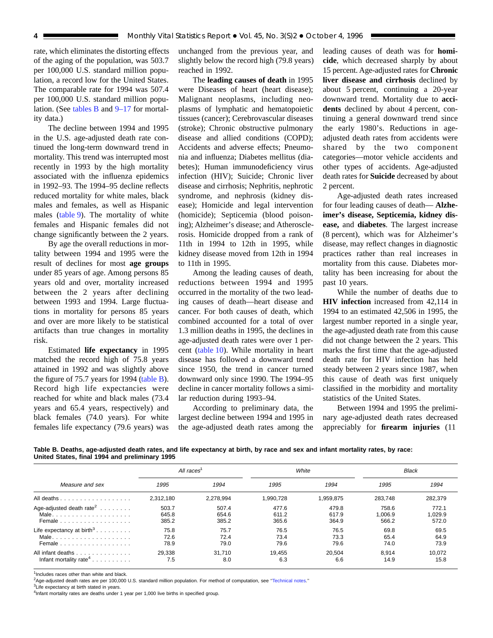<span id="page-3-0"></span>rate, which eliminates the distorting effects of the aging of the population, was 503.7 per 100,000 U.S. standard million population, a record low for the United States. The comparable rate for 1994 was 507.4 per 100,000 U.S. standard million population. (See tables B and [9–17](#page-14-0) for mortality data.)

The decline between 1994 and 1995 in the U.S. age-adjusted death rate continued the long-term downward trend in mortality. This trend was interrupted most recently in 1993 by the high mortality associated with the influenza epidemics in 1992–93. The 1994–95 decline reflects reduced mortality for white males, black males and females, as well as Hispanic males [\(table 9\)](#page-14-0). The mortality of white females and Hispanic females did not change significantly between the 2 years.

By age the overall reductions in mortality between 1994 and 1995 were the result of declines for most **age groups** under 85 years of age. Among persons 85 years old and over, mortality increased between the 2 years after declining between 1993 and 1994. Large fluctuations in mortality for persons 85 years and over are more likely to be statistical artifacts than true changes in mortality risk.

Estimated **life expectancy** in 1995 matched the record high of 75.8 years attained in 1992 and was slightly above the figure of 75.7 years for 1994 (table B). Record high life expectancies were reached for white and black males (73.4 years and 65.4 years, respectively) and black females (74.0 years). For white females life expectancy (79.6 years) was

unchanged from the previous year, and slightly below the record high (79.8 years) reached in 1992.

The **leading causes of death** in 1995 were Diseases of heart (heart disease); Malignant neoplasms, including neoplasms of lymphatic and hematopoietic tissues (cancer); Cerebrovascular diseases (stroke); Chronic obstructive pulmonary disease and allied conditions (COPD); Accidents and adverse effects; Pneumonia and influenza; Diabetes mellitus (diabetes); Human immunodeficiency virus infection (HIV); Suicide; Chronic liver disease and cirrhosis; Nephritis, nephrotic syndrome, and nephrosis (kidney disease); Homicide and legal intervention (homicide); Septicemia (blood poisoning); Alzheimer's disease; and Atherosclerosis. Homicide dropped from a rank of 11th in 1994 to 12th in 1995, while kidney disease moved from 12th in 1994 to 11th in 1995.

Among the leading causes of death, reductions between 1994 and 1995 occurred in the mortality of the two leading causes of death—heart disease and cancer. For both causes of death, which combined accounted for a total of over 1.3 million deaths in 1995, the declines in age-adjusted death rates were over 1 percent [\(table 10\)](#page-20-0). While mortality in heart disease has followed a downward trend since 1950, the trend in cancer turned downward only since 1990. The 1994–95 decline in cancer mortality follows a similar reduction during 1993–94.

According to preliminary data, the largest decline between 1994 and 1995 in the age-adjusted death rates among the

leading causes of death was for **homicide**, which decreased sharply by about 15 percent. Age-adjusted rates for **Chronic liver disease and cirrhosis** declined by about 5 percent, continuing a 20-year downward trend. Mortality due to **accidents** declined by about 4 percent, continuing a general downward trend since the early 1980's. Reductions in ageadjusted death rates from accidents were shared by the two component categories—motor vehicle accidents and other types of accidents. Age-adjusted death rates for **Suicide** decreased by about 2 percent.

Age-adjusted death rates increased for four leading causes of death— **Alzheimer's disease, Septicemia, kidney disease,** and **diabetes**. The largest increase (8 percent), which was for Alzheimer's disease, may reflect changes in diagnostic practices rather than real increases in mortality from this cause. Diabetes mortality has been increasing for about the past 10 years.

While the number of deaths due to **HIV infection** increased from 42,114 in 1994 to an estimated 42,506 in 1995, the largest number reported in a single year, the age-adjusted death rate from this cause did not change between the 2 years. This marks the first time that the age-adjusted death rate for HIV infection has held steady between 2 years since 1987, when this cause of death was first uniquely classified in the morbidity and mortality statistics of the United States.

Between 1994 and 1995 the preliminary age-adjusted death rates decreased appreciably for **firearm injuries** (11

**Table B. Deaths, age-adjusted death rates, and life expectancy at birth, by race and sex and infant mortality rates, by race: United States, final 1994 and preliminary 1995**

|                                       |           | All races <sup>1</sup> |           | White     |         | <b>Black</b> |  |
|---------------------------------------|-----------|------------------------|-----------|-----------|---------|--------------|--|
| Measure and sex                       | 1995      | 1994                   | 1995      | 1994      | 1995    | 1994         |  |
| All deaths                            | 2.312.180 | 2.278.994              | 1,990,728 | 1,959,875 | 283.748 | 282.379      |  |
| Age-adjusted death rate <sup>2</sup>  | 503.7     | 507.4                  | 477.6     | 479.8     | 758.6   | 772.1        |  |
| Male                                  | 645.8     | 654.6                  | 611.2     | 617.9     | 1.006.9 | 1.029.9      |  |
|                                       | 385.2     | 385.2                  | 365.6     | 364.9     | 566.2   | 572.0        |  |
| Life expectancy at birth <sup>3</sup> | 75.8      | 75.7                   | 76.5      | 76.5      | 69.8    | 69.5         |  |
| Male                                  | 72.6      | 72.4                   | 73.4      | 73.3      | 65.4    | 64.9         |  |
| Female                                | 78.9      | 79.0                   | 79.6      | 79.6      | 74.0    | 73.9         |  |
| All infant deaths                     | 29.338    | 31.710                 | 19.455    | 20.504    | 8.914   | 10.072       |  |
| Infant mortality rate <sup>4</sup>    | 7.5       | 8.0                    | 6.3       | 6.6       | 14.9    | 15.8         |  |

<sup>1</sup>Includes races other than white and black

<sup>2</sup>Age-adjusted death rates are per 100,000 U.S. standard million population. For method of computation, see "Technical notes."

<sup>3</sup>Life expectancy at birth stated in years.

<sup>4</sup>Infant mortality rates are deaths under 1 year per 1,000 live births in specified group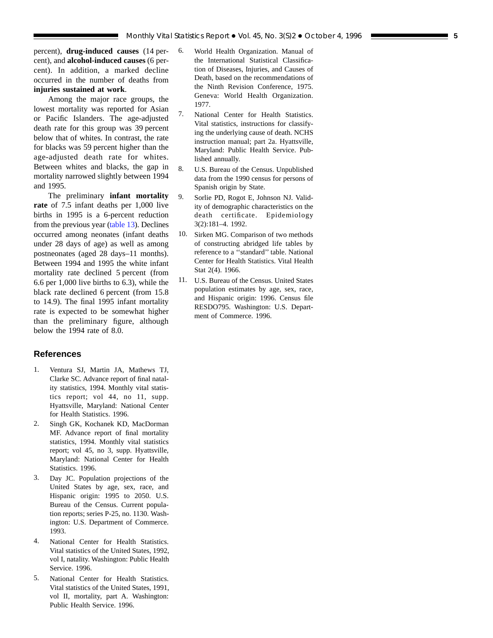<span id="page-4-0"></span>percent), **drug-induced causes** (14 percent), and **alcohol-induced causes** (6 percent). In addition, a marked decline occurred in the number of deaths from **injuries sustained at work**.

Among the major race groups, the lowest mortality was reported for Asian or Pacific Islanders. The age-adjusted death rate for this group was 39 percent below that of whites. In contrast, the rate for blacks was 59 percent higher than the age-adjusted death rate for whites. Between whites and blacks, the gap in mortality narrowed slightly between 1994 and 1995.

The preliminary **infant mortality rate** of 7.5 infant deaths per 1,000 live births in 1995 is a 6-percent reduction from the previous year [\(table 13\)](#page-25-0). Declines occurred among neonates (infant deaths under 28 days of age) as well as among postneonates (aged 28 days–11 months). Between 1994 and 1995 the white infant mortality rate declined 5 percent (from 6.6 per 1,000 live births to 6.3), while the black rate declined 6 percent (from 15.8 to 14.9). The final 1995 infant mortality rate is expected to be somewhat higher than the preliminary figure, although below the 1994 rate of 8.0.

# **References**

- 1. Ventura SJ, Martin JA, Mathews TJ, Clarke SC. Advance report of final natality statistics, 1994. Monthly vital statistics report; vol 44, no 11, supp. Hyattsville, Maryland: National Center for Health Statistics. 1996.
- 2. Singh GK, Kochanek KD, MacDorman MF. Advance report of final mortality statistics, 1994. Monthly vital statistics report; vol 45, no 3, supp. Hyattsville, Maryland: National Center for Health Statistics. 1996.
- 3. Day JC. Population projections of the United States by age, sex, race, and Hispanic origin: 1995 to 2050. U.S. Bureau of the Census. Current population reports; series P-25, no. 1130. Washington: U.S. Department of Commerce. 1993.
- 4. National Center for Health Statistics. Vital statistics of the United States, 1992, vol I, natality. Washington: Public Health Service. 1996.
- 5. National Center for Health Statistics. Vital statistics of the United States, 1991, vol II, mortality, part A. Washington: Public Health Service. 1996.
- 6. World Health Organization. Manual of the International Statistical Classification of Diseases, Injuries, and Causes of Death, based on the recommendations of the Ninth Revision Conference, 1975. Geneva: World Health Organization. 1977.
- 7. National Center for Health Statistics. Vital statistics, instructions for classifying the underlying cause of death. NCHS instruction manual; part 2a. Hyattsville, Maryland: Public Health Service. Published annually.
- 8. U.S. Bureau of the Census. Unpublished data from the 1990 census for persons of Spanish origin by State.
- 9. Sorlie PD, Rogot E, Johnson NJ. Validity of demographic characteristics on the death certificate. Epidemiology 3(2):181–4. 1992.
- 10. Sirken MG. Comparison of two methods of constructing abridged life tables by reference to a ''standard'' table. National Center for Health Statistics. Vital Health Stat 2(4). 1966.
- 11. U.S. Bureau of the Census. United States population estimates by age, sex, race, and Hispanic origin: 1996. Census file RESDO795. Washington: U.S. Department of Commerce. 1996.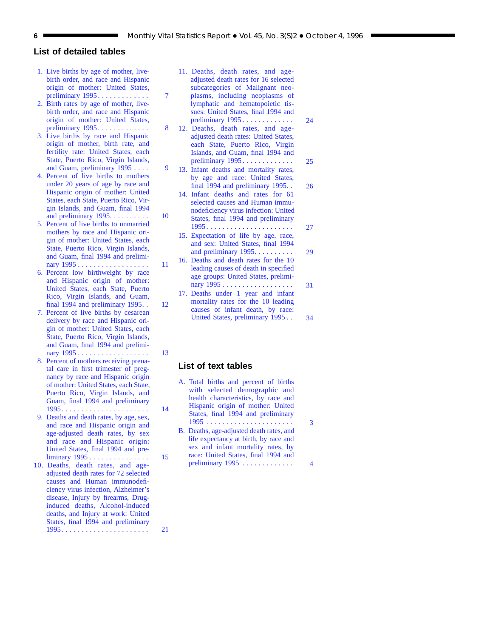# <span id="page-5-0"></span>**List of detailed tables**

- [1. Live births by age of mother, live](#page-6-0)birth order, and race and Hispanic origin of mother: United States, preliminary 1995 ............. 7
- [2. Birth rates by age of mother, live](#page-7-0)birth order, and race and Hispanic origin of mother: United States, preliminary 1995 ............. 8
- [3. Live births by race and Hispanic](#page-8-0) origin of mother, birth rate, and fertility rate: United States, each State, Puerto Rico, Virgin Islands, and Guam, preliminary 1995 .... 9
- [4. Percent of live births to mothers](#page-9-0) under 20 years of age by race and Hispanic origin of mother: United States, each State, Puerto Rico, Virgin Islands, and Guam, final 1994 and preliminary 1995. . . . . . . . . . . 10
- [5. Percent of live births to unmarried](#page-10-0) mothers by race and Hispanic origin of mother: United States, each State, Puerto Rico, Virgin Islands, and Guam, final 1994 and preliminary 1995 . . . . . . . . . . . . . . . . . . 11
- [6. Percent low birthweight by race](#page-11-0) and Hispanic origin of mother: United States, each State, Puerto Rico, Virgin Islands, and Guam, final 1994 and preliminary 1995. . 12
- [7. Percent of live births by cesarean](#page-12-0) delivery by race and Hispanic origin of mother: United States, each State, Puerto Rico, Virgin Islands, and Guam, final 1994 and preliminary 1995 . . . . . . . . . . . . . . . . . . 13
- [8. Percent of mothers receiving prena](#page-13-0)tal care in first trimester of pregnancy by race and Hispanic origin of mother: United States, each State, Puerto Rico, Virgin Islands, and Guam, final 1994 and preliminary 1995 . . . . . . . . . . . . . . . . . . . . . . 14
- [9. Deaths and death rates, by age, sex,](#page-14-0) and race and Hispanic origin and age-adjusted death rates, by sex and race and Hispanic origin: United States, final 1994 and preliminary 1995 . . . . . . . . . . . . . . . 15
- [10. Deaths, death rates, and age](#page-20-0)adjusted death rates for 72 selected causes and Human immunodeficiency virus infection, Alzheimer's disease, Injury by firearms, Druginduced deaths, Alcohol-induced deaths, and Injury at work: United States, final 1994 and preliminary 1995 . . . . . . . . . . . . . . . . . . . . . . 21
- [11. Deaths, death rates, and age](#page-23-0)adjusted death rates for 16 selected subcategories of Malignant neoplasms, including neoplasms of lymphatic and hematopoietic tissues: United States, final 1994 and preliminary 1995 ............. 24
- [12. Deaths, death rates, and age](#page-24-0)adjusted death rates: United States, each State, Puerto Rico, Virgin Islands, and Guam, final 1994 and preliminary 1995 ............. 25
- [13. Infant deaths and mortality rates,](#page-25-0) by age and race: United States, final 1994 and preliminary 1995. . 26
- [14. Infant deaths and rates for 61](#page-26-0) selected causes and Human immunodeficiency virus infection: United States, final 1994 and preliminary 1995 ...................... 27
- [15. Expectation of life by age, race,](#page-28-0) and sex: United States, final 1994 and preliminary 1995.......... 29
- [16. Deaths and death rates for the 10](#page-30-0) leading causes of death in specified age groups: United States, preliminary 1995 .................. 31
- [17. Deaths under 1 year and infant](#page-33-0) mortality rates for the 10 leading causes of infant death, by race: United States, preliminary 1995 . . 34
- 

# **List of text tables**

- [A. Total births and percent of births](#page-2-0) with selected demographic and health characteristics, by race and Hispanic origin of mother: United States, final 1994 and preliminary 1995 ...................... 3
- [B. Deaths, age-adjusted death rates, and](#page-3-0) life expectancy at birth, by race and sex and infant mortality rates, by race: United States, final 1994 and preliminary 1995 ............. 4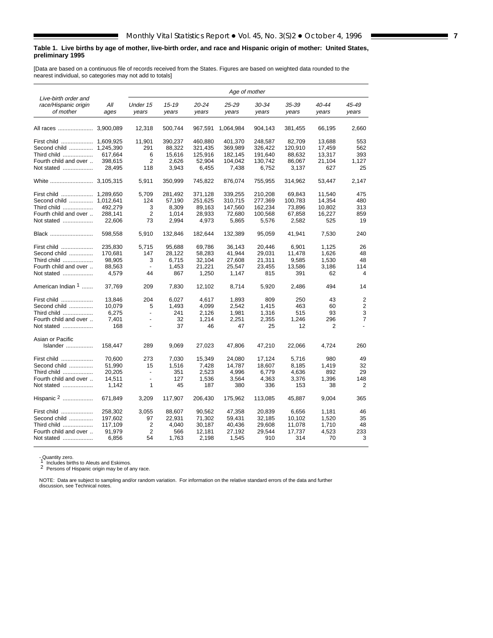## <span id="page-6-0"></span>**Table 1. Live births by age of mother, live-birth order, and race and Hispanic origin of mother: United States, preliminary 1995**

[Data are based on a continuous file of records received from the States. Figures are based on weighted data rounded to the nearest individual, so categories may not add to totals]

E

|                                                           |             | Age of mother            |                    |                |                |                |                |                |                |
|-----------------------------------------------------------|-------------|--------------------------|--------------------|----------------|----------------|----------------|----------------|----------------|----------------|
| Live-birth order and<br>race/Hispanic origin<br>of mother | All<br>ages | Under 15<br>years        | $15 - 19$<br>years | 20-24<br>years | 25-29<br>years | 30-34<br>years | 35-39<br>years | 40-44<br>years | 45-49<br>years |
| All races  3,900,089                                      |             | 12,318                   | 500,744            | 967,591        | 1,064,984      | 904,143        | 381,455        | 66,195         | 2,660          |
| First child  1,609,925                                    |             | 11,901                   | 390,237            | 460,880        | 401,370        | 248,587        | 82,709         | 13,688         | 553            |
| Second child  1,245,390                                   |             | 291                      | 88,322             | 321,435        | 369,989        | 326,422        | 120,910        | 17,459         | 562            |
| Third child                                               | 617,664     | 6                        | 15,616             | 125,916        | 182,145        | 191,640        | 88,632         | 13,317         | 393            |
| Fourth child and over                                     | 398,615     | 2                        | 2,626              | 52,904         | 104,042        | 130,742        | 86,067         | 21,104         | 1,127          |
|                                                           |             |                          |                    |                |                |                |                |                |                |
| Not stated                                                | 28,495      | 118                      | 3,943              | 6,455          | 7,438          | 6,752          | 3,137          | 627            | 25             |
|                                                           |             | 5,911                    | 350,999            | 745,822        | 876,074        | 755,955        | 314,962        | 53,447         | 2,147          |
|                                                           |             | 5,709                    | 281,492            | 371,128        | 339.255        | 210,208        | 69.843         | 11.540         | 475            |
| Second child  1,012,641                                   |             | 124                      | 57,190             | 251,625        | 310,715        | 277,369        | 100,783        | 14,354         | 480            |
| Third child                                               | 492,279     | 3                        | 8,309              | 89,163         | 147,560        | 162,234        | 73,896         | 10,802         | 313            |
| Fourth child and over                                     | 288,141     | 2                        | 1,014              | 28,933         | 72,680         | 100,568        | 67,858         | 16,227         | 859            |
| Not stated                                                | 22.606      | 73                       | 2,994              | 4,973          | 5,865          | 5,576          | 2,582          | 525            | 19             |
| Black                                                     | 598,558     | 5,910                    | 132,846            | 182,644        | 132,389        | 95,059         | 41,941         | 7,530          | 240            |
| First child                                               | 235,830     | 5,715                    | 95,688             | 69,786         | 36,143         | 20,446         | 6,901          | 1,125          | 26             |
| Second child                                              | 170,681     | 147                      | 28,122             | 58,283         | 41,944         | 29,031         | 11,478         | 1,626          | 48             |
| Third child                                               | 98,905      | 3                        | 6,715              | 32,104         | 27,608         | 21,311         | 9,585          | 1,530          | 48             |
| Fourth child and over                                     | 88,563      | $\overline{\phantom{a}}$ | 1,453              | 21,221         | 25,547         | 23,455         | 13,586         | 3,186          | 114            |
| Not stated                                                | 4,579       | 44                       | 867                | 1,250          | 1,147          | 815            | 391            | 62             | 4              |
| American Indian 1                                         | 37,769      | 209                      | 7,830              | 12,102         | 8,714          | 5,920          | 2,486          | 494            | 14             |
| First child                                               | 13,846      | 204                      | 6,027              | 4,617          | 1,893          | 809            | 250            | 43             | 2              |
| Second child                                              | 10,079      | 5                        | 1,493              | 4,099          | 2,542          | 1,415          | 463            | 60             | 2              |
| Third child                                               | 6,275       | $\blacksquare$           | 241                | 2,126          | 1,981          | 1,316          | 515            | 93             | 3              |
| Fourth child and over                                     | 7,401       | $\overline{\phantom{a}}$ | 32                 | 1,214          | 2,251          | 2,355          | 1,246          | 296            | $\overline{7}$ |
| Not stated                                                | 168         |                          | 37                 | 46             | 47             | 25             | 12             | 2              |                |
|                                                           |             |                          |                    |                |                |                |                |                |                |
| Asian or Pacific                                          |             |                          |                    |                |                |                |                |                |                |
| Islander                                                  | 158,447     | 289                      | 9,069              | 27,023         | 47,806         | 47,210         | 22,066         | 4,724          | 260            |
| First child                                               | 70,600      | 273                      | 7,030              | 15,349         | 24,080         | 17,124         | 5,716          | 980            | 49             |
| Second child                                              | 51,990      | 15                       | 1,516              | 7,428          | 14,787         | 18,607         | 8,185          | 1,419          | 32             |
| Third child                                               | 20,205      | $\blacksquare$           | 351                | 2,523          | 4,996          | 6,779          | 4,636          | 892            | 29             |
| Fourth child and over                                     | 14,511      | $\overline{a}$           | 127                | 1,536          | 3,564          | 4,363          | 3,376          | 1,396          | 148            |
| Not stated                                                | 1.142       | $\mathbf{1}$             | 45                 | 187            | 380            | 336            | 153            | 38             | 2              |
| Hispanic $2$                                              | 671,849     | 3,209                    | 117,907            | 206,430        | 175,962        | 113,085        | 45,887         | 9,004          | 365            |
| First child                                               | 258,302     | 3,055                    | 88,607             | 90,562         | 47,358         | 20,839         | 6,656          | 1,181          | 46             |
| Second child                                              | 197,602     | 97                       | 22,931             | 71,302         | 59,431         | 32,185         | 10,102         | 1,520          | 35             |
| Third child                                               | 117,109     | $\overline{2}$           | 4,040              | 30,187         | 40,436         | 29,608         | 11,078         | 1,710          | 48             |
|                                                           |             |                          |                    |                |                |                |                |                |                |
| Fourth child and over                                     | 91,979      | 2                        | 566                | 12,181         | 27,192         | 29,544         | 17,737         | 4,523          | 233            |
| Not stated                                                | 6,856       | 54                       | 1,763              | 2,198          | 1,545          | 910            | 314            | 70             | 3              |

- Quantity zero.<br>1 Includes births to Aleuts and Eskimos.<br>2 Persons of Hispanic origin may be of any race.

NOTE: Data are subject to sampling and/or random variation. For information on the relative standard errors of the data and further discussion, see Technical notes.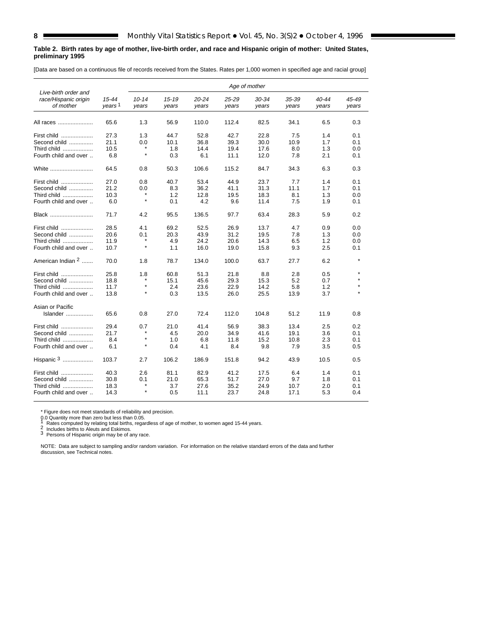#### <span id="page-7-0"></span>**Table 2. Birth rates by age of mother, live-birth order, and race and Hispanic origin of mother: United States, preliminary 1995**

[Data are based on a continuous file of records received from the States. Rates per 1,000 women in specified age and racial group]

|                                                           |                             |                    |                    |                |                | Age of mother  |                |                |                |
|-----------------------------------------------------------|-----------------------------|--------------------|--------------------|----------------|----------------|----------------|----------------|----------------|----------------|
| Live-birth order and<br>race/Hispanic origin<br>of mother | 15-44<br>years <sup>1</sup> | $10 - 14$<br>years | $15 - 19$<br>vears | 20-24<br>years | 25-29<br>years | 30-34<br>years | 35-39<br>years | 40-44<br>years | 45-49<br>years |
| All races                                                 | 65.6                        | 1.3                | 56.9               | 110.0          | 112.4          | 82.5           | 34.1           | 6.5            | 0.3            |
| First child                                               | 27.3                        | 1.3                | 44.7               | 52.8           | 42.7           | 22.8           | 7.5            | 1.4            | 0.1            |
| Second child                                              | 21.1                        | 0.0                | 10.1               | 36.8           | 39.3           | 30.0           | 10.9           | 1.7            | 0.1            |
| Third child                                               | 10.5                        | $^{\star}$         | 1.8                | 14.4           | 19.4           | 17.6           | 8.0            | 1.3            | 0.0            |
| Fourth child and over                                     | 6.8                         | $\star$            | 0.3                | 6.1            | 11.1           | 12.0           | 7.8            | 2.1            | 0.1            |
| White                                                     | 64.5                        | 0.8                | 50.3               | 106.6          | 115.2          | 84.7           | 34.3           | 6.3            | 0.3            |
| First child                                               | 27.0                        | 0.8                | 40.7               | 53.4           | 44.9           | 23.7           | 7.7            | 1.4            | 0.1            |
| Second child                                              | 21.2                        | 0.0                | 8.3                | 36.2           | 41.1           | 31.3           | 11.1           | 1.7            | 0.1            |
| Third child                                               | 10.3                        | *                  | 1.2                | 12.8           | 19.5           | 18.3           | 8.1            | 1.3            | 0.0            |
| Fourth child and over                                     | 6.0                         | $\star$            | 0.1                | 4.2            | 9.6            | 11.4           | 7.5            | 1.9            | 0.1            |
| Black                                                     | 71.7                        | 4.2                | 95.5               | 136.5          | 97.7           | 63.4           | 28.3           | 5.9            | 0.2            |
| First child                                               | 28.5                        | 4.1                | 69.2               | 52.5           | 26.9           | 13.7           | 4.7            | 0.9            | 0.0            |
| Second child                                              | 20.6                        | 0.1                | 20.3               | 43.9           | 31.2           | 19.5           | 7.8            | 1.3            | 0.0            |
| Third child                                               | 11.9                        | $\star$            | 4.9                | 24.2           | 20.6           | 14.3           | 6.5            | 1.2            | 0.0            |
| Fourth child and over                                     | 10.7                        | $\star$            | 1.1                | 16.0           | 19.0           | 15.8           | 9.3            | 2.5            | 0.1            |
| American Indian 2                                         | 70.0                        | 1.8                | 78.7               | 134.0          | 100.0          | 63.7           | 27.7           | 6.2            | $\star$        |
| First child                                               | 25.8                        | 1.8                | 60.8               | 51.3           | 21.8           | 8.8            | 2.8            | 0.5            |                |
| Second child                                              | 18.8                        | $\star$            | 15.1               | 45.6           | 29.3           | 15.3           | 5.2            | 0.7            |                |
| Third child                                               | 11.7                        | $\star$            | 2.4                | 23.6           | 22.9           | 14.2           | 5.8            | 1.2            |                |
| Fourth child and over                                     | 13.8                        | $\star$            | 0.3                | 13.5           | 26.0           | 25.5           | 13.9           | 3.7            |                |
|                                                           |                             |                    |                    |                |                |                |                |                |                |
| Asian or Pacific<br>Islander                              | 65.6                        | 0.8                | 27.0               | 72.4           | 112.0          | 104.8          | 51.2           | 11.9           | 0.8            |
|                                                           |                             |                    |                    |                |                |                |                |                |                |
| First child                                               | 29.4                        | 0.7                | 21.0               | 41.4           | 56.9           | 38.3           | 13.4           | 2.5            | 0.2            |
| Second child                                              | 21.7                        | $\star$            | 4.5                | 20.0           | 34.9           | 41.6           | 19.1           | 3.6            | 0.1            |
| Third child                                               | 8.4                         | $\star$            | 1.0                | 6.8            | 11.8           | 15.2           | 10.8           | 2.3            | 0.1            |
| Fourth child and over                                     | 6.1                         | $\star$            | 0.4                | 4.1            | 8.4            | 9.8            | 7.9            | 3.5            | 0.5            |
| Hispanic $3$                                              | 103.7                       | 2.7                | 106.2              | 186.9          | 151.8          | 94.2           | 43.9           | 10.5           | 0.5            |
| First child                                               | 40.3                        | 2.6                | 81.1               | 82.9           | 41.2           | 17.5           | 6.4            | 1.4            | 0.1            |
| Second child                                              | 30.8                        | 0.1                | 21.0               | 65.3           | 51.7           | 27.0           | 9.7            | 1.8            | 0.1            |
| Third child                                               | 18.3                        | $^{\star}$         | 3.7                | 27.6           | 35.2           | 24.9           | 10.7           | 2.0            | 0.1            |
| Fourth child and over                                     | 14.3                        | $\star$            | 0.5                | 11.1           | 23.7           | 24.8           | 17.1           | 5.3            | 0.4            |

\* Figure does not meet standards of reliability and precision.<br>
0.0 Quantity more than zero but less than 0.05.<br>
1 Rates computed by relating total births, regardless of age of mother, to women aged 15-44 years.<br>
2 Include

NOTE: Data are subject to sampling and/or random variation. For information on the relative standard errors of the data and further discussion, se[e Technical notes.](#page-34-0)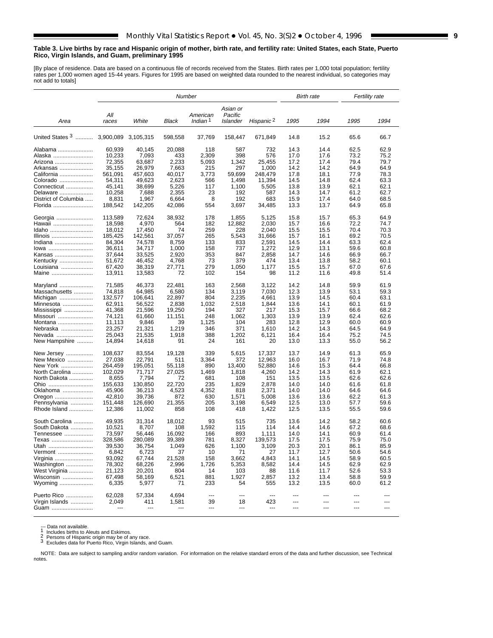#### <span id="page-8-0"></span>**Table 3. Live births by race and Hispanic origin of mother, birth rate, and fertility rate: United States, each State, Puerto Rico, Virgin Islands, and Guam, preliminary 1995**

[By place of residence. Data are based on a continuous file of records received from the States. Birth rates per 1,000 total population; fertility<br>rates per 1,000 women aged 15-44 years. Figures for 1995 are based on weigh

|                                      |                   |                   |                  | Number       |                     |                       |              | <b>Birth rate</b> |                | <b>Fertility rate</b> |
|--------------------------------------|-------------------|-------------------|------------------|--------------|---------------------|-----------------------|--------------|-------------------|----------------|-----------------------|
|                                      | Αll               |                   |                  | American     | Asian or<br>Pacific |                       |              |                   |                |                       |
| Area                                 | races             | White             | Black            | Indian 1     | Islander            | Hispanic <sup>2</sup> | 1995         | 1994              | 1995           | 1994                  |
| United States 3  3,900,089 3,105,315 |                   |                   | 598,558          | 37,769       | 158,447             | 671,849               | 14.8         | 15.2              | 65.6           | 66.7                  |
| Alabama                              | 60,939            | 40,145            | 20,088           | 118          | 587                 | 732                   | 14.3         | 14.4              | 62.5           | 62.9                  |
| Alaska                               | 10,233            | 7,093             | 433              | 2,309        | 398                 | 576                   | 17.0         | 17.6              | 73.2           | 75.2                  |
| Arizona                              | 72,355            | 63.687            | 2,233            | 5,093        | 1,342               | 25.455                | 17.2         | 17.4              | 79.4           | 79.7                  |
| Arkansas                             | 35,155            | 26,979            | 7,663            | 215          | 297                 | 1,000                 | 14.2         | 14.2              | 64.9           | 64.9                  |
| California                           | 561,091           | 457,603           | 40,017           | 3,773        | 59,699              | 248,479               | 17.8         | 18.1              | 77.9           | 78.3                  |
| Colorado                             | 54,311            | 49,623            | 2,623            | 566          | 1,498               | 11,394                | 14.5         | 14.8              | 62.4           | 63.3                  |
| Connecticut                          | 45,141<br>10,258  | 38,699<br>7,688   | 5,226<br>2,355   | 117<br>23    | 1,100<br>192        | 5,505<br>587          | 13.8<br>14.3 | 13.9<br>14.7      | 62.1<br>61.2   | 62.1<br>62.7          |
| Delaware<br>District of Columbia     | 8,831             | 1,967             | 6,664            | 8            | 192                 | 683                   | 15.9         | 17.4              | 64.0           | 68.5                  |
| Florida                              | 188,542           | 142,205           | 42,086           | 554          | 3,697               | 34,485                | 13.3         | 13.7              | 64.9           | 65.8                  |
|                                      |                   |                   |                  |              |                     |                       |              |                   |                |                       |
| Georgia                              | 113,589           | 72,624            | 38,932           | 178          | 1,855               | 5,125                 | 15.8         | 15.7              | 65.3           | 64.9                  |
| Hawaii                               | 18,598            | 4,970             | 564              | 182          | 12,882              | 2,030                 | 15.7         | 16.6              | 72.2           | 74.7                  |
| Idaho                                | 18,012            | 17,450            | 74               | 259          | 228                 | 2,040                 | 15.5         | 15.5              | 70.4           | 70.3                  |
| Illinois                             | 185.425           | 142.561           | 37.057           | 265          | 5.543               | 31,666                | 15.7         | 16.1              | 69.2           | 70.5                  |
| Indiana                              | 84,304            | 74,578            | 8,759            | 133          | 833                 | 2,591                 | 14.5         | 14.4              | 63.3           | 62.4                  |
| lowa<br>Kansas                       | 36,611<br>37,644  | 34,717<br>33,525  | 1,000<br>2,920   | 158<br>353   | 737<br>847          | 1,272<br>2,858        | 12.9<br>14.7 | 13.1<br>14.6      | 59.6<br>66.9   | 60.8<br>66.7          |
| Kentucky                             | 51.672            | 46,452            | 4.768            | 73           | 379                 | 474                   | 13.4         | 13.8              | 58.2           | 60.1                  |
| Louisiana                            | 67,420            | 38,319            | 27,771           | 279          | 1.050               | 1,177                 | 15.5         | 15.7              | 67.0           | 67.6                  |
| Maine                                | 13,911            | 13,583            | 72               | 102          | 154                 | 98                    | 11.2         | 11.6              | 49.8           | 51.4                  |
|                                      |                   |                   |                  |              |                     |                       |              |                   |                |                       |
| Maryland                             | 71,585            | 46,373            | 22.481           | 163          | 2,568               | 3,122                 | 14.2         | 14.8              | 59.9           | 61.9                  |
| Massachusetts                        | 74.818            | 64,985            | 6,580            | 134          | 3,119               | 7.030                 | 12.3         | 13.9              | 53.1           | 59.3                  |
| Michigan                             | 132,577           | 106,641           | 22.897           | 804          | 2,235               | 4,661                 | 13.9         | 14.5              | 60.4           | 63.1                  |
| Minnesota                            | 62,911            | 56,522            | 2,838            | 1,032        | 2,518               | 1,844                 | 13.6         | 14.1              | 60.1           | 61.9                  |
| Mississippi                          | 41,368<br>74,121  | 21,596<br>61,660  | 19,250<br>11,151 | 194<br>248   | 327<br>1,062        | 217                   | 15.3<br>13.9 | 15.7<br>13.9      | 66.6<br>62.4   | 68.2<br>62.6          |
| Missouri<br>Montana                  | 11,113            | 9,846             | 39               | 1,125        | 104                 | 1,303<br>283          | 12.8         | 12.9              | 60.0           | 60.9                  |
| Nebraska                             | 23.257            | 21,321            | 1,219            | 346          | 371                 | 1.610                 | 14.2         | 14.3              | 64.5           | 64.9                  |
| Nevada                               | 25,043            | 21,535            | 1,918            | 388          | 1,202               | 6,121                 | 16.4         | 16.4              | 75.2           | 74.5                  |
| New Hampshire                        | 14,894            | 14,618            | 91               | 24           | 161                 | 20                    | 13.0         | 13.3              | 55.0           | 56.2                  |
|                                      |                   |                   |                  |              |                     |                       |              |                   |                |                       |
| New Jersey                           | 108,637<br>27,038 | 83,554            | 19,128<br>511    | 339<br>3.364 | 5,615<br>372        | 17,337<br>12.963      | 13.7<br>16.0 | 14.9<br>16.7      | 61.3<br>71.9   | 65.9<br>74.8          |
| New Mexico<br>New York               | 264,459           | 22,791<br>195,051 | 55,118           | 890          | 13,400              | 52,880                | 14.6         | 15.3              | 64.4           | 66.8                  |
| North Carolina                       | 102,029           | 71.717            | 27,025           | 1.469        | 1,818               | 4,260                 | 14.2         | 14.3              | 61.9           | 62.1                  |
| North Dakota                         | 8,655             | 7,794             | 72               | 681          | 108                 | 151                   | 13.5         | 13.5              | 62.6           | 62.6                  |
| Ohio                                 | 155,633           | 130,850           | 22,720           | 235          | 1,829               | 2,878                 | 14.0         | 14.0              | 61.6           | 61.8                  |
| Oklahoma                             | 45,906            | 36,213            | 4,523            | 4,352        | 818                 | 2,371                 | 14.0         | 14.0              | 64.6           | 64.6                  |
| Oregon                               | 42.810            | 39,736            | 872              | 630          | 1.571               | 5.008                 | 13.6         | 13.6              | 62.2           | 61.3                  |
| Pennsylvania                         | 151.448           | 126,690           | 21,355           | 205          | 3,198               | 6,549                 | 12.5         | 13.0              | 57.7           | 59.6                  |
| Rhode Island                         | 12,386            | 11,002            | 858              | 108          | 418                 | 1,422                 | 12.5         | 13.5              | 55.5           | 59.6                  |
| South Carolina                       | 49,935            | 31,314            | 18,012           | 93           | 515                 | 735                   | 13.6         | 14.2              | 58.2           | 60.6                  |
| South Dakota                         | 10,521            | 8,707             | 108              | 1,592        | 115                 | 114                   | 14.4         | 14.6              | 67.2           | 68.6                  |
| Tennessee                            | 73,597            | 56,446            | 16,092           | 166          | 893                 | 1,111                 | 14.0         | 14.1              | 60.9           | 61.4                  |
| Texas                                | 328,586           | 280,089           | 39,389           | 781          | 8,327               | 139,573               | 17.5         | 17.5              | 75.9           | 75.0                  |
| Utah                                 | 39,530            | 36,754            | 1,049            | 626          | 1,100               | 3,109                 | 20.3         | 20.1              | 86.1           | 85.9                  |
| Vermont                              | 6,842             | 6,723             | 37               | 10           | 71                  | 27                    | 11.7         | 12.7              | 50.6           | 54.6                  |
| Virginia                             | 93,092            | 67,744            | 21,528           | 158          | 3,662               | 4,843                 | 14.1         | 14.5              | 58.9           | 60.5                  |
| Washington                           | 78,302            | 68,226            | 2,996            | 1,726        | 5,353               | 8,582                 | 14.4         | 14.5              | 62.9           | 62.9                  |
| West Virginia                        | 21,123            | 20,201            | 804              | 14           | 103                 | 88                    | 11.6         | 11.7              | 52.6           | 53.3                  |
| Wisconsin                            | 67,498            | 58,169            | 6,521            | 881          | 1,927               | 2,857                 | 13.2         | 13.4              | 58.8           | 59.9                  |
| Wyoming                              | 6,335             | 5,977             | 71               | 233          | 54                  | 555                   | 13.2         | 13.5              | 60.0           | 61.2                  |
| Puerto Rico                          | 62,028            | 57,334            | 4,694            |              |                     |                       |              |                   |                |                       |
| Virgin Islands                       | 2,049             | 411               | 1,581            | 39           | 18                  | 423                   | ---          | $\overline{a}$    | $\overline{a}$ | ---                   |
| Guam                                 |                   |                   |                  |              |                     |                       |              |                   |                |                       |

--- Data not available.<br>1 Includes births to Aleuts and Eskimos.<br>2 Persons of Hispanic origin may be of any race.<br>3 Excludes data for Puerto Rico, Virgin Islands, and Guam.

NOTE: Data are subject to sampling and/or random variation. For information on the relative standard errors of the data and further discussion, see [Technical](#page-34-0) [notes.](#page-34-0)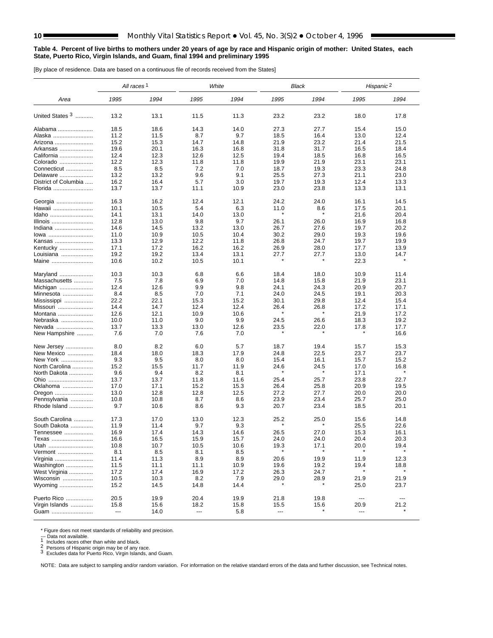$\blacksquare$ 

#### <span id="page-9-0"></span>**Table 4. Percent of live births to mothers under 20 years of age by race and Hispanic origin of mother: United States, each State, Puerto Rico, Virgin Islands, and Guam, final 1994 and preliminary 1995**

[By place of residence. Data are based on a continuous file of records received from the States]

|                      | All races <sup>1</sup> |      |      | White | Black   |         | Hispanic <sup>2</sup> |                          |
|----------------------|------------------------|------|------|-------|---------|---------|-----------------------|--------------------------|
| Area                 | 1995                   | 1994 | 1995 | 1994  | 1995    | 1994    | 1995                  | 1994                     |
| United States 3      | 13.2                   | 13.1 | 11.5 | 11.3  | 23.2    | 23.2    | 18.0                  | 17.8                     |
| Alabama              | 18.5                   | 18.6 | 14.3 | 14.0  | 27.3    | 27.7    | 15.4                  | 15.0                     |
| Alaska               | 11.2                   | 11.5 | 8.7  | 9.7   | 18.5    | 16.4    | 13.0                  | 12.4                     |
| Arizona              | 15.2                   | 15.3 | 14.7 | 14.8  | 21.9    | 23.2    | 21.4                  | 21.5                     |
| Arkansas             | 19.6                   | 20.1 | 16.3 | 16.8  | 31.8    | 31.7    | 16.5                  | 18.4                     |
| California           | 12.4                   | 12.3 | 12.6 | 12.5  | 19.4    | 18.5    | 16.8                  | 16.5                     |
|                      | 12.2                   | 12.3 | 11.8 | 11.8  | 19.9    | 21.9    | 23.1                  | 23.1                     |
| Colorado             |                        |      |      |       |         |         |                       |                          |
| Connecticut          | 8.5                    | 8.5  | 7.2  | 7.0   | 18.7    | 19.3    | 23.3                  | 24.8                     |
| Delaware             | 13.2                   | 13.2 | 9.6  | 9.1   | 25.5    | 27.3    | 21.1                  | 23.0                     |
| District of Columbia | 16.2                   | 16.4 | 5.7  | 3.0   | 19.7    | 19.3    | 12.4                  | 13.3                     |
| Florida              | 13.7                   | 13.7 | 11.1 | 10.9  | 23.0    | 23.8    | 13.3                  | 13.1                     |
| Georgia              | 16.3                   | 16.2 | 12.4 | 12.1  | 24.2    | 24.0    | 16.1                  | 14.5                     |
| Hawaii               | 10.1                   | 10.5 | 5.4  | 6.3   | 11.0    | 8.6     | 17.5                  | 20.1                     |
| Idaho                | 14.1                   | 13.1 | 14.0 | 13.0  | $\star$ | $\ast$  | 21.6                  | 20.4                     |
| Illinois             | 12.8                   | 13.0 | 9.8  | 9.7   | 26.1    | 26.0    | 16.9                  | 16.8                     |
| Indiana              | 14.6                   | 14.5 | 13.2 | 13.0  | 26.7    | 27.6    | 19.7                  | 20.2                     |
| lowa                 | 11.0                   | 10.9 | 10.5 | 10.4  | 30.2    | 29.0    | 19.3                  | 19.6                     |
| Kansas               | 13.3                   | 12.9 | 12.2 | 11.8  | 26.8    | 24.7    | 19.7                  | 19.9                     |
|                      |                        |      |      |       |         |         |                       |                          |
| Kentucky             | 17.1                   | 17.2 | 16.2 | 16.2  | 26.9    | 28.0    | 17.7                  | 13.9                     |
| Louisiana            | 19.2                   | 19.2 | 13.4 | 13.1  | 27.7    | 27.7    | 13.0                  | 14.7                     |
| Maine                | 10.6                   | 10.2 | 10.5 | 10.1  |         |         | 22.3                  |                          |
| Maryland             | 10.3                   | 10.3 | 6.8  | 6.6   | 18.4    | 18.0    | 10.9                  | 11.4                     |
| Massachusetts        | 7.5                    | 7.8  | 6.9  | 7.0   | 14.8    | 15.8    | 21.9                  | 23.1                     |
| Michigan             | 12.4                   | 12.6 | 9.9  | 9.8   | 24.1    | 24.3    | 20.9                  | 20.7                     |
| Minnesota            | 8.4                    | 8.5  | 7.0  | 7.1   | 24.0    | 24.5    | 19.1                  | 20.3                     |
| Mississippi          | 22.2                   | 22.1 | 15.3 | 15.2  | 30.1    | 29.8    | 12.4                  | 15.4                     |
| Missouri             | 14.4                   | 14.7 | 12.4 | 12.4  | 26.4    | 26.8    | 17.2                  | 17.1                     |
|                      | 12.6                   | 12.1 | 10.9 | 10.6  | $\star$ | $\star$ | 21.9                  | 17.2                     |
| Montana              |                        |      |      |       |         |         |                       |                          |
| Nebraska             | 10.0                   | 11.0 | 9.0  | 9.9   | 24.5    | 26.6    | 18.3                  | 19.2                     |
| Nevada               | 13.7                   | 13.3 | 13.0 | 12.6  | 23.5    | 22.0    | 17.8                  | 17.7                     |
| New Hampshire        | 7.6                    | 7.0  | 7.6  | 7.0   |         |         |                       | 16.6                     |
| New Jersey           | 8.0                    | 8.2  | 6.0  | 5.7   | 18.7    | 19.4    | 15.7                  | 15.3                     |
| New Mexico           | 18.4                   | 18.0 | 18.3 | 17.9  | 24.8    | 22.5    | 23.7                  | 23.7                     |
| New York             | 9.3                    | 9.5  | 8.0  | 8.0   | 15.4    | 16.1    | 15.7                  | 15.2                     |
| North Carolina       | 15.2                   | 15.5 | 11.7 | 11.9  | 24.6    | 24.5    | 17.0                  | 16.8                     |
| North Dakota         | 9.6                    | 9.4  | 8.2  | 8.1   |         |         | 17.1                  |                          |
| Ohio                 | 13.7                   | 13.7 | 11.8 | 11.6  | 25.4    | 25.7    | 23.8                  | 22.7                     |
| Oklahoma             | 17.0                   | 17.1 | 15.2 | 15.3  | 26.4    | 25.8    | 20.9                  | 19.5                     |
| Oregon               | 13.0                   | 12.8 | 12.8 | 12.5  | 27.2    | 27.7    | 20.0                  | 20.0                     |
|                      |                        |      |      |       |         |         |                       |                          |
| Pennsylvania         | 10.8                   | 10.8 | 8.7  | 8.6   | 23.9    | 23.4    | 25.7                  | 25.0                     |
| Rhode Island         | 9.7                    | 10.6 | 8.6  | 9.3   | 20.7    | 23.4    | 18.5                  | 20.1                     |
| South Carolina       | 17.3                   | 17.0 | 13.0 | 12.3  | 25.2    | 25.0    | 15.6                  | 14.8                     |
| South Dakota         | 11.9                   | 11.4 | 9.7  | 9.3   |         |         | 25.5                  | 22.6                     |
| Tennessee            | 16.9                   | 17.4 | 14.3 | 14.6  | 26.5    | 27.0    | 15.3                  | 16.1                     |
| Texas                | 16.6                   | 16.5 | 15.9 | 15.7  | 24.0    | 24.0    | 20.4                  | 20.3                     |
| Utah                 | 10.8                   | 10.7 | 10.5 | 10.6  | 19.3    | 17.1    | 20.0                  | 19.4                     |
| Vermont              | 8.1                    | 8.5  | 8.1  | 8.5   | $\star$ | $\star$ | $\star$               | $\star$                  |
| Virginia             | 11.4                   | 11.3 | 8.9  | 8.9   | 20.6    | 19.9    | 11.9                  | 12.3                     |
| Washington           | 11.5                   | 11.1 | 11.1 | 10.9  | 19.6    | 19.2    | 19.4                  | 18.8                     |
|                      |                        |      |      |       |         |         | $^\star$              |                          |
| West Virginia        | 17.2                   | 17.4 | 16.9 | 17.2  | 26.3    | 24.7    |                       |                          |
| Wisconsin            | 10.5                   | 10.3 | 8.2  | 7.9   | 29.0    | 28.9    | 21.9                  | 21.9                     |
| Wyoming              | 15.2                   | 14.5 | 14.8 | 14.4  |         |         | 25.0                  | 23.7                     |
| Puerto Rico          | 20.5                   | 19.9 | 20.4 | 19.9  | 21.8    | 19.8    | ---                   | $\hspace{0.05cm} \ldots$ |
| Virgin Islands       | 15.8                   | 15.6 | 18.2 | 15.8  | 15.5    | 15.6    | 20.9                  | 21.2                     |
| Guam                 | ---                    | 14.0 | ---  | 5.8   | ---     |         | ---                   |                          |

\* Figure does not meet standards of reliability and precision.<br>  $\frac{1}{2}$  Includes races other than white and black.

--- Data not available. <sup>1</sup> Includes races other than white and black. <sup>2</sup> Persons of Hispanic origin may be of any race. <sup>3</sup> Excludes data for Puerto Rico, Virgin Islands, and Guam.

NOTE: Data are subject to sampling and/or random variation. For information on the relative standard errors of the data and further discussion, se[e Technical notes.](#page-34-0)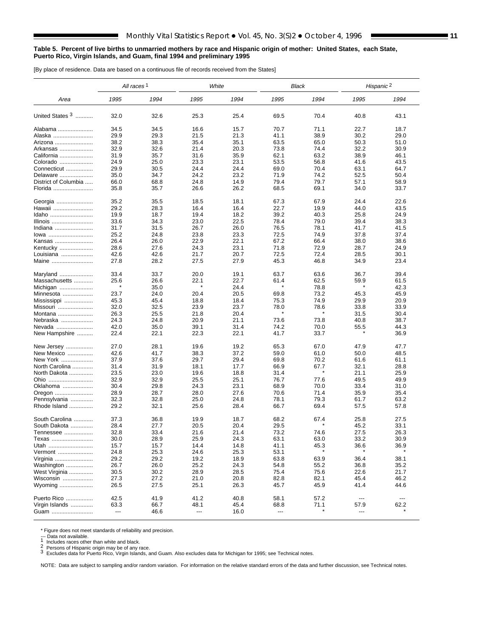#### <span id="page-10-0"></span>**Table 5. Percent of live births to unmarried mothers by race and Hispanic origin of mother: United States, each State, Puerto Rico, Virgin Islands, and Guam, final 1994 and preliminary 1995**

[By place of residence. Data are based on a continuous file of records received from the States]

E

|                              | All races <sup>1</sup> |      | White |      | Black |          | Hispanic <sup>2</sup>  |      |
|------------------------------|------------------------|------|-------|------|-------|----------|------------------------|------|
| Area                         | 1995                   | 1994 | 1995  | 1994 | 1995  | 1994     | 1995                   | 1994 |
| United States 3              | 32.0                   | 32.6 | 25.3  | 25.4 | 69.5  | 70.4     | 40.8                   | 43.1 |
| Alabama                      | 34.5                   | 34.5 | 16.6  | 15.7 | 70.7  | 71.1     | 22.7                   | 18.7 |
| Alaska                       | 29.9                   | 29.3 | 21.5  | 21.3 | 41.1  | 38.9     | 30.2                   | 29.0 |
| Arizona                      | 38.2                   | 38.3 | 35.4  | 35.1 | 63.5  | 65.0     | 50.3                   | 51.0 |
| Arkansas                     | 32.9                   | 32.6 | 21.4  | 20.3 | 73.8  | 74.4     | 32.2                   | 30.9 |
| California                   | 31.9                   | 35.7 | 31.6  | 35.9 | 62.1  | 63.2     | 38.9                   | 46.1 |
| Colorado                     | 24.9                   | 25.0 | 23.3  | 23.1 | 53.5  | 56.8     | 41.6                   | 43.5 |
| Connecticut                  | 29.9                   | 30.5 | 24.4  | 24.4 | 69.0  | 70.4     | 63.1                   | 64.7 |
| Delaware                     | 35.0                   | 34.7 | 24.2  | 23.2 | 71.9  | 74.2     | 52.5                   | 50.4 |
| District of Columbia         | 66.0                   | 68.8 | 24.8  | 14.9 | 79.4  | 79.7     | 57.1                   | 58.9 |
| Florida                      | 35.8                   | 35.7 | 26.6  | 26.2 | 68.5  | 69.1     | 34.0                   | 33.7 |
| Georgia                      | 35.2                   | 35.5 | 18.5  | 18.1 | 67.3  | 67.9     | 24.4                   | 22.6 |
| Hawaii                       | 29.2                   | 28.3 | 16.4  | 16.4 | 22.7  | 19.9     | 44.0                   | 43.5 |
| Idaho                        | 19.9                   | 18.7 | 19.4  | 18.2 | 39.2  | 40.3     | 25.8                   | 24.9 |
| Illinois                     | 33.6                   | 34.3 | 23.0  | 22.5 | 78.4  | 79.0     | 39.4                   | 38.3 |
| Indiana                      | 31.7                   | 31.5 | 26.7  | 26.0 | 76.5  | 78.1     | 41.7                   | 41.5 |
| lowa                         | 25.2                   | 24.8 | 23.8  | 23.3 | 72.5  | 74.9     | 37.8                   | 37.4 |
| Kansas                       | 26.4                   | 26.0 | 22.9  | 22.1 | 67.2  | 66.4     | 38.0                   | 38.6 |
| Kentucky                     | 28.6                   | 27.6 | 24.3  | 23.1 | 71.8  | 72.9     | 28.7                   | 24.9 |
| Louisiana                    | 42.6                   | 42.6 | 21.7  | 20.7 | 72.5  | 72.4     | 28.5                   | 30.1 |
| Maine                        | 27.8                   | 28.2 | 27.5  | 27.9 | 45.3  | 46.8     | 34.9                   | 23.4 |
| Maryland                     | 33.4                   | 33.7 | 20.0  | 19.1 | 63.7  | 63.6     | 36.7                   | 39.4 |
| Massachusetts                | 25.6                   | 26.6 | 22.1  | 22.7 | 61.4  | 62.5     | 59.9                   | 61.5 |
| Michigan                     |                        | 35.0 |       | 24.4 |       | 78.8     |                        | 42.3 |
| Minnesota                    | 23.7                   | 24.0 | 20.4  | 20.5 | 69.8  | 73.2     | 45.3                   | 45.9 |
| Mississippi                  | 45.3                   | 45.4 | 18.8  | 18.4 | 75.3  | 74.9     | 29.9                   | 20.9 |
| Missouri                     | 32.0                   | 32.5 | 23.9  | 23.7 | 78.0  | 78.6     | 33.8                   | 33.9 |
| Montana                      | 26.3                   | 25.5 | 21.8  | 20.4 |       |          | 31.5                   | 30.4 |
| Nebraska                     | 24.3                   | 24.8 | 20.9  | 21.1 | 73.6  | 73.8     | 40.8                   | 38.7 |
| Nevada                       | 42.0                   | 35.0 | 39.1  | 31.4 | 74.2  | 70.0     | 55.5                   | 44.3 |
| New Hampshire                | 22.4                   | 22.1 | 22.3  | 22.1 | 41.7  | 33.7     |                        | 36.9 |
| New Jersey                   | 27.0                   | 28.1 | 19.6  | 19.2 | 65.3  | 67.0     | 47.9                   | 47.7 |
| New Mexico                   | 42.6                   | 41.7 | 38.3  | 37.2 | 59.0  | 61.0     | 50.0                   | 48.5 |
| New York                     | 37.9                   | 37.6 | 29.7  | 29.4 | 69.8  | 70.2     | 61.6                   | 61.1 |
| North Carolina               | 31.4                   | 31.9 | 18.1  | 17.7 | 66.9  | 67.7     | 32.1                   | 28.8 |
| North Dakota                 | 23.5                   | 23.0 | 19.6  | 18.8 | 31.4  |          | 21.1                   | 25.9 |
| Ohio                         | 32.9                   | 32.9 | 25.5  | 25.1 | 76.7  | 77.6     | 49.5                   | 49.9 |
| Oklahoma                     | 30.4                   | 29.8 | 24.3  | 23.1 | 68.9  | 70.0     | 33.4                   | 31.0 |
| Oregon                       | 28.9                   | 28.7 | 28.0  | 27.6 | 70.6  | 71.4     | 35.9                   | 35.4 |
| Pennsylvania<br>Rhode Island | 32.3                   | 32.8 | 25.0  | 24.8 | 78.1  | 79.3     | 61.7                   | 63.2 |
|                              | 29.2                   | 32.1 | 25.6  | 28.4 | 66.7  | 69.4     | 57.5                   | 57.8 |
| South Carolina               | 37.3                   | 36.8 | 19.9  | 18.7 | 68.2  | 67.4     | 25.8                   | 27.5 |
| South Dakota                 | 28.4                   | 27.7 | 20.5  | 20.4 | 29.5  |          | 45.2                   | 33.1 |
| Tennessee                    | 32.8                   | 33.4 | 21.6  | 21.4 | 73.2  | 74.6     | 27.5                   | 26.3 |
| Texas                        | 30.0                   | 28.9 | 25.9  | 24.3 | 63.1  | 63.0     | 33.2                   | 30.9 |
| Utah                         | 15.7                   | 15.7 | 14.4  | 14.8 | 41.1  | 45.3     | 36.6                   | 36.9 |
| Vermont                      | 24.8                   | 25.3 | 24.6  | 25.3 | 53.1  | $\star$  |                        |      |
| Virginia                     | 29.2                   | 29.2 | 19.2  | 18.9 | 63.8  | 63.9     | 36.4                   | 38.1 |
| Washington                   | 26.7                   | 26.0 | 25.2  | 24.3 | 54.8  | 55.2     | 36.8                   | 35.2 |
| West Virginia                | 30.5                   | 30.2 | 28.9  | 28.5 | 75.4  | 75.6     | 22.6                   | 21.7 |
| Wisconsin                    | 27.3                   | 27.2 | 21.0  | 20.8 | 82.8  | 82.1     | 45.4                   | 46.2 |
| Wyoming                      | 26.5                   | 27.5 | 25.1  | 26.3 | 45.7  | 45.9     | 41.4                   | 44.6 |
| Puerto Rico                  | 42.5                   | 41.9 | 41.2  | 40.8 | 58.1  | 57.2     | $\qquad \qquad \cdots$ | ---  |
| Virgin Islands               | 63.3                   | 66.7 | 48.1  | 45.4 | 68.8  | 71.1     | 57.9                   | 62.2 |
| Guam                         | ---                    | 46.6 | ---   | 16.0 | ---   | $^\star$ | ---                    |      |

\* Figure does not meet standards of reliability and precision.<br>  $\frac{1}{2}$  Includes races other than white and black.

2 Persons of Hispanic origin may be of any race.<br>3 Excludes data for Puerto Rico, Virgin Islands, and Guam. Also excludes data for Michigan for 1995; se[e Technical notes.](#page-34-0)

NOTE: Data are subject to sampling and/or random variation. For information on the relative standard errors of the data and further discussion, see [Technical notes.](#page-34-0)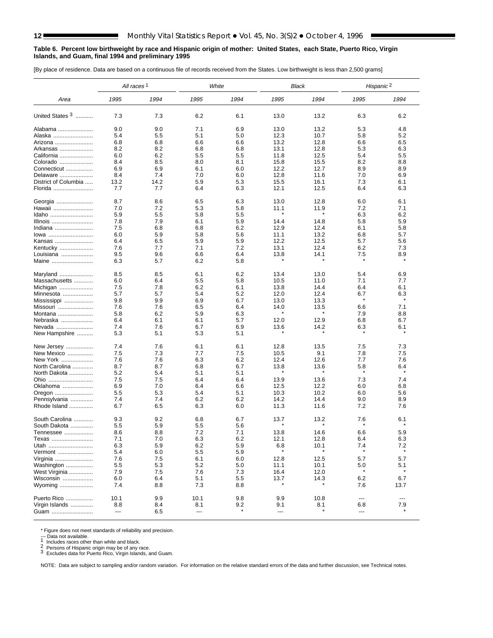#### <span id="page-11-0"></span>**Table 6. Percent low birthweight by race and Hispanic origin of mother: United States, each State, Puerto Rico, Virgin Islands, and Guam, final 1994 and preliminary 1995**

[By place of residence. Data are based on a continuous file of records received from the States. Low birthweight is less than 2,500 grams]

|                      | All races <sup>1</sup> |      |                | White | Black    |         | Hispanic <sup>2</sup>    |         |
|----------------------|------------------------|------|----------------|-------|----------|---------|--------------------------|---------|
| Area                 | 1995                   | 1994 | 1995           | 1994  | 1995     | 1994    | 1995                     | 1994    |
| United States 3      | 7.3                    | 7.3  | 6.2            | 6.1   | 13.0     | 13.2    | 6.3                      | 6.2     |
| Alabama              | 9.0                    | 9.0  | 7.1            | 6.9   | 13.0     | 13.2    | 5.3                      | 4.8     |
| Alaska               | 5.4                    | 5.5  | 5.1            | 5.0   | 12.3     | 10.7    | 5.8                      | 5.2     |
| Arizona              | 6.8                    | 6.8  | 6.6            | 6.6   | 13.2     | 12.8    | 6.6                      | 6.5     |
| Arkansas             | 8.2                    | 8.2  | 6.8            | 6.8   | 13.1     | 12.8    | 5.3                      | 6.3     |
| California           | 6.0                    | 6.2  | 5.5            | 5.5   | 11.8     | 12.5    | 5.4                      | 5.5     |
| Colorado             | 8.4                    | 8.5  | 8.0            | 8.1   | 15.8     | 15.5    | 8.2                      | 8.8     |
| Connecticut          | 6.9                    | 6.9  | 6.1            | 6.0   | 12.2     | 12.7    | 8.9                      | 8.9     |
| Delaware             | 8.4                    | 7.4  | 7.0            | 6.0   | 12.8     | 11.6    | 7.0                      | 6.9     |
| District of Columbia | 13.2                   | 14.2 | 5.9            | 5.3   | 15.5     | 16.1    | 7.3                      | 6.1     |
| Florida              | 7.7                    | 7.7  | 6.4            | 6.3   | 12.1     | 12.5    | 6.4                      | 6.3     |
| Georgia              | 8.7                    | 8.6  | 6.5            | 6.3   | 13.0     | 12.8    | 6.0                      | 6.1     |
| Hawaii               | 7.0                    | 7.2  | 5.3            | 5.8   | 11.1     | 11.9    | 7.2                      | 7.1     |
| Idaho                | 5.9                    | 5.5  | 5.8            | 5.5   | ×        |         | 6.3                      | 6.2     |
| Illinois             | 7.8                    | 7.9  | 6.1            | 5.9   | 14.4     | 14.8    | 5.8                      | 5.9     |
| Indiana              | 7.5                    | 6.8  | 6.8            | 6.2   | 12.9     | 12.4    | 6.1                      | 5.8     |
| lowa                 | 6.0                    | 5.9  | 5.8            | 5.6   | 11.1     | 13.2    | 6.8                      | 5.7     |
| Kansas               | 6.4                    | 6.5  | 5.9            | 5.9   | 12.2     | 12.5    | 5.7                      | 5.6     |
| Kentucky             | 7.6                    | 7.7  | 7.1            | 7.2   | 13.1     | 12.4    | 6.2                      | 7.3     |
| Louisiana            | 9.5                    | 9.6  | 6.6            | 6.4   | 13.8     | 14.1    | 7.5                      | 8.9     |
| Maine                | 6.3                    | 5.7  | 6.2            | 5.8   |          |         |                          |         |
| Maryland             | 8.5                    | 8.5  | 6.1            | 6.2   | 13.4     | 13.0    | 5.4                      | 6.9     |
| Massachusetts        | 6.0                    | 6.4  | 5.5            | 5.8   | 10.5     | 11.0    | 7.1                      | 7.7     |
| Michigan             | 7.5                    | 7.8  | 6.2            | 6.1   | 13.8     | 14.4    | 6.4                      | 6.1     |
| Minnesota            | 5.7                    | 5.7  | 5.4            | 5.2   | 12.0     | 12.4    | 6.7                      | 6.3     |
| Mississippi          | 9.8                    | 9.9  | 6.9            | 6.7   | 13.0     | 13.3    | $\star$                  |         |
| Missouri             | 7.6                    | 7.6  | 6.5            | 6.4   | 14.0     | 13.5    | 6.6                      | 7.1     |
| Montana              | 5.8                    | 6.2  | 5.9            | 6.3   | $\star$  | $\ast$  | 7.9                      | 8.8     |
| Nebraska             | 6.4                    | 6.1  | 6.1            | 5.7   | 12.0     | 12.9    | 6.8                      | 6.7     |
| Nevada               | 7.4                    | 7.6  | 6.7            | 6.9   | 13.6     | 14.2    | 6.3                      | 6.1     |
| New Hampshire        | 5.3                    | 5.1  | 5.3            | 5.1   |          |         |                          |         |
| New Jersey           | 7.4                    | 7.6  | 6.1            | 6.1   | 12.8     | 13.5    | 7.5                      | 7.3     |
| New Mexico           | 7.5                    | 7.3  | 7.7            | 7.5   | 10.5     | 9.1     | 7.8                      | 7.5     |
| New York             | 7.6                    | 7.6  | 6.3            | 6.2   | 12.4     | 12.6    | 7.7                      | 7.6     |
| North Carolina       | 8.7                    | 8.7  | 6.8            | 6.7   | 13.8     | 13.6    | 5.8                      | 6.4     |
| North Dakota         | 5.2                    | 5.4  | 5.1            | 5.1   |          |         |                          |         |
| Ohio                 | 7.5                    | 7.5  | 6.4            | 6.4   | 13.9     | 13.6    | 7.3                      | 7.4     |
| Oklahoma             | 6.9                    | 7.0  | 6.4            | 6.6   | 12.5     | 12.2    | 6.0                      | 6.8     |
| Oregon               | 5.5                    | 5.3  | 5.4            | 5.1   | 10.3     | 10.2    | 6.0                      | 5.6     |
| Pennsylvania         | 7.4                    | 7.4  | 6.2            | 6.2   | 14.2     | 14.4    | 9.0                      | 8.9     |
| Rhode Island         | 6.7                    | 6.5  | 6.3            | 6.0   | 11.3     | 11.6    | 7.2                      | 7.6     |
| South Carolina       | 9.3                    | 9.2  | 6.8            | 6.7   | 13.7     | 13.2    | 7.6                      | 6.1     |
| South Dakota         | 5.5                    | 5.9  | 5.5            | 5.6   |          |         |                          |         |
| Tennessee            | 8.6                    | 8.8  | 7.2            | 7.1   | 13.8     | 14.6    | 6.6                      | 5.9     |
| Texas                | 7.1                    | 7.0  | 6.3            | 6.2   | 12.1     | 12.8    | 6.4                      | 6.3     |
| Utah                 | 6.3                    | 5.9  | 6.2            | 5.9   | 6.8      | 10.1    | 7.4                      | 7.2     |
| Vermont              | 5.4                    | 6.0  | 5.5            | 5.9   | $^\star$ | $\star$ | $^\star$                 | $\star$ |
| Virginia             | 7.6                    | 7.5  | 6.1            | 6.0   | 12.8     | 12.5    | 5.7                      | 5.7     |
| Washington           | 5.5                    | 5.3  | 5.2            | 5.0   | 11.1     | 10.1    | 5.0<br>$\star$           | 5.1     |
| West Virginia        | 7.9                    | 7.5  | 7.6            | 7.3   | 16.4     | 12.0    |                          | $\star$ |
| Wisconsin            | 6.0                    | 6.4  | 5.1            | 5.5   | 13.7     | 14.3    | 6.2                      | 6.7     |
| Wyoming              | 7.4                    | 8.8  | 7.3            | 8.8   |          |         | 7.6                      | 13.7    |
| Puerto Rico          | 10.1                   | 9.9  | 10.1           | 9.8   | 9.9      | 10.8    | $\hspace{0.05cm} \ldots$ | ---     |
| Virgin Islands       | 8.8                    | 8.4  | 8.1            | 9.2   | 9.1      | 8.1     | 6.8                      | 7.9     |
| Guam                 | ---                    | 6.5  | $\overline{a}$ |       | ---      | $\star$ | ---                      |         |

\* Figure does not meet standards of reliability and precision.<br>  $\frac{1}{2}$  Includes races other than white and black.

--- Data not available. <sup>1</sup> Includes races other than white and black. <sup>2</sup> Persons of Hispanic origin may be of any race. <sup>3</sup> Excludes data for Puerto Rico, Virgin Islands, and Guam.

NOTE: Data are subject to sampling and/or random variation. For information on the relative standard errors of the data and further discussion, se[e Technical notes.](#page-34-0)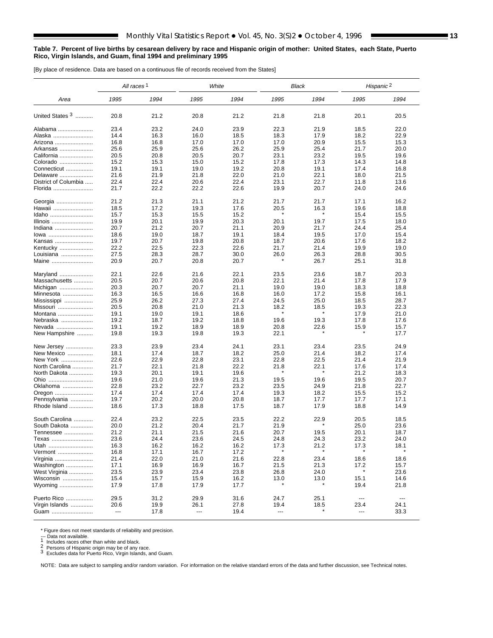#### <span id="page-12-0"></span>**Table 7. Percent of live births by cesarean delivery by race and Hispanic origin of mother: United States, each State, Puerto Rico, Virgin Islands, and Guam, final 1994 and preliminary 1995**

[By place of residence. Data are based on a continuous file of records received from the States]

E

|                      | All races <sup>1</sup>   |      | White |      | <b>Black</b>             |          | Hispanic <sup>2</sup>    |              |
|----------------------|--------------------------|------|-------|------|--------------------------|----------|--------------------------|--------------|
| Area                 | 1995                     | 1994 | 1995  | 1994 | 1995                     | 1994     | 1995                     | 1994         |
| United States 3      | 20.8                     | 21.2 | 20.8  | 21.2 | 21.8                     | 21.8     | 20.1                     | 20.5         |
| Alabama              | 23.4                     | 23.2 | 24.0  | 23.9 | 22.3                     | 21.9     | 18.5                     | 22.0         |
| Alaska               | 14.4                     | 16.3 | 16.0  | 18.5 | 18.3                     | 17.9     | 18.2                     | 22.9         |
| Arizona              | 16.8                     | 16.8 | 17.0  | 17.0 | 17.0                     | 20.9     | 15.5                     | 15.3         |
| Arkansas             | 25.6                     | 25.9 | 25.6  | 26.2 | 25.9                     | 25.4     | 21.7                     | 20.0         |
| California           | 20.5                     | 20.8 | 20.5  | 20.7 | 23.1                     | 23.2     | 19.5                     | 19.6         |
| Colorado             | 15.2                     | 15.3 | 15.0  | 15.2 | 17.8                     | 17.3     | 14.3                     | 14.8         |
| Connecticut          | 19.1                     | 19.1 | 19.0  | 19.2 | 20.8                     | 19.1     | 17.4                     | 16.8         |
| Delaware             | 21.6                     | 21.9 | 21.8  | 22.0 | 21.0                     | 22.1     | 18.0                     | 21.5         |
| District of Columbia | 22.4                     | 22.4 | 20.6  | 22.4 | 23.1                     | 22.7     | 11.8                     | 13.6         |
| Florida              | 21.7                     | 22.2 | 22.2  | 22.6 | 19.9                     | 20.7     | 24.0                     | 24.6         |
| Georgia              | 21.2                     | 21.3 | 21.1  | 21.2 | 21.7                     | 21.7     | 17.1                     | 16.2         |
| Hawaii               | 18.5                     | 17.2 | 19.3  | 17.6 | 20.5                     | 16.3     | 19.6                     | 18.8         |
| Idaho                | 15.7                     | 15.3 | 15.5  | 15.2 | $\star$                  | $^\star$ | 15.4                     | 15.5         |
| Illinois             | 19.9                     | 20.1 | 19.9  | 20.3 | 20.1                     | 19.7     | 17.5                     | 18.0         |
| Indiana              | 20.7                     | 21.2 | 20.7  | 21.1 | 20.9                     | 21.7     | 24.4                     | 25.4         |
| lowa                 | 18.6                     | 19.0 | 18.7  | 19.1 | 18.4                     | 19.5     | 17.0                     | 15.4         |
| Kansas               | 19.7                     | 20.7 | 19.8  | 20.8 | 18.7                     | 20.6     | 17.6                     | 18.2         |
| Kentucky             | 22.2                     | 22.5 | 22.3  | 22.6 | 21.7                     | 21.4     | 19.9                     | 19.0         |
| Louisiana            | 27.5                     | 28.3 | 28.7  | 30.0 | 26.0                     | 26.3     | 28.8                     | 30.5         |
| Maine                | 20.9                     | 20.7 | 20.8  | 20.7 |                          | 26.7     | 25.1                     | 31.8         |
| Maryland             | 22.1                     | 22.6 | 21.6  | 22.1 | 23.5                     | 23.6     | 18.7                     | 20.3         |
| Massachusetts        | 20.5                     | 20.7 | 20.6  | 20.8 | 22.1                     | 21.4     | 17.8                     | 17.9         |
| Michigan             | 20.3                     | 20.7 | 20.7  | 21.1 | 19.0                     | 19.0     | 18.3                     | 18.8         |
| Minnesota            | 16.3                     | 16.5 | 16.6  | 16.8 | 16.0                     | 17.2     | 15.8                     | 16.1         |
| Mississippi          | 25.9                     | 26.2 | 27.3  | 27.4 | 24.5                     | 25.0     | 18.5                     | 28.7         |
| Missouri             | 20.5                     | 20.8 | 21.0  | 21.3 | 18.2                     | 18.5     | 19.3                     | 22.3         |
| Montana              | 19.1                     | 19.0 | 19.1  | 18.6 | ×                        | $\star$  | 17.9                     | 21.0         |
| Nebraska             | 19.2                     | 18.7 | 19.2  | 18.8 | 19.6                     | 19.3     | 17.8                     | 17.6         |
| Nevada               | 19.1                     | 19.2 | 18.9  | 18.9 | 20.8                     | 22.6     | 15.9                     | 15.7         |
| New Hampshire        | 19.8                     | 19.3 | 19.8  | 19.3 | 22.1                     |          |                          | 17.7         |
| New Jersey           | 23.3                     | 23.9 | 23.4  | 24.1 | 23.1                     | 23.4     | 23.5                     | 24.9         |
| New Mexico           | 18.1                     | 17.4 | 18.7  | 18.2 | 25.0                     | 21.4     | 18.2                     | 17.4         |
| New York             | 22.6                     | 22.9 | 22.8  | 23.1 | 22.8                     | 22.5     | 21.4                     | 21.9         |
| North Carolina       | 21.7                     | 22.1 | 21.8  | 22.2 | 21.8                     | 22.1     | 17.6                     | 17.4         |
| North Dakota         | 19.3                     | 20.1 | 19.1  | 19.6 |                          |          | 21.2                     | 18.3         |
| Ohio                 | 19.6                     | 21.0 | 19.6  | 21.3 | 19.5                     | 19.6     | 19.5                     | 20.7         |
| Oklahoma             | 22.8                     | 23.2 | 22.7  | 23.2 | 23.5                     | 24.9     | 21.8                     | 22.7         |
| Oregon               | 17.4                     | 17.4 | 17.4  | 17.4 | 19.3                     | 18.2     | 15.5                     | 15.2         |
| Pennsylvania         | 19.7                     | 20.2 | 20.0  | 20.8 | 18.7                     | 17.7     | 17.7                     | 17.1         |
| Rhode Island         | 18.6                     | 17.3 | 18.8  | 17.5 | 18.7                     | 17.9     | 18.8                     | 14.9         |
| South Carolina       | 22.4                     | 23.2 | 22.5  | 23.5 | 22.2                     | 22.9     | 20.5                     | 18.5         |
| South Dakota         | 20.0                     | 21.2 | 20.4  | 21.7 | 21.9                     |          | 25.0                     | 23.6         |
| Tennessee            | 21.2                     | 21.1 | 21.5  | 21.6 | 20.7                     | 19.5     | 20.1                     | 18.7         |
| Texas                | 23.6                     | 24.4 | 23.6  | 24.5 | 24.8                     | 24.3     | 23.2                     | 24.0         |
| Utah                 | 16.3                     | 16.2 | 16.2  | 16.2 | 17.3                     | 21.2     | 17.3                     | 18.1         |
| Vermont              | 16.8                     | 17.1 | 16.7  | 17.2 | $\star$                  | $\star$  | $\star$                  | $\pmb{\ast}$ |
| Virginia             | 21.4                     | 22.0 | 21.0  | 21.6 | 22.8                     | 23.4     | 18.6                     | 18.6         |
| Washington           | 17.1                     | 16.9 | 16.9  | 16.7 | 21.5                     | 21.3     | 17.2                     | 15.7         |
| West Virginia        | 23.5                     | 23.9 | 23.4  | 23.8 | 26.8                     | 24.0     |                          | 23.6         |
| Wisconsin            | 15.4                     | 15.7 | 15.9  | 16.2 | 13.0                     | 13.0     | 15.1                     | 14.6         |
| Wyoming              | 17.9                     | 17.8 | 17.9  | 17.7 |                          |          | 19.4                     | 21.8         |
| Puerto Rico          | 29.5                     | 31.2 | 29.9  | 31.6 | 24.7                     | 25.1     | $\hspace{0.05cm} \ldots$ | ---          |
| Virgin Islands       | 20.6                     | 19.9 | 26.1  | 27.8 | 19.4                     | 18.5     | 23.4                     | 24.1         |
| Guam                 | $\hspace{0.05cm} \ldots$ | 17.8 | ---   | 19.4 | $\hspace{0.05cm} \ldots$ |          | $\scriptstyle\cdots$     | 33.3         |

\* Figure does not meet standards of reliability and precision.<br>  $\frac{1}{2}$  Includes races other than white and black.

--- Data not available. <sup>1</sup> Includes races other than white and black. <sup>2</sup> Persons of Hispanic origin may be of any race. <sup>3</sup> Excludes data for Puerto Rico, Virgin Islands, and Guam.

NOTE: Data are subject to sampling and/or random variation. For information on the relative standard errors of the data and further discussion, se[e Technical notes.](#page-34-0)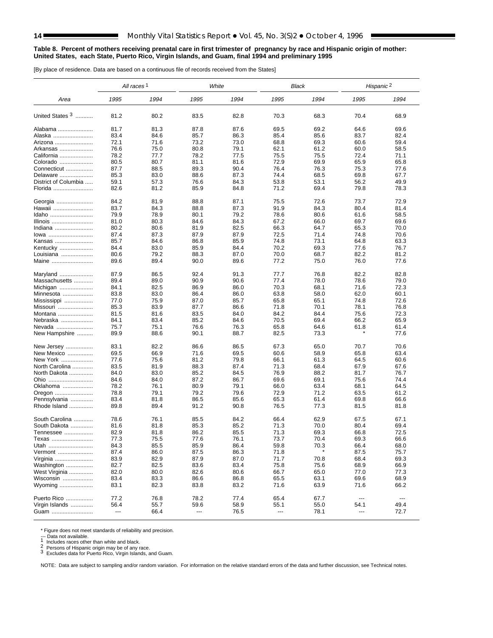#### <span id="page-13-0"></span>**Table 8. Percent of mothers receiving prenatal care in first trimester of pregnancy by race and Hispanic origin of mother: United States, each State, Puerto Rico, Virgin Islands, and Guam, final 1994 and preliminary 1995**

[By place of residence. Data are based on a continuous file of records received from the States]

|                      | All races <sup>1</sup> |              |              | White        | Black        |              | Hispanic <sup>2</sup>         |              |
|----------------------|------------------------|--------------|--------------|--------------|--------------|--------------|-------------------------------|--------------|
| Area                 | 1995                   | 1994         | 1995         | 1994         | 1995         | 1994         | 1995                          | 1994         |
| United States 3      | 81.2                   | 80.2         | 83.5         | 82.8         | 70.3         | 68.3         | 70.4                          | 68.9         |
| Alabama              | 81.7                   | 81.3         | 87.8         | 87.6         | 69.5         | 69.2         | 64.6                          | 69.6         |
| Alaska               | 83.4                   | 84.6         | 85.7         | 86.3         | 85.4         | 85.6         | 83.7                          | 82.4         |
| Arizona              | 72.1                   | 71.6         | 73.2         | 73.0         | 68.8         | 69.3         | 60.6                          | 59.4         |
| Arkansas             | 76.6                   | 75.0         | 80.8         | 79.1         | 62.1         | 61.2         | 60.0                          | 58.5         |
| California           | 78.2                   | 77.7         | 78.2         | 77.5         | 75.5         | 75.5         | 72.4                          | 71.1         |
| Colorado             | 80.5                   | 80.7         | 81.1         | 81.6         | 72.9         | 69.9         | 65.9                          | 65.8         |
| Connecticut          | 87.7                   | 88.5         | 89.3         | 90.4         | 76.4         | 76.3         | 75.3                          | 77.6         |
| Delaware             | 85.3                   | 83.0         | 88.6         | 87.3         | 74.4         | 68.5         | 69.8                          | 67.7         |
| District of Columbia | 59.1                   | 57.3         | 76.6         | 84.3         | 53.8         | 53.1         | 56.2                          | 49.9         |
| Florida              | 82.6                   | 81.2         | 85.9         | 84.8         | 71.2         | 69.4         | 79.8                          | 78.3         |
| Georgia              | 84.2                   | 81.9         | 88.8         | 87.1         | 75.5         | 72.6         | 73.7                          | 72.9         |
| Hawaii               | 83.7                   | 84.3         | 88.8         | 87.3         | 91.9         | 84.3         | 80.4                          | 81.4         |
| Idaho                | 79.9                   | 78.9         | 80.1         | 79.2         | 78.6         | 80.6         | 61.6                          | 58.5         |
| Illinois             | 81.0                   | 80.3         | 84.6         | 84.3         | 67.2         | 66.0         | 69.7                          | 69.6         |
| Indiana              | 80.2                   | 80.6         | 81.9         | 82.5         | 66.3         | 64.7         | 65.3                          | 70.0         |
| lowa                 | 87.4                   | 87.3         | 87.9         | 87.9         | 72.5         | 71.4         | 74.8                          | 70.6         |
| Kansas               | 85.7                   | 84.6         | 86.8         | 85.9         | 74.8         | 73.1         | 64.8                          | 63.3         |
| Kentucky             | 84.4                   | 83.0         | 85.9         | 84.4         | 70.2         | 69.3         | 77.6                          | 76.7         |
| Louisiana            | 80.6                   | 79.2         | 88.3         | 87.0         | 70.0         | 68.7         | 82.2                          | 81.2         |
| Maine                | 89.6                   | 89.4         | 90.0         | 89.6         | 77.2         | 75.0         | 76.0                          | 77.6         |
| Maryland             | 87.9                   | 86.5         | 92.4         | 91.3         | 77.7         | 76.8         | 82.2                          | 82.8         |
| Massachusetts        | 89.4                   | 89.0         | 90.9         | 90.6         | 77.4         | 78.0         | 78.6                          | 79.0         |
| Michigan             | 84.1                   | 82.5         | 86.9         | 86.0         | 70.3         | 68.1         | 71.6                          | 72.3         |
| Minnesota            | 83.8                   | 83.0         | 86.4         | 86.0         | 63.8         | 58.0         | 62.0                          | 60.1         |
| Mississippi          | 77.0                   | 75.9         | 87.0         | 85.7         | 65.8         | 65.1         | 74.8                          | 72.6         |
| Missouri             | 85.3                   | 83.9         | 87.7         | 86.6         | 71.8         | 70.1         | 78.1                          | 76.8         |
| Montana              | 81.5                   | 81.6         | 83.5         | 84.0         | 84.2         | 84.4         | 75.6                          | 72.3         |
| Nebraska             | 84.1                   | 83.4         | 85.2         | 84.6         | 70.5         | 69.4         | 66.2                          | 65.9         |
| Nevada               | 75.7                   | 75.1         | 76.6         | 76.3         | 65.8         | 64.6         | 61.8                          | 61.4         |
| New Hampshire        | 89.9                   | 88.6         | 90.1         | 88.7         | 82.5         | 73.3         |                               | 77.6         |
| New Jersey           | 83.1                   | 82.2         | 86.6         | 86.5         | 67.3         | 65.0         | 70.7                          | 70.6         |
| New Mexico           | 69.5                   | 66.9         | 71.6         | 69.5         | 60.6         | 58.9         | 65.8                          | 63.4         |
| New York             | 77.6                   | 75.6         | 81.2         | 79.8         | 66.1         | 61.3         | 64.5                          | 60.6         |
| North Carolina       | 83.5                   | 81.9         | 88.3         | 87.4         | 71.3         | 68.4         | 67.9                          | 67.6         |
| North Dakota<br>Ohio | 84.0<br>84.6           | 83.0<br>84.0 | 85.2<br>87.2 | 84.5<br>86.7 | 76.9<br>69.6 | 88.2<br>69.1 | 81.7<br>75.6                  | 76.7<br>74.4 |
| Oklahoma             | 78.2                   | 76.1         | 80.9         | 79.1         | 66.0         | 63.4         | 68.1                          | 64.5         |
| Oregon               | 78.8                   | 79.1         | 79.2         | 79.6         | 72.9         | 71.2         | 63.5                          | 61.2         |
| Pennsylvania         | 83.4                   | 81.8         | 86.5         | 85.6         | 65.3         | 61.4         | 69.8                          | 66.6         |
| Rhode Island         | 89.8                   | 89.4         | 91.2         | 90.8         | 76.5         | 77.3         | 81.5                          | 81.8         |
| South Carolina       | 78.6                   | 76.1         | 85.5         | 84.2         | 66.4         | 62.9         | 67.5                          | 67.1         |
| South Dakota         | 81.6                   | 81.8         | 85.3         | 85.2         | 71.3         | 70.0         | 80.4                          | 69.4         |
| Tennessee            | 82.9                   | 81.8         | 86.2         | 85.5         | 71.3         | 69.3         | 66.8                          | 72.5         |
| Texas                | 77.3                   | 75.5         | 77.6         | 76.1         | 73.7         | 70.4         | 69.3                          | 66.6         |
| Utah                 | 84.3                   | 85.5         | 85.9         | 86.4         | 59.8         | 70.3         | 66.4                          | 68.0         |
| Vermont              | 87.4                   | 86.0         | 87.5         | 86.3         | 71.8         |              | 87.5                          | 75.7         |
| Virginia             | 83.9                   | 82.9         | 87.9         | 87.0         | 71.7         | 70.8         | 68.4                          | 69.3         |
| Washington           | 82.7                   | 82.5         | 83.6         | 83.4         | 75.8         | 75.6         | 68.9                          | 66.9         |
| West Virginia        | 82.0                   | 80.0         | 82.6         | 80.6         | 66.7         | 65.0         | 77.0                          | 77.3         |
| Wisconsin            | 83.4                   | 83.3         | 86.6         | 86.8         | 65.5         | 63.1         | 69.6                          | 68.9         |
| Wyoming              | 83.1                   | 82.3         | 83.8         | 83.2         | 71.6         | 63.9         | 71.6                          | 66.2         |
| Puerto Rico          | 77.2                   | 76.8         | 78.2         | 77.4         | 65.4         | 67.7         | $\hspace{1.5cm} \textbf{---}$ | ---          |
| Virgin Islands       | 56.4                   | 55.7         | 59.6         | 58.9         | 55.1         | 55.0         | 54.1                          | 49.4         |
| Guam                 | ---                    | 66.4         | ---          | 76.5         | ---          | 78.1         | ---                           | 72.7         |

\* Figure does not meet standards of reliability and precision.<br>  $\frac{1}{2}$  Includes races other than white and black.

--- Data not available. <sup>1</sup> Includes races other than white and black. <sup>2</sup> Persons of Hispanic origin may be of any race. <sup>3</sup> Excludes data for Puerto Rico, Virgin Islands, and Guam.

NOTE: Data are subject to sampling and/or random variation. For information on the relative standard errors of the data and further discussion, see [Technical notes.](#page-34-0)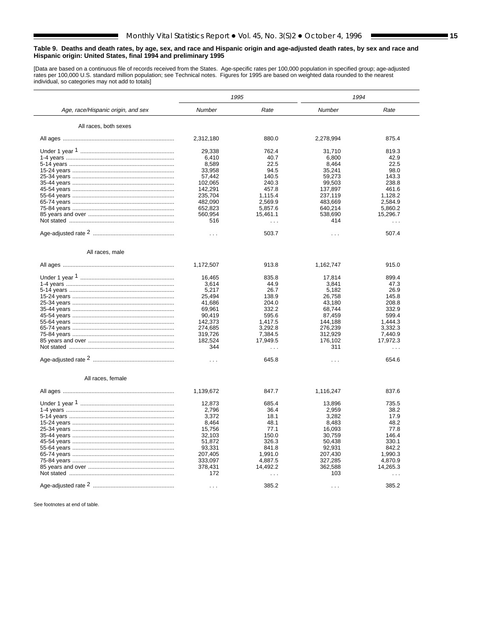#### <span id="page-14-0"></span>**Table 9. Deaths and death rates, by age, sex, and race and Hispanic origin and age-adjusted death rates, by sex and race and Hispanic origin: United States, final 1994 and preliminary 1995**

 $\blacksquare$ 

 $\overline{a}$ 

[Data are based on a continuous file of records received from the States. Age-specific rates per 100,000 population in specified group; age-adjusted<br>rates per 100,000 U.S. standard million population; see [Technical notes.](#page-34-0) 

|                                    |                      | 1995                 | 1994                 |                      |  |
|------------------------------------|----------------------|----------------------|----------------------|----------------------|--|
| Age, race/Hispanic origin, and sex | <b>Number</b>        | Rate                 | <b>Number</b>        | Rate                 |  |
| All races, both sexes              |                      |                      |                      |                      |  |
|                                    | 2,312,180            | 880.0                | 2,278,994            | 875.4                |  |
|                                    | 29,338               | 762.4                | 31,710               | 819.3                |  |
|                                    | 6,410                | 40.7                 | 6,800                | 42.9                 |  |
|                                    | 8,589                | 22.5                 | 8,464                | 22.5                 |  |
|                                    | 33,958               | 94.5                 | 35,241               | 98.0                 |  |
|                                    | 57,442               | 140.5                | 59,273               | 143.3                |  |
|                                    | 102,065              | 240.3                | 99,503               | 238.8                |  |
|                                    | 142,291              | 457.8                | 137,897              | 461.6                |  |
|                                    |                      |                      |                      |                      |  |
|                                    | 235,704              | 1,115.4              | 237,119              | 1,128.2              |  |
|                                    | 482,090              | 2,569.9              | 483,669              | 2,584.9              |  |
|                                    | 652,823              | 5,857.6              | 640,214              | 5,860.2              |  |
|                                    | 560,954              | 15,461.1             | 538,690              | 15,296.7             |  |
|                                    | 516                  | $\cdots$             | 414                  | $\cdots$             |  |
|                                    | $\sim$ $\sim$        | 503.7                | $\sim$ $\sim$ $\sim$ | 507.4                |  |
|                                    |                      |                      |                      |                      |  |
| All races, male                    |                      |                      |                      |                      |  |
|                                    | 1,172,507            | 913.8                | 1,162,747            | 915.0                |  |
|                                    | 16.465               | 835.8                | 17,814               | 899.4                |  |
|                                    | 3,614                | 44.9                 | 3,841                | 47.3                 |  |
|                                    | 5,217                | 26.7                 | 5,182                | 26.9                 |  |
|                                    | 25,494               | 138.9                | 26,758               | 145.8                |  |
|                                    |                      |                      |                      |                      |  |
|                                    | 41,686               | 204.0                | 43,180               | 208.8                |  |
|                                    | 69,961               | 332.2                | 68,744               | 332.9                |  |
|                                    | 90,419               | 595.6                | 87,459               | 599.4                |  |
|                                    | 142,373              | 1.417.5              | 144,188              | 1.444.3              |  |
|                                    | 274,685              | 3,292.8              | 276,239              | 3,332.3              |  |
|                                    | 319,726              | 7,384.5              | 312,929              | 7,440.9              |  |
|                                    | 182,524              | 17,949.5             | 176,102              | 17,972.3             |  |
|                                    | 344                  | $\sim$ $\sim$ $\sim$ | 311                  | $\sim$ $\sim$ $\sim$ |  |
|                                    | $\sim$ $\sim$ $\sim$ | 645.8                | $\sim$ $\sim$ $\sim$ | 654.6                |  |
| All races, female                  |                      |                      |                      |                      |  |
|                                    | 1,139,672            | 847.7                | 1,116,247            | 837.6                |  |
|                                    | 12,873               | 685.4                | 13,896               | 735.5                |  |
|                                    | 2,796                | 36.4                 | 2,959                | 38.2                 |  |
|                                    | 3.372                | 18.1                 | 3.282                | 17.9                 |  |
|                                    | 8,464                | 48.1                 | 8,483                | 48.2                 |  |
|                                    | 15,756               | 77.1                 | 16,093               | 77.8                 |  |
|                                    | 32,103               | 150.0                | 30,759               | 146.4                |  |
|                                    |                      |                      |                      |                      |  |
|                                    | 51,872               | 326.3                | 50,438               | 330.1                |  |
|                                    | 93,331               | 841.8                | 92,931               | 842.2                |  |
|                                    | 207,405              | 1,991.0              | 207,430              | 1,990.3              |  |
|                                    | 333,097              | 4,887.5              | 327,285              | 4,870.9              |  |
|                                    | 378.431              | 14.492.2             | 362.588              | 14,265.3             |  |
|                                    | 172                  | $\cdots$             | 103                  | $\cdots$             |  |
|                                    |                      | 385.2                |                      | 385.2                |  |

See footnotes at end of table.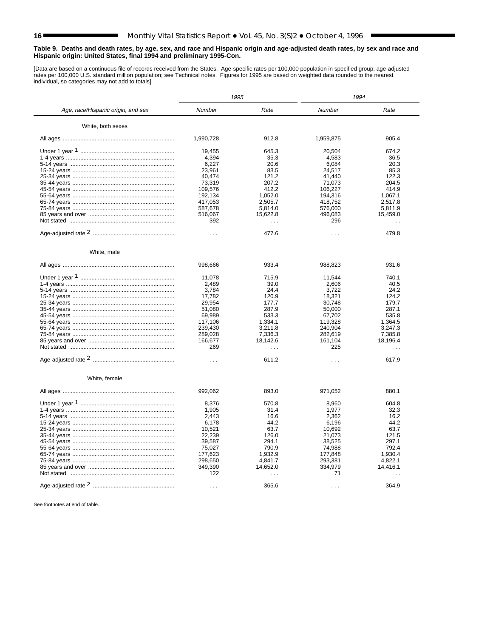**F** 

#### **Table 9. Deaths and death rates, by age, sex, and race and Hispanic origin and age-adjusted death rates, by sex and race and Hispanic origin: United States, final 1994 and preliminary 1995-Con.**

[Data are based on a continuous file of records received from the States. Age-specific rates per 100,000 population in specified group; age-adjusted<br>rates per 100,000 U.S. standard million population; se[e Technical notes.](#page-34-0)

|                                    |                      | 1995                 | 1994                 |           |
|------------------------------------|----------------------|----------------------|----------------------|-----------|
| Age, race/Hispanic origin, and sex | <b>Number</b>        | Rate                 | <b>Number</b>        | Rate      |
| White, both sexes                  |                      |                      |                      |           |
|                                    | 1,990,728            | 912.8                | 1,959,875            | 905.4     |
|                                    |                      |                      |                      |           |
|                                    | 19.455               | 645.3                | 20.504               | 674.2     |
|                                    | 4,394                | 35.3                 | 4,583                | 36.5      |
|                                    | 6,227                | 20.6                 | 6,084                | 20.3      |
|                                    | 23,961               | 83.5                 | 24,517               | 85.3      |
|                                    | 40,474               | 121.2                | 41,440               | 122.3     |
|                                    | 73,319               | 207.2                | 71,073               | 204.5     |
|                                    | 109,576              | 412.2                | 106.227              | 414.9     |
|                                    | 192,134              | 1,052.0              | 194,316              | 1.067.1   |
|                                    | 417,053              | 2,505.7              | 418,752              | 2,517.8   |
|                                    | 587,678              | 5,814.0              | 576,000              | 5,811.9   |
|                                    |                      |                      |                      |           |
|                                    | 516,067              | 15,622.8             | 496,083              | 15,459.0  |
|                                    | 392                  | $\sim$ $\sim$ $\sim$ | 296                  | $\sim 10$ |
|                                    | $\cdots$             | 477.6                | $\sim$ $\sim$ $\sim$ | 479.8     |
| White, male                        |                      |                      |                      |           |
|                                    | 998,666              | 933.4                | 988,823              | 931.6     |
|                                    | 11,078               | 715.9                | 11,544               | 740.1     |
|                                    | 2,489                | 39.0                 | 2,606                | 40.5      |
|                                    | 3,784                | 24.4                 | 3,722                | 24.2      |
|                                    | 17,782               | 120.9                | 18,321               | 124.2     |
|                                    |                      | 177.7                |                      | 179.7     |
|                                    | 29,954               |                      | 30,748               |           |
|                                    | 51,080               | 287.9                | 50,000               | 287.1     |
|                                    | 69,989               | 533.3                | 67,702               | 535.8     |
|                                    | 117,106              | 1,334.1              | 119,328              | 1,364.5   |
|                                    | 239,430              | 3,211.8              | 240,904              | 3,247.3   |
|                                    | 289,028              | 7,336.3              | 282,619              | 7,385.8   |
|                                    | 166,677              | 18,142.6             | 161,104              | 18,196.4  |
|                                    | 269                  | $\sim$ $\sim$        | 225                  | $\sim 10$ |
|                                    | $\ldots$             | 611.2                | $\ldots$             | 617.9     |
| White, female                      |                      |                      |                      |           |
|                                    | 992,062              | 893.0                | 971,052              | 880.1     |
|                                    | 8,376                | 570.8                | 8,960                | 604.8     |
|                                    | 1,905                | 31.4                 | 1,977                | 32.3      |
|                                    | 2,443                | 16.6                 | 2,362                | 16.2      |
|                                    | 6,178                | 44.2                 | 6,196                | 44.2      |
|                                    |                      |                      |                      |           |
|                                    | 10,521               | 63.7                 | 10,692               | 63.7      |
|                                    | 22,239               | 126.0                | 21.073               | 121.5     |
|                                    | 39,587               | 294.1                | 38,525               | 297.1     |
|                                    | 75,027               | 790.9                | 74,988               | 792.4     |
|                                    | 177,623              | 1.932.9              | 177,848              | 1.930.4   |
|                                    | 298,650              | 4,841.7              | 293,381              | 4,822.1   |
|                                    | 349,390              | 14,652.0             | 334,979              | 14,416.1  |
|                                    | 122                  | $\sim$ $\sim$ $\sim$ | 71                   | $\sim 10$ |
|                                    |                      | 365.6                |                      | 364.9     |
|                                    | $\sim$ $\sim$ $\sim$ |                      |                      |           |

See footnotes at end of table.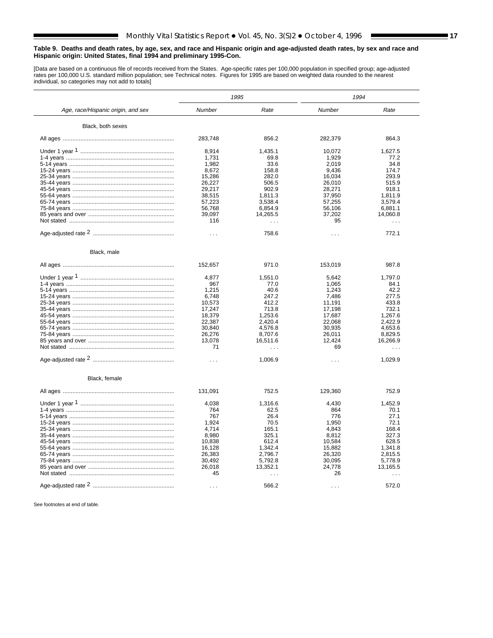#### **Table 9. Deaths and death rates, by age, sex, and race and Hispanic origin and age-adjusted death rates, by sex and race and Hispanic origin: United States, final 1994 and preliminary 1995-Con.**

 $\blacksquare$ 

 $\overline{a}$ 

[Data are based on a continuous file of records received from the States. Age-specific rates per 100,000 population in specified group; age-adjusted<br>rates per 100,000 U.S. standard million population; se[e Technical notes.](#page-34-0)

|                                    |               | 1995          | 1994                 |                      |
|------------------------------------|---------------|---------------|----------------------|----------------------|
| Age, race/Hispanic origin, and sex | <b>Number</b> | Rate          | <b>Number</b>        | Rate                 |
| Black, both sexes                  |               |               |                      |                      |
|                                    | 283,748       | 856.2         | 282,379              | 864.3                |
|                                    | 8,914         | 1,435.1       | 10,072               | 1,627.5              |
|                                    | 1,731         | 69.8          | 1,929                | 77.2                 |
|                                    | 1,982         | 33.6          | 2,019                | 34.8                 |
|                                    | 8,672         | 158.8         | 9,436                | 174.7                |
|                                    | 15,286        | 282.0         | 16,034               | 293.9                |
|                                    | 26,227        | 506.5         | 26,010               | 515.9                |
|                                    | 29,217        | 902.9         | 28,271               | 918.1                |
|                                    | 38,515        | 1,811.3       | 37,950               | 1,811.9              |
|                                    | 57,223        | 3,538.4       | 57,255               | 3,579.4              |
|                                    | 56,768        | 6,854.9       | 56,106               | 6,881.1              |
|                                    | 39,097        | 14,265.5      | 37,202               | 14,060.8             |
|                                    | 116           | $\cdots$      | 95                   | $\cdots$             |
|                                    |               |               |                      |                      |
|                                    | $\sim$ $\sim$ | 758.6         | $\sim$ $\sim$ $\sim$ | 772.1                |
| Black, male                        |               |               |                      |                      |
|                                    | 152,657       | 971.0         | 153,019              | 987.8                |
|                                    | 4,877         | 1,551.0       | 5,642                | 1,797.0              |
|                                    | 967           | 77.0          | 1,065                | 84.1                 |
|                                    | 1,215         | 40.6          | 1,243                | 42.2                 |
|                                    | 6,748         | 247.2         | 7,486                | 277.5                |
|                                    | 10,573        | 412.2         | 11,191               | 433.8                |
|                                    | 17,247        | 713.8         | 17,198               | 732.1                |
|                                    | 18,379        | 1,253.6       | 17,687               | 1,267.6              |
|                                    | 22.387        | 2,420.4       | 22,068               | 2.422.9              |
|                                    | 30,840        | 4,576.8       | 30,935               | 4,653.6              |
|                                    | 26,276        | 8,707.6       | 26,011               | 8,829.5              |
|                                    | 13,078        | 16,511.6      | 12,424               | 16,266.9             |
|                                    | 71            | $\sim$ $\sim$ | 69                   | $\sim$ $\sim$ $\sim$ |
|                                    |               |               |                      |                      |
|                                    | $\sim$ $\sim$ | 1,006.9       | $\sim$ $\sim$        | 1,029.9              |
| Black, female                      |               |               |                      |                      |
|                                    | 131,091       | 752.5         | 129,360              | 752.9                |
|                                    | 4,038         | 1,316.6       | 4,430                | 1,452.9              |
|                                    | 764           | 62.5          | 864                  | 70.1                 |
|                                    | 767           | 26.4          | 776                  | 27.1                 |
|                                    | 1,924         | 70.5          | 1,950                | 72.1                 |
|                                    | 4,714         | 165.1         | 4,843                | 168.4                |
|                                    | 8,980         | 325.1         | 8,812                | 327.3                |
|                                    | 10,838        | 612.4         | 10,584               | 628.5                |
|                                    | 16,128        | 1,342.4       | 15,882               | 1,341.8              |
|                                    | 26,383        | 2,796.7       | 26,320               | 2,815.5              |
|                                    | 30,492        | 5,792.8       | 30,095               | 5,778.9              |
|                                    | 26,018        | 13,352.1      | 24,778               | 13,165.5             |
|                                    | 45            | $\cdots$      | 26                   | $\sim 10^{-1}$       |
|                                    |               |               |                      |                      |
|                                    | $\cdots$      | 566.2         |                      | 572.0                |

See footnotes at end of table.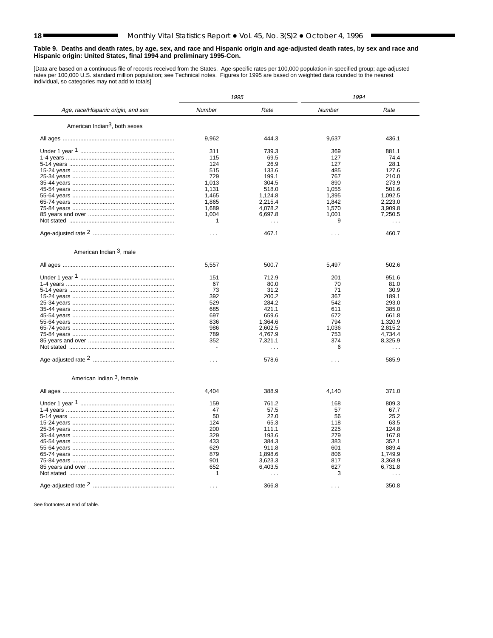**F** 

#### **Table 9. Deaths and death rates, by age, sex, and race and Hispanic origin and age-adjusted death rates, by sex and race and Hispanic origin: United States, final 1994 and preliminary 1995-Con.**

[Data are based on a continuous file of records received from the States. Age-specific rates per 100,000 population in specified group; age-adjusted<br>rates per 100,000 U.S. standard million population; see [Technical notes.](#page-34-0) 

|                                           | 1995                 |           | 1994          |                      |  |
|-------------------------------------------|----------------------|-----------|---------------|----------------------|--|
| Age, race/Hispanic origin, and sex        | Number               | Rate      | <b>Number</b> | Rate                 |  |
| American Indian <sup>3</sup> , both sexes |                      |           |               |                      |  |
|                                           | 9,962                | 444.3     | 9,637         | 436.1                |  |
|                                           |                      |           |               |                      |  |
|                                           | 311                  | 739.3     | 369           | 881.1                |  |
|                                           | 115                  | 69.5      | 127           | 74.4                 |  |
|                                           | 124                  | 26.9      | 127           | 28.1                 |  |
|                                           | 515                  | 133.6     | 485           | 127.6                |  |
|                                           | 729                  | 199.1     | 767           | 210.0                |  |
|                                           | 1,013                | 304.5     | 890           | 273.9                |  |
|                                           | 1,131                | 518.0     | 1,055         | 501.6                |  |
|                                           | 1,465                | 1,124.8   | 1,395         | 1,092.5              |  |
|                                           | 1,865                | 2,215.4   | 1,842         | 2,223.0              |  |
|                                           | 1,689                | 4,078.2   | 1,570         | 3.909.8              |  |
|                                           | 1,004                | 6,697.8   | 1,001         | 7,250.5              |  |
|                                           | 1                    | $\sim 10$ | 9             | $\sim 10$            |  |
|                                           | $\sim$ $\sim$        | 467.1     | $\sim 100$    | 460.7                |  |
|                                           |                      |           |               |                      |  |
| American Indian <sup>3</sup> , male       |                      |           |               |                      |  |
|                                           | 5,557                | 500.7     | 5,497         | 502.6                |  |
|                                           | 151                  | 712.9     | 201           | 951.6                |  |
|                                           | 67                   | 80.0      | 70            | 81.0                 |  |
|                                           | 73                   | 31.2      | 71            | 30.9                 |  |
|                                           | 392                  | 200.2     | 367           | 189.1                |  |
|                                           | 529                  | 284.2     | 542           | 293.0                |  |
|                                           | 685                  | 421.1     | 611           | 385.0                |  |
|                                           | 697                  | 659.6     | 672           | 661.8                |  |
|                                           |                      |           |               |                      |  |
|                                           | 836                  | 1,364.6   | 794           | 1.320.9              |  |
|                                           | 986                  | 2,602.5   | 1,036         | 2,815.2              |  |
|                                           | 789                  | 4,767.9   | 753           | 4,734.4              |  |
|                                           | 352                  | 7,321.1   | 374           | 8,325.9              |  |
|                                           | ÷                    | $\cdots$  | 6             | $\sim$ $\sim$ $\sim$ |  |
|                                           | $\cdots$             | 578.6     | $\sim$        | 585.9                |  |
| American Indian <sup>3</sup> , female     |                      |           |               |                      |  |
|                                           | 4,404                | 388.9     | 4,140         | 371.0                |  |
|                                           | 159                  | 761.2     | 168           | 809.3                |  |
|                                           | 47                   | 57.5      | 57            | 67.7                 |  |
|                                           | 50                   | 22.0      | 56            | 25.2                 |  |
|                                           | 124                  | 65.3      | 118           | 63.5                 |  |
|                                           |                      |           |               |                      |  |
|                                           | 200                  | 111.1     | 225           | 124.8                |  |
|                                           | 329                  | 193.6     | 279           | 167.8                |  |
|                                           | 433                  | 384.3     | 383           | 352.1                |  |
|                                           | 629                  | 911.8     | 601           | 889.4                |  |
|                                           | 879                  | 1,898.6   | 806           | 1,749.9              |  |
|                                           | 901                  | 3,623.3   | 817           | 3,368.9              |  |
|                                           | 652                  | 6,403.5   | 627           | 6,731.8              |  |
|                                           | 1                    | $\cdots$  | 3             | $\cdots$             |  |
|                                           |                      |           |               |                      |  |
|                                           | $\sim$ $\sim$ $\sim$ | 366.8     | $\cdots$      | 350.8                |  |

See footnotes at end of table.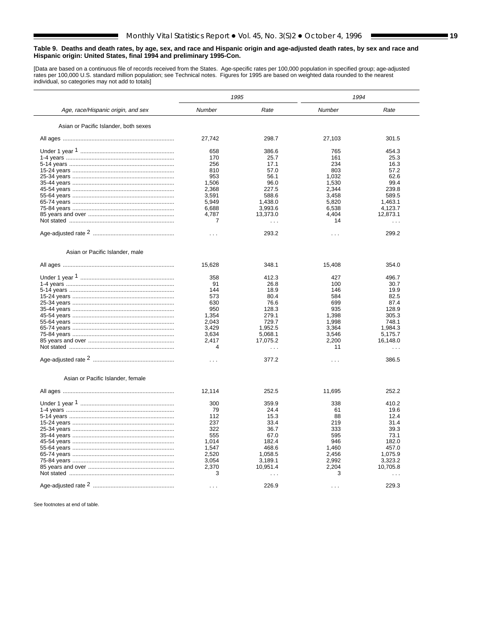#### **Table 9. Deaths and death rates, by age, sex, and race and Hispanic origin and age-adjusted death rates, by sex and race and Hispanic origin: United States, final 1994 and preliminary 1995-Con.**

 $\blacksquare$ 

 $\overline{a}$ 

[Data are based on a continuous file of records received from the States. Age-specific rates per 100,000 population in specified group; age-adjusted<br>rates per 100,000 U.S. standard million population; se[e Technical notes.](#page-34-0)

|                                       |                      | 1995                 |                      | 1994                 |
|---------------------------------------|----------------------|----------------------|----------------------|----------------------|
| Age, race/Hispanic origin, and sex    | Number               | Rate                 | Number               | Rate                 |
| Asian or Pacific Islander, both sexes |                      |                      |                      |                      |
|                                       | 27,742               | 298.7                | 27,103               | 301.5                |
|                                       | 658                  | 386.6                | 765                  | 454.3                |
|                                       | 170                  | 25.7                 | 161                  | 25.3                 |
|                                       | 256                  | 17.1                 | 234                  | 16.3                 |
|                                       | 810                  | 57.0                 | 803                  | 57.2                 |
|                                       | 953                  | 56.1                 | 1,032                | 62.6                 |
|                                       | 1,506                | 96.0                 | 1,530                | 99.4                 |
|                                       | 2,368                | 227.5                | 2,344                | 239.8                |
|                                       |                      |                      |                      |                      |
|                                       | 3,591                | 588.6                | 3,458                | 589.5                |
|                                       | 5,949                | 1,438.0              | 5,820                | 1,463.1              |
|                                       | 6,688                | 3,993.6              | 6,538                | 4,123.7              |
|                                       | 4,787                | 13,373.0             | 4,404                | 12,873.1             |
|                                       | 7                    | $\cdots$             | 14                   | $\cdots$             |
|                                       |                      |                      |                      |                      |
|                                       | $\cdots$             | 293.2                | $\cdots$             | 299.2                |
| Asian or Pacific Islander, male       |                      |                      |                      |                      |
|                                       | 15,628               | 348.1                | 15,408               | 354.0                |
|                                       | 358                  | 412.3                | 427                  | 496.7                |
|                                       | 91                   | 26.8                 | 100                  | 30.7                 |
|                                       | 144                  | 18.9                 | 146                  | 19.9                 |
|                                       | 573                  | 80.4                 | 584                  | 82.5                 |
|                                       |                      |                      |                      |                      |
|                                       | 630                  | 76.6                 | 699                  | 87.4                 |
|                                       | 950                  | 128.3                | 935                  | 128.9                |
|                                       | 1,354                | 279.1                | 1,398                | 305.3                |
|                                       | 2,043                | 729.7                | 1,998                | 748.1                |
|                                       | 3,429                | 1,952.5              | 3,364                | 1,984.3              |
|                                       | 3,634                | 5,068.1              | 3,546                | 5,175.7              |
|                                       | 2,417                | 17,075.2             | 2,200                | 16,148.0             |
|                                       | 4                    | $\sim$ $\sim$ $\sim$ | 11                   | $\sim$ $\sim$ $\sim$ |
|                                       | $\sim$ $\sim$ $\sim$ | 377.2                | $\sim$ $\sim$ $\sim$ | 386.5                |
| Asian or Pacific Islander, female     |                      |                      |                      |                      |
|                                       |                      |                      |                      |                      |
|                                       | 12,114               | 252.5                | 11,695               | 252.2                |
|                                       | 300                  | 359.9                | 338                  | 410.2                |
|                                       | 79                   | 24.4                 | 61                   | 19.6                 |
|                                       | 112                  | 15.3                 | 88                   | 12.4                 |
|                                       | 237                  | 33.4                 | 219                  | 31.4                 |
|                                       |                      |                      |                      |                      |
|                                       | 322                  | 36.7                 | 333                  | 39.3                 |
|                                       | 555                  | 67.0                 | 595                  | 73.1                 |
|                                       | 1,014                | 182.4                | 946                  | 182.0                |
|                                       | 1,547                | 468.6                | 1,460                | 457.0                |
|                                       | 2,520                | 1,058.5              | 2,456                | 1,075.9              |
|                                       | 3,054                | 3,189.1              | 2,992                | 3,323.2              |
|                                       | 2,370                | 10,951.4             | 2,204                | 10,705.8             |
|                                       | 3                    | $\sim$ $\sim$ $\sim$ | 3                    | $\cdots$             |
|                                       |                      |                      |                      |                      |
|                                       | $\sim$ $\sim$ $\sim$ | 226.9                | $\cdots$             | 229.3                |

See footnotes at end of table.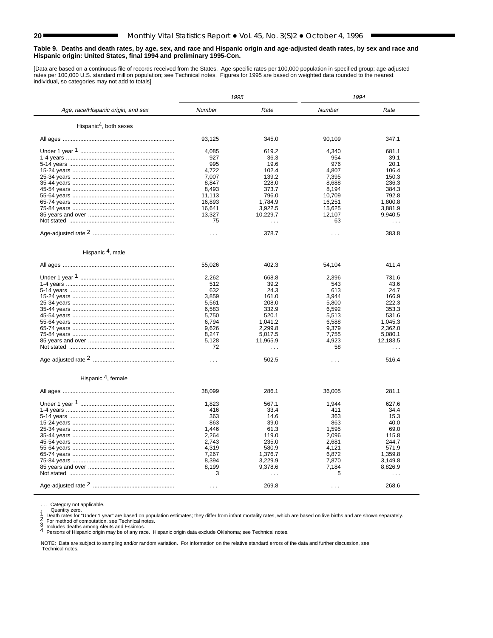**F** 

#### **Table 9. Deaths and death rates, by age, sex, and race and Hispanic origin and age-adjusted death rates, by sex and race and Hispanic origin: United States, final 1994 and preliminary 1995-Con.**

[Data are based on a continuous file of records received from the States. Age-specific rates per 100,000 population in specified group; age-adjusted rates per 100,000 U.S. standard million population; se[e Technical notes.](#page-34-0) Figures for 1995 are based on weighted data rounded to the nearest individual, so categories may not add to totals]

|                                    | 1995                 |           | 1994                 |           |
|------------------------------------|----------------------|-----------|----------------------|-----------|
| Age, race/Hispanic origin, and sex | Number               | Rate      | Number               | Rate      |
| Hispanic <sup>4</sup> , both sexes |                      |           |                      |           |
|                                    | 93,125               | 345.0     | 90,109               | 347.1     |
|                                    | 4,085                | 619.2     | 4,340                | 681.1     |
|                                    | 927                  | 36.3      | 954                  | 39.1      |
|                                    | 995                  | 19.6      | 976                  | 20.1      |
|                                    | 4.722                | 102.4     | 4.807                | 106.4     |
|                                    | 7.007                | 139.2     | 7.395                | 150.3     |
|                                    | 8.847                | 228.0     | 8,688                | 236.3     |
|                                    | 8,493                | 373.7     | 8,194                | 384.3     |
|                                    | 11,113               | 796.0     | 10,709               | 792.8     |
|                                    |                      | 1.784.9   |                      | 1.800.8   |
|                                    | 16,893               |           | 16,251               |           |
|                                    | 16,641               | 3,922.5   | 15,625               | 3,881.9   |
|                                    | 13,327               | 10,229.7  | 12,107               | 9,940.5   |
|                                    | 75                   | $\cdots$  | 63                   | $\cdots$  |
|                                    | $\cdots$             | 378.7     | $\cdots$             | 383.8     |
| Hispanic <sup>4</sup> , male       |                      |           |                      |           |
|                                    | 55,026               | 402.3     | 54,104               | 411.4     |
|                                    |                      |           |                      |           |
|                                    | 2,262                | 668.8     | 2,396                | 731.6     |
|                                    | 512                  | 39.2      | 543                  | 43.6      |
|                                    | 632                  | 24.3      | 613                  | 24.7      |
|                                    | 3,859                | 161.0     | 3,944                | 166.9     |
|                                    | 5,561                | 208.0     | 5,800                | 222.3     |
|                                    | 6,583                | 332.9     | 6,592                | 353.3     |
|                                    | 5,750                | 520.1     | 5,513                | 531.6     |
|                                    |                      |           |                      |           |
|                                    | 6,794                | 1,041.2   | 6,588                | 1,045.3   |
|                                    | 9,626                | 2,299.8   | 9,379                | 2,362.0   |
|                                    | 8,247                | 5,017.5   | 7,755                | 5,080.1   |
|                                    | 5,128                | 11,965.9  | 4,923                | 12,183.5  |
|                                    | 72                   | $\sim 10$ | 58                   | $\sim 10$ |
|                                    | $\sim$ $\sim$ $\sim$ | 502.5     | $\sim$ $\sim$ $\sim$ | 516.4     |
|                                    |                      |           |                      |           |
| Hispanic <sup>4</sup> , female     |                      |           |                      |           |
|                                    | 38,099               | 286.1     | 36,005               | 281.1     |
|                                    |                      |           |                      |           |
|                                    | 1,823                | 567.1     | 1,944                | 627.6     |
|                                    | 416                  | 33.4      | 411                  | 34.4      |
|                                    | 363                  | 14.6      | 363                  | 15.3      |
|                                    | 863                  | 39.0      | 863                  | 40.0      |
|                                    | 1,446                | 61.3      | 1,595                | 69.0      |
|                                    | 2,264                | 119.0     | 2,096                | 115.8     |
|                                    | 2,743                | 235.0     | 2,681                | 244.7     |
|                                    | 4,319                | 580.9     | 4,121                | 571.9     |
|                                    |                      |           |                      |           |
|                                    | 7,267                | 1,376.7   | 6,872                | 1,359.8   |
|                                    | 8,394                | 3,229.9   | 7,870                | 3,149.8   |
|                                    | 8,199                | 9,378.6   | 7,184                | 8,826.9   |
|                                    | 3                    |           | 5                    |           |
|                                    |                      |           |                      |           |
|                                    | $\sim$ $\sim$ $\sim$ | 269.8     | $\sim$ $\sim$ $\sim$ | 268.6     |

... Category not applicable.<br>1 \_ Quantity zero....

Quantity zero.<br>
2 Death rates for "Under 1 year" are based on population estimates; they differ from infant mortality rates, which are based on live births and are shown separately.<br>
2 For method of computation, see Techni

 NOTE: Data are subject to sampling and/or random variation. For information on the relative standard errors of the data and further discussion, see [Technical notes.](#page-34-0)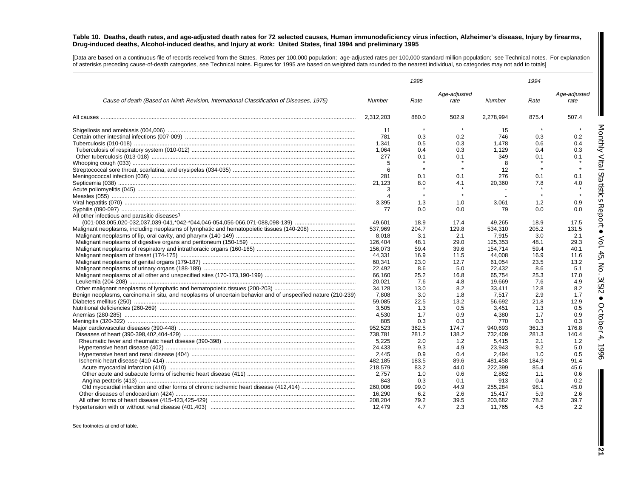#### <span id="page-20-0"></span>**Table 10. Deaths, death rates, and age-adjusted death rates for 72 selected causes, Human immunodeficiency virus infection, Alzheimer's disease, Injury by firearms, Drug-induced deaths, Alcohol-induced deaths, and Injury at work: United States, final 1994 and preliminary 1995**

[Data are based on a continuous file of records received from the States. Rates per 100,000 population; age-adjusted rates per 100,000 standard million population; see [Technical](#page-34-0) [notes.](#page-34-0) For explanation of asterisks preceding cause-of-death categories, see [Technical notes](#page-34-0). Figures for 1995 are based on weighted data rounded to the nearest individual, so categories may not add to totals]

|                                                                                                              |               | 1995    |                      |           | 1994  |                      |
|--------------------------------------------------------------------------------------------------------------|---------------|---------|----------------------|-----------|-------|----------------------|
| Cause of death (Based on Ninth Revision, International Classification of Diseases, 1975)                     | Number        | Rate    | Age-adjusted<br>rate | Number    | Rate  | Age-adjusted<br>rate |
|                                                                                                              | 2,312,203     | 880.0   | 502.9                | 2,278,994 | 875.4 | 507.4                |
|                                                                                                              | 11            |         |                      | 15        |       |                      |
|                                                                                                              | 781           | 0.3     | 0.2                  | 746       | 0.3   | 0.2                  |
|                                                                                                              | 1.341         | 0.5     | 0.3                  | 1.478     | 0.6   | 0.4                  |
|                                                                                                              | 1,064         | 0.4     | 0.3                  | 1,129     | 0.4   | Monthly<br>0.3       |
|                                                                                                              | 277           | 0.1     | 0.1                  | 349       | 0.1   | 0.1                  |
|                                                                                                              | 5             |         |                      | 8         |       |                      |
|                                                                                                              | 6             | $\star$ | $\star$              | 12        |       |                      |
|                                                                                                              | 281           | 0.1     | 0.1                  | 276       | 0.1   | 0.1                  |
|                                                                                                              | 21.123        | 8.0     |                      |           | 7.8   |                      |
|                                                                                                              |               |         | 4.1                  | 20,360    |       | 4.0                  |
|                                                                                                              | 3<br>$\Delta$ | $\star$ | $\star$              |           |       |                      |
|                                                                                                              |               | 1.3     |                      |           | 1.2   | 0.9                  |
|                                                                                                              | 3,395         |         | 1.0                  | 3.061     |       |                      |
|                                                                                                              | 77            | 0.0     | 0.0                  | 79        | 0.0   | Report<br>0.0        |
| All other infectious and parasitic diseases <sup>1</sup>                                                     |               |         |                      |           |       |                      |
|                                                                                                              | 49.601        | 18.9    | 17.4                 | 49.265    | 18.9  | 17.5                 |
|                                                                                                              | 537,969       | 204.7   | 129.8                | 534,310   | 205.2 | 131.5                |
|                                                                                                              | 8.018         | 3.1     | 2.1                  | 7.915     | 3.0   | 2.1                  |
|                                                                                                              | 126.404       | 48.1    | 29.0                 | 125,353   | 48.1  | 29.3                 |
|                                                                                                              | 156,073       | 59.4    | 39.6                 | 154,714   | 59.4  | 40.1                 |
|                                                                                                              | 44,331        | 16.9    | 11.5                 | 44,008    | 16.9  | 11.6                 |
|                                                                                                              | 60.341        | 23.0    | 12.7                 | 61,054    | 23.5  | 13.2                 |
|                                                                                                              | 22,492        | 8.6     | 5.0                  | 22,432    | 8.6   | 5.1                  |
|                                                                                                              | 66,160        | 25.2    | 16.8                 | 65.754    | 25.3  | 17.0                 |
|                                                                                                              | 20.021        | 7.6     | 4.8                  | 19.669    | 7.6   | 4.9                  |
|                                                                                                              | 34,128        | 13.0    | 8.2                  | 33,411    | 12.8  | 8.2                  |
| Benign neoplasms, carcinoma in situ, and neoplasms of uncertain behavior and of unspecified nature (210-239) | 7,808         | 3.0     | 1.8                  | 7,517     | 2.9   | 1.7                  |
|                                                                                                              | 59.085        | 22.5    | 13.2                 | 56.692    | 21.8  | 12.9                 |
|                                                                                                              | 3,505         | 1.3     | 0.5                  | 3,451     | 1.3   | 0.5                  |
|                                                                                                              | 4.530         | 1.7     | 0.9                  | 4.380     | 1.7   | 0.9                  |
|                                                                                                              | 805           | 0.3     | 0.3                  | 770       | 0.3   | 0.3                  |
|                                                                                                              | 952,523       | 362.5   | 174.7                | 940.693   | 361.3 | 176.8                |
|                                                                                                              | 738,781       | 281.2   | 138.2                | 732.409   | 281.3 | 140.4                |
|                                                                                                              | 5.225         | 2.0     | 1.2                  | 5.415     | 2.1   | 1.2                  |
|                                                                                                              | 24,433        | 9.3     | 4.9                  | 23,943    | 9.2   | 5.0                  |
|                                                                                                              | 2,445         | 0.9     | 0.4                  | 2,494     | 1.0   | 0.5                  |
|                                                                                                              | 482,185       | 183.5   | 89.6                 | 481,458   | 184.9 | 91.4                 |
|                                                                                                              | 218,579       | 83.2    | 44.0                 | 222,399   | 85.4  | 45.6                 |
|                                                                                                              | 2,757         | 1.0     | 0.6                  | 2,862     | 1.1   | 0.6                  |
|                                                                                                              | 843           | 0.3     | 0.1                  | 913       | 0.4   | 0.2                  |
|                                                                                                              | 260,006       | 99.0    | 44.9                 | 255.284   | 98.1  | 45.0                 |
|                                                                                                              | 16,290        | 6.2     | 2.6                  | 15,417    | 5.9   | 2.6                  |
|                                                                                                              | 208,204       | 79.2    | 39.5                 | 203.682   | 78.2  | 39.7                 |
|                                                                                                              | 12,479        | 4.7     | 2.3                  | 11,765    | 4.5   | 2.2                  |

See footnotes at end of table.

**21**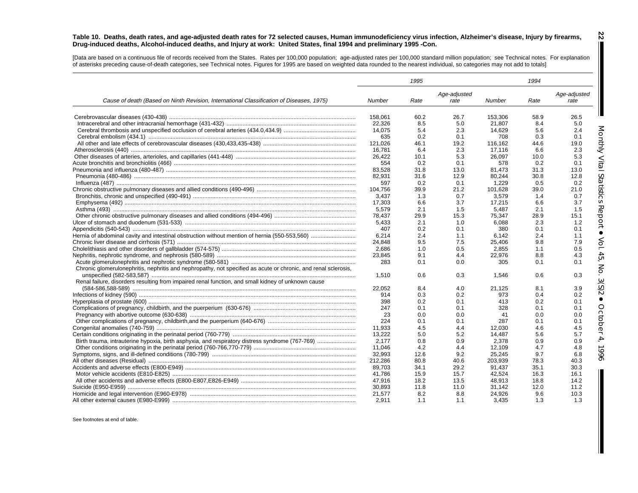#### **Table 10. Deaths, death rates, and age-adjusted death rates for 72 selected causes, Human immunodeficiency virus infection, Alzheimer's disease, Injury by firearms, Drug-induced deaths, Alcohol-induced deaths, and Injury at work: United States, final 1994 and preliminary 1995 -Con.**

[Data are based on a continuous file of records received from the States. Rates per 100,000 population; age-adjusted rates per 100,000 standard million population; se[e Technical notes.](#page-34-0) For explanation of asterisks preceding cause-of-death categories, see [Technical notes.](#page-34-0) Figures for 1995 are based on weighted data rounded to the nearest individual, so categories may not add to totals]

|                                                                                                                |         | 1995 |                      |         | 1994 |                      |
|----------------------------------------------------------------------------------------------------------------|---------|------|----------------------|---------|------|----------------------|
| Cause of death (Based on Ninth Revision, International Classification of Diseases, 1975)                       | Number  | Rate | Age-adjusted<br>rate | Number  | Rate | Age-adjusted<br>rate |
|                                                                                                                | 158,061 | 60.2 | 26.7                 | 153,306 | 58.9 | 26.5                 |
|                                                                                                                | 22,326  | 8.5  | 5.0                  | 21,807  | 8.4  | 5.0                  |
|                                                                                                                | 14,075  | 5.4  | 2.3                  | 14,629  | 5.6  | 2.4                  |
|                                                                                                                | 635     | 0.2  | 0.1                  | 708     | 0.3  | Monthly<br>0.1       |
|                                                                                                                | 121.026 | 46.1 | 19.2                 | 116.162 | 44.6 | 19.0                 |
|                                                                                                                | 16.781  | 6.4  | 2.3                  | 17.116  | 6.6  | 2.3                  |
|                                                                                                                | 26,422  | 10.1 | 5.3                  | 26,097  | 10.0 | 5.3                  |
|                                                                                                                | 554     | 0.2  | 0.1                  | 578     | 0.2  | 0.1                  |
|                                                                                                                | 83,528  | 31.8 | 13.0                 | 81,473  | 31.3 | 13.0                 |
|                                                                                                                | 82,931  | 31.6 | 12.9                 | 80,244  | 30.8 | 12.8                 |
|                                                                                                                | 597     | 0.2  | 0.1                  | 1,229   | 0.5  | 0.2                  |
|                                                                                                                | 104,756 | 39.9 | 21.2                 | 101,628 | 39.0 | 21.0                 |
|                                                                                                                | 3.437   | 1.3  | 0.7                  | 3.579   | 1.4  | 0.7                  |
|                                                                                                                | 17.303  | 6.6  | 3.7                  | 17,215  | 6.6  | 3.7                  |
|                                                                                                                | 5.579   | 2.1  | 1.5                  | 5.487   | 2.1  | 1.5                  |
|                                                                                                                | 78.437  | 29.9 | 15.3                 | 75,347  | 28.9 | Report<br>15.1       |
|                                                                                                                | 5,433   | 2.1  | 1.0                  | 6,088   | 2.3  | 1.2                  |
|                                                                                                                | 407     | 0.2  | 0.1                  | 380     | 0.1  | 0.1                  |
|                                                                                                                | 6,214   | 2.4  | 1.1                  | 6,142   | 2.4  | 1.1                  |
|                                                                                                                | 24,848  | 9.5  | 7.5                  | 25,406  | 9.8  | 7.9                  |
|                                                                                                                | 2.686   | 1.0  | 0.5                  | 2.855   | 1.1  | 0.5                  |
|                                                                                                                | 23.845  | 9.1  | 4.4                  | 22,976  | 8.8  | 4.3                  |
|                                                                                                                | 283     | 0.1  | 0.0                  | 305     | 0.1  | 0.1                  |
| Chronic glomerulonephritis, nephritis and nephropathy, not specified as acute or chronic, and renal sclerosis, |         |      |                      |         |      |                      |
|                                                                                                                | 1.510   | 0.6  | 0.3                  | 1,546   | 0.6  | 0.3                  |
| Renal failure, disorders resulting from impaired renal function, and small kidney of unknown cause             |         |      |                      |         |      |                      |
|                                                                                                                | 22,052  | 8.4  | 4.0                  | 21,125  | 8.1  | 3.9                  |
|                                                                                                                | 914     | 0.3  | 0.2                  | 973     | 0.4  | 0.2                  |
|                                                                                                                | 398     | 0.2  | 0.1                  | 413     | 0.2  | 0.1                  |
|                                                                                                                | 247     | 0.1  | 0.1                  | 328     | 0.1  | 0.1                  |
|                                                                                                                | -23     | 0.0  | 0.0                  | 41      | 0.0  | 0.0                  |
|                                                                                                                | 224     | 0.1  | 0.1                  | 287     | 0.1  | 0.1                  |
|                                                                                                                | 11.933  | 4.5  | 4.4                  | 12,030  | 4.6  | 4.5                  |
|                                                                                                                | 13,222  | 5.0  | 5.2                  | 14,487  | 5.6  | 5.7                  |
|                                                                                                                | 2,177   | 0.8  | 0.9                  | 2,378   | 0.9  | 0.9                  |
|                                                                                                                | 11,046  | 4.2  | 4.4                  | 12,109  | 4.7  | 4.8                  |
|                                                                                                                | 32,993  | 12.6 | 9.2                  | 25,245  | 9.7  | 6.8                  |
|                                                                                                                | 212,286 | 80.8 | 40.6                 | 203.939 | 78.3 | 40.3                 |
|                                                                                                                | 89.703  | 34.1 | 29.2                 | 91,437  | 35.1 | 30.3                 |
|                                                                                                                | 41.786  | 15.9 |                      |         |      | 16.1                 |
|                                                                                                                |         |      | 15.7                 | 42.524  | 16.3 |                      |
|                                                                                                                | 47.916  | 18.2 | 13.5                 | 48.913  | 18.8 | 14.2                 |
|                                                                                                                | 30,893  | 11.8 | 11.0                 | 31,142  | 12.0 | 11.2                 |
|                                                                                                                | 21,577  | 8.2  | 8.8                  | 24,926  | 9.6  | 10.3                 |
|                                                                                                                | 2,911   | 1.1  | 1.1                  | 3.435   | 1.3  | 1.3                  |

See footnotes at end of table.

**22** H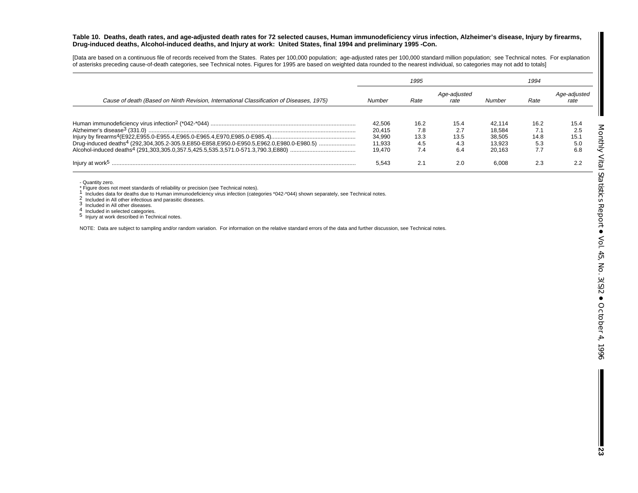#### **Table 10. Deaths, death rates, and age-adjusted death rates for 72 selected causes, Human immunodeficiency virus infection, Alzheimer's disease, Injury by firearms, Drug-induced deaths, Alcohol-induced deaths, and Injury at work: United States, final 1994 and preliminary 1995 -Con.**

[Data ar[e](#page-34-0) based on a continuous file of records received from the States. Rates per 100,000 population; age-adjusted rates per 100,000 standard million population; see [Technical](#page-34-0) [notes.](#page-34-0) For explanation of asterisks preceding cause-of-death categories, se[e Technical notes.](#page-34-0) Figures for 1995 are based on weighted data rounded to the nearest individual, so categories may not add to totals]

|                                                                                                     | 1995                                           |                                   |                                   | 1994                                           |                     |                                  |
|-----------------------------------------------------------------------------------------------------|------------------------------------------------|-----------------------------------|-----------------------------------|------------------------------------------------|---------------------|----------------------------------|
| Cause of death (Based on Ninth Revision, International Classification of Diseases, 1975)            | Number                                         | Rate                              | Age-adjusted<br>rate              | Number                                         | Rate                |                                  |
| Drug-induced deaths <sup>4</sup> (292,304,305.2-305.9,E850-E858,E950.0-E950.5,E962.0,E980.0-E980.5) | 42.506<br>20.415<br>34.990<br>11.933<br>19.470 | 16.2<br>7.8<br>13.3<br>4.5<br>7.4 | 15.4<br>2.7<br>13.5<br>4.3<br>6.4 | 42.114<br>18.584<br>38.505<br>13.923<br>20.163 | 16.2<br>14.8<br>5.3 | 15.4<br>2.5<br>15.<br>5.0<br>6.8 |
| Injury at work <sup>5</sup>                                                                         | 5.543                                          | 2.1                               | 2.0                               | 6.008                                          | 2.3                 |                                  |

- Quantity zero.

\* Figure does not meet standards of reliability or precision (see [Technical notes\)](#page-34-0).<br>
1 Includes data for deaths due to Human immunodeficiency virus infection (categories \*042-\*044) shown separately, se[e Technical notes.](#page-34-0)<br>
2

 $5$  Injury at work described in [Technical](#page-34-0) [notes](#page-34-0).

NOTE: Data are subject to sampling and/or random variation. For information on the relative standard errors of the data and further discussion, se[e Technical notes.](#page-34-0)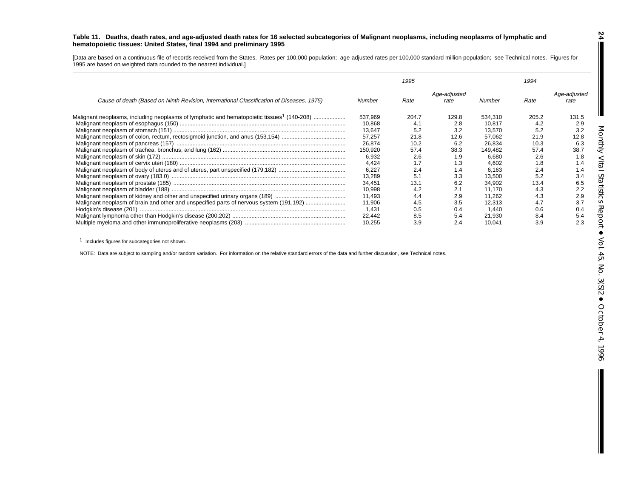#### <span id="page-23-0"></span>**Table 11. Deaths, death rates, and age-adjusted death rates for 16 selected subcategories of Malignant neoplasms, including neoplasms of lymphatic and hematopoietic tissues: United States, final 1994 and preliminary 1995**

[Data are based on a continuous file of records received from the States. Rates per 100,000 population; age-adjusted rates per 100,000 standard million population; se[e Technical notes.](#page-34-0) Figures for 1995 are based on weighted data rounded to the nearest individual.]

|                                                                                                        | 1995    |       |                      |         | 1994  |                      |  |
|--------------------------------------------------------------------------------------------------------|---------|-------|----------------------|---------|-------|----------------------|--|
| Cause of death (Based on Ninth Revision, International Classification of Diseases, 1975)               | Number  | Rate  | Age-adjusted<br>rate | Number  | Rate  | Age-adjusted<br>rate |  |
| Malignant neoplasms, including neoplasms of lymphatic and hematopoietic tissues <sup>1</sup> (140-208) | 537.969 | 204.7 | 129.8                | 534.310 | 205.2 | 131.5                |  |
|                                                                                                        | 10,868  | 4.1   | 2.8                  | 10.817  | 4.2   | 2.9                  |  |
|                                                                                                        | 13,647  | 5.2   | 3.2                  | 13.570  | 5.2   | 3.2                  |  |
|                                                                                                        | 57,257  | 21.8  | 12.6                 | 57.062  | 21.9  | 12.8                 |  |
|                                                                                                        | 26.874  | 10.2  | 6.2                  | 26.834  | 10.3  | 6.3                  |  |
|                                                                                                        | 150.920 | 57.4  | 38.3                 | 149.482 | 57.4  | 38.7                 |  |
|                                                                                                        | 6,932   | 2.6   | 1.9                  | 6,680   | 2.6   | 1.8                  |  |
|                                                                                                        | 4.424   | 1.7   | 1.3                  | 4,602   | 1.8   | 1.4                  |  |
|                                                                                                        | 6,227   | 2.4   | 1.4                  | 6,163   | 2.4   | 1.4                  |  |
|                                                                                                        | 13,289  | 5.1   | 3.3                  | 13,500  | 5.2   | 3.4                  |  |
|                                                                                                        | 34.451  | 13.1  | 6.2                  | 34.902  | 13.4  | 6.5                  |  |
|                                                                                                        | 10,998  | 4.2   | 2.1                  | 11.170  | 4.3   | 2.2                  |  |
|                                                                                                        | 11.493  | 4.4   | 2.9                  | 11.262  | 4.3   | 2.9                  |  |
|                                                                                                        | 11.906  | 4.5   | 3.5                  | 12.313  | 4.7   | 3.7                  |  |
|                                                                                                        | 1.431   | 0.5   | 0.4                  | 1.440   | 0.6   | 0.4                  |  |
|                                                                                                        | 22.442  | 8.5   | 5.4                  | 21,930  | 8.4   | 5.4                  |  |
|                                                                                                        | 10.255  | 3.9   | 2.4                  | 10.041  | 3.9   | 2.3                  |  |

<sup>1</sup> Includes figures for subcategories not shown.

NOTE: Data are subject to sampling and/or random variation. For information on the relative standard errors of the data and further discussion, se[e Technical notes.](#page-34-0)

**24**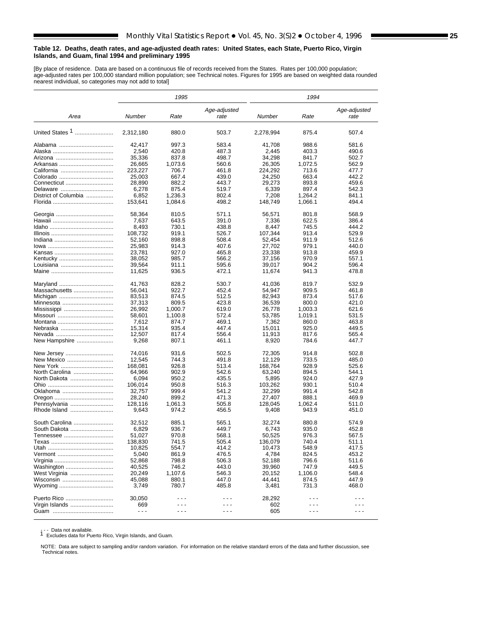#### <span id="page-24-0"></span>**Table 12. Deaths, death rates, and age-adjusted death rates: United States, each State, Puerto Rico, Virgin Islands, and Guam, final 1994 and preliminary 1995**

E

[By place of residence. Data are based on a continuous file of records received from the States. Rates per 100,000 population;<br>age-adjusted rates per 100,000 standard million population; see [Technical notes.](#page-34-0) Figures for 19

|                      |           | 1995    |                      |           | 1994    |                      |  |
|----------------------|-----------|---------|----------------------|-----------|---------|----------------------|--|
| Area                 | Number    | Rate    | Age-adjusted<br>rate | Number    | Rate    | Age-adjusted<br>rate |  |
| United States 1      | 2,312,180 | 880.0   | 503.7                | 2,278,994 | 875.4   | 507.4                |  |
|                      |           |         |                      |           |         |                      |  |
|                      | 42,417    | 997.3   | 583.4                | 41,708    | 988.6   | 581.6                |  |
|                      | 2,540     | 420.8   | 487.3                | 2,445     | 403.3   | 490.6                |  |
|                      | 35,336    | 837.8   | 498.7                | 34,298    | 841.7   | 502.7                |  |
|                      | 26,665    | 1,073.6 | 560.6                | 26,305    | 1,072.5 | 562.9                |  |
| California           | 223,227   | 706.7   | 461.8                | 224,292   | 713.6   | 477.7                |  |
| Colorado             | 25,003    | 667.4   | 439.0                | 24,250    | 663.4   | 442.2                |  |
| Connecticut          | 28,890    | 882.2   | 443.7                | 29,273    | 893.8   | 459.6                |  |
| Delaware             | 6,278     | 875.4   | 519.7                | 6,339     | 897.4   | 542.3                |  |
|                      |           |         |                      |           |         |                      |  |
| District of Columbia | 6,852     | 1.236.3 | 802.4                | 7,208     | 1,264.2 | 841.1                |  |
|                      | 153,641   | 1,084.6 | 498.2                | 148,749   | 1,066.1 | 494.4                |  |
|                      | 58,364    | 810.5   | 571.1                | 56,571    | 801.8   | 568.9                |  |
|                      | 7,637     | 643.5   | 391.0                | 7,336     | 622.5   | 386.4                |  |
|                      | 8,493     | 730.1   | 438.8                | 8,447     | 745.5   | 444.2                |  |
|                      | 108,732   | 919.1   | 526.7                | 107,344   | 913.4   | 529.9                |  |
|                      | 52,160    | 898.8   | 508.4                | 52,454    | 911.9   | 512.6                |  |
|                      | 25,983    | 914.3   | 407.6                | 27,702    | 979.1   | 440.0                |  |
|                      | 23,781    | 927.0   | 465.8                | 23,338    | 913.8   | 459.9                |  |
| Kentucky             | 38,052    | 985.7   | 566.2                | 37,156    | 970.9   | 557.1                |  |
|                      |           |         |                      |           |         |                      |  |
| Louisiana            | 39,564    | 911.1   | 595.6                | 39,017    | 904.2   | 596.4                |  |
|                      | 11,625    | 936.5   | 472.1                | 11,674    | 941.3   | 478.8                |  |
| Maryland             | 41,763    | 828.2   | 530.7                | 41,036    | 819.7   | 532.9                |  |
| Massachusetts        | 56,041    | 922.7   | 452.4                | 54,947    | 909.5   | 461.8                |  |
| Michigan             | 83,513    | 874.5   | 512.5                | 82,943    | 873.4   | 517.6                |  |
| Minnesota            | 37,313    | 809.5   | 423.8                | 36,539    | 800.0   | 421.0                |  |
|                      |           |         |                      |           |         | 621.6                |  |
|                      | 26,992    | 1,000.7 | 619.0                | 26,778    | 1,003.3 |                      |  |
| Missouri             | 58,601    | 1,100.8 | 572.4                | 53,785    | 1,019.1 | 531.5                |  |
|                      | 7,612     | 874.7   | 469.1                | 7,362     | 860.0   | 463.8                |  |
| Nebraska             | 15,314    | 935.4   | 447.4                | 15,011    | 925.0   | 449.5                |  |
|                      | 12,507    | 817.4   | 556.4                | 11,913    | 817.6   | 565.4                |  |
| New Hampshire        | 9,268     | 807.1   | 461.1                | 8,920     | 784.6   | 447.7                |  |
| New Jersey           | 74,016    | 931.6   | 502.5                | 72,305    | 914.8   | 502.8                |  |
| New Mexico           | 12,545    | 744.3   | 491.8                | 12,129    | 733.5   | 485.0                |  |
|                      |           | 926.8   | 513.4                | 168,764   | 928.9   | 525.6                |  |
| New York             | 168,081   |         |                      |           |         |                      |  |
| North Carolina       | 64,966    | 902.9   | 542.6                | 63,240    | 894.5   | 544.1                |  |
| North Dakota         | 6.094     | 950.2   | 435.5                | 5,895     | 924.0   | 427.9                |  |
|                      | 106,014   | 950.8   | 516.3                | 103,262   | 930.1   | 510.4                |  |
| Oklahoma             | 32,757    | 999.4   | 541.2                | 32,299    | 991.4   | 542.8                |  |
|                      | 28,240    | 899.2   | 471.3                | 27,407    | 888.1   | 469.9                |  |
| Pennsylvania         | 128,116   | 1,061.3 | 505.8                | 128,045   | 1,062.4 | 511.0                |  |
| Rhode Island         | 9,643     | 974.2   | 456.5                | 9,408     | 943.9   | 451.0                |  |
| South Carolina       | 32,512    | 885.1   | 565.1                | 32,274    | 880.8   | 574.9                |  |
| South Dakota         | 6,829     | 936.7   | 449.7                | 6,743     | 935.0   | 452.8                |  |
|                      | 51,027    | 970.8   | 568.1                | 50,525    | 976.3   | 567.5                |  |
|                      |           |         |                      |           |         |                      |  |
|                      | 138,830   | 741.5   | 505.4                | 136,079   | 740.4   | 511.1                |  |
|                      | 10,825    | 554.7   | 414.2                | 10,473    | 548.9   | 417.5                |  |
|                      | 5,040     | 861.9   | 476.5                | 4,784     | 824.5   | 453.2                |  |
|                      | 52,868    | 798.8   | 506.3                | 52,188    | 796.6   | 511.6                |  |
| Washington           | 40,525    | 746.2   | 443.0                | 39,960    | 747.9   | 449.5                |  |
| West Virginia        | 20,249    | 1,107.6 | 546.3                | 20,152    | 1,106.0 | 548.4                |  |
| Wisconsin            | 45,088    | 880.1   | 447.0                | 44,441    | 874.5   | 447.9                |  |
| Wyoming              | 3,749     | 780.7   | 485.8                | 3,481     | 731.3   | 468.0                |  |
| Puerto Rico          | 30,050    |         | $- - -$              | 28,292    | - - -   | - - -                |  |
| Virgin Islands       |           | $- - -$ | $- - -$              | 602       | $- - -$ | - - -                |  |
|                      | 669       |         |                      |           |         |                      |  |
|                      | $- - -$   | $- - -$ | $- - -$              | 605       | $- - -$ | $- - -$              |  |

<sup>1</sup> - Data not available.<br>1 Excludes data for Puerto Rico, Virgin Islands, and Guam.

 NOTE: Data are subject to sampling and/or random variation. For information on the relative standard errors of the data and further discussion, see [Technical notes.](#page-34-0)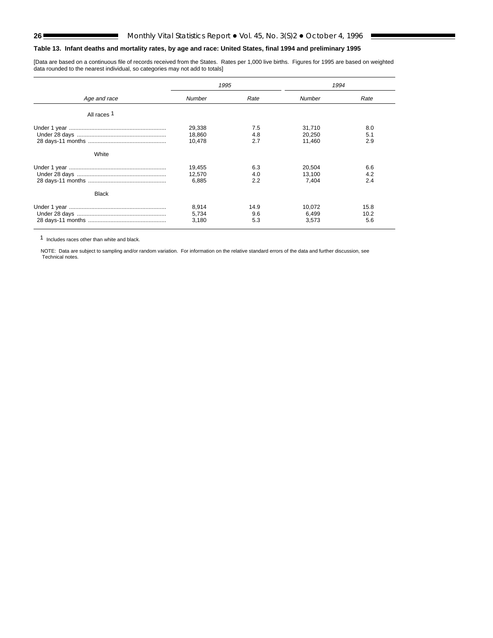# **Table 13. Infant deaths and mortality rates, by age and race: United States, final 1994 and preliminary 1995**

[Data are based on a continuous file of records received from the States. Rates per 1,000 live births. Figures for 1995 are based on weighted data rounded to the nearest individual, so categories may not add to totals]

|              | 1995                       |                    | 1994                       |                     |  |
|--------------|----------------------------|--------------------|----------------------------|---------------------|--|
| Age and race | <b>Number</b>              | Rate               | Number                     | Rate                |  |
| All races 1  |                            |                    |                            |                     |  |
|              | 29,338<br>18,860<br>10,478 | 7.5<br>4.8<br>2.7  | 31.710<br>20.250<br>11.460 | 8.0<br>5.1<br>2.9   |  |
| White        |                            |                    |                            |                     |  |
|              | 19,455<br>12,570<br>6.885  | 6.3<br>4.0<br>2.2  | 20,504<br>13,100<br>7.404  | 6.6<br>4.2<br>2.4   |  |
| <b>Black</b> |                            |                    |                            |                     |  |
|              | 8,914<br>5,734<br>3,180    | 14.9<br>9.6<br>5.3 | 10,072<br>6.499<br>3,573   | 15.8<br>10.2<br>5.6 |  |

1 Includes races other than white and black.

 NOTE: Data are subject to sampling and/or random variation. For information on the relative standard errors of the data and further discussion, see [Technical notes.](#page-34-0)

<span id="page-25-0"></span>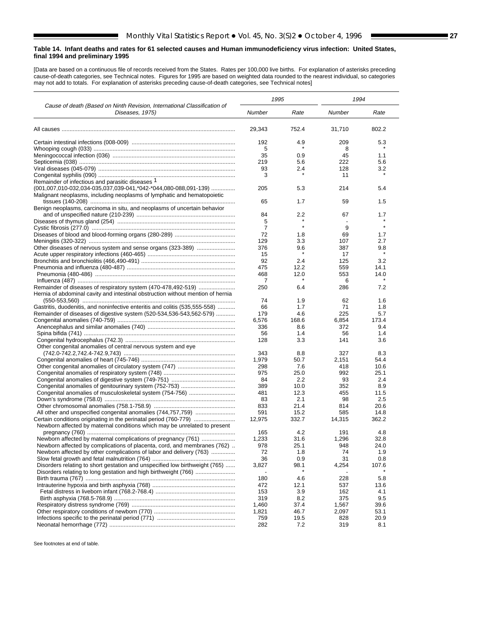#### <span id="page-26-0"></span>**Table 14. Infant deaths and rates for 61 selected causes and Human immunodeficiency virus infection: United States, final 1994 and preliminary 1995**

 $\blacksquare$ 

[Data are based on a continuous file of records received from the States. Rates per 100,000 live births. For explanation of asterisks preceding cause-of-death categories, see [Technical notes.](#page-34-0) Figures for 1995 are based on weighted data rounded to the nearest individual, so categories may not add to totals. For explanation of asterisks preceding cause-of-death categories, se[e Technical notes\]](#page-34-0)

|                                                                                                                                            | 1995           |         | 1994                     |         |  |
|--------------------------------------------------------------------------------------------------------------------------------------------|----------------|---------|--------------------------|---------|--|
| Cause of death (Based on Ninth Revision, International Classification of<br>Diseases, 1975)                                                |                | Rate    | Number                   | Rate    |  |
|                                                                                                                                            | 29,343         | 752.4   | 31,710                   | 802.2   |  |
|                                                                                                                                            | 192            | 4.9     | 209                      | 5.3     |  |
|                                                                                                                                            | 5              |         | 8                        |         |  |
|                                                                                                                                            | 35             | 0.9     | 45                       | 1.1     |  |
|                                                                                                                                            | 219            | 5.6     | 222                      | 5.6     |  |
|                                                                                                                                            | 93             | 2.4     | 128                      | 3.2     |  |
|                                                                                                                                            | 3              |         | 11                       |         |  |
| Remainder of infectious and parasitic diseases 1                                                                                           |                |         |                          |         |  |
| $(001,007,010-032,034-035,037,039-041,042-044,080-088,091-139)$<br>Malignant neoplasms, including neoplasms of lymphatic and hematopoietic | 205            | 5.3     | 214                      | 5.4     |  |
|                                                                                                                                            | 65             | 1.7     | 59                       | 1.5     |  |
| Benign neoplasms, carcinoma in situ, and neoplasms of uncertain behavior                                                                   |                |         |                          |         |  |
|                                                                                                                                            | 84             | 2.2     | 67                       | 1.7     |  |
|                                                                                                                                            | 5              | $\star$ | $\overline{\phantom{a}}$ | $\star$ |  |
|                                                                                                                                            | $\overline{7}$ |         | 9                        |         |  |
|                                                                                                                                            | 72             | 1.8     | 69                       | 1.7     |  |
|                                                                                                                                            | 129            | 3.3     | 107                      | 2.7     |  |
| Other diseases of nervous system and sense organs (323-389)                                                                                | 376            | 9.6     | 387                      | 9.8     |  |
|                                                                                                                                            | 15             |         | 17                       |         |  |
|                                                                                                                                            | 92             | 2.4     | 125                      | 3.2     |  |
|                                                                                                                                            | 475            | 12.2    | 559                      | 14.1    |  |
|                                                                                                                                            | 468            | 12.0    | 553                      | 14.0    |  |
|                                                                                                                                            | 7              |         | 6                        |         |  |
| Remainder of diseases of respiratory system (470-478,492-519)                                                                              | 250            | 6.4     | 286                      | 7.2     |  |
| Hernia of abdominal cavity and intestinal obstruction without mention of hernia                                                            |                |         |                          |         |  |
|                                                                                                                                            | 74             | 1.9     | 62                       | 1.6     |  |
| Gastritis, duodenitis, and noninfective enteritis and colitis (535,555-558)                                                                | 66             | 1.7     | 71                       | 1.8     |  |
| Remainder of diseases of digestive system (520-534,536-543,562-579)                                                                        | 179            | 4.6     | 225                      | 5.7     |  |
|                                                                                                                                            | 6,576          | 168.6   | 6,854                    | 173.4   |  |
|                                                                                                                                            | 336            | 8.6     | 372                      | 9.4     |  |
|                                                                                                                                            | 56             | 1.4     | 56                       | 1.4     |  |
|                                                                                                                                            | 128            | 3.3     | 141                      | 3.6     |  |
| Other congenital anomalies of central nervous system and eye                                                                               |                |         |                          |         |  |
|                                                                                                                                            | 343            | 8.8     | 327                      | 8.3     |  |
|                                                                                                                                            | 1,979          | 50.7    | 2,151                    | 54.4    |  |
|                                                                                                                                            | 298            | 7.6     | 418                      | 10.6    |  |
|                                                                                                                                            | 975            | 25.0    | 992                      | 25.1    |  |
|                                                                                                                                            | 84             | 2.2     | 93                       | 2.4     |  |
|                                                                                                                                            | 389            | 10.0    | 352                      | 8.9     |  |
| Congenital anomalies of musculoskeletal system (754-756)                                                                                   | 481            | 12.3    | 455                      | 11.5    |  |
|                                                                                                                                            | 83             | 2.1     | 98                       | 2.5     |  |
|                                                                                                                                            | 833            | 21.4    | 814                      | 20.6    |  |
|                                                                                                                                            | 591            | 15.2    | 585                      | 14.8    |  |
|                                                                                                                                            | 12,975         | 332.7   | 14,315                   | 362.2   |  |
| Newborn affected by maternal conditions which may be unrelated to present                                                                  |                |         |                          |         |  |
|                                                                                                                                            | 165            | 4.2     | 191                      | 4.8     |  |
| Newborn affected by maternal complications of pregnancy (761)                                                                              | 1,233          | 31.6    | 1,296                    | 32.8    |  |
| Newborn affected by complications of placenta, cord, and membranes (762).                                                                  | 978            | 25.1    | 948                      | 24.0    |  |
| Newborn affected by other complications of labor and delivery (763)                                                                        | 72             | 1.8     | 74                       | 1.9     |  |
|                                                                                                                                            | 36             | 0.9     | 31                       | 0.8     |  |
| Disorders relating to short gestation and unspecified low birthweight (765)                                                                | 3,827          | 98.1    | 4,254                    | 107.6   |  |
| Disorders relating to long gestation and high birthweight (766)                                                                            |                |         |                          |         |  |
|                                                                                                                                            | 180            | 4.6     | 228                      | 5.8     |  |
|                                                                                                                                            | 472            | 12.1    | 537                      | 13.6    |  |
|                                                                                                                                            | 153            | 3.9     | 162                      | 4.1     |  |
|                                                                                                                                            | 319            | 8.2     | 375                      | 9.5     |  |
|                                                                                                                                            | 1,460          | 37.4    | 1,567                    | 39.6    |  |
|                                                                                                                                            | 1,821          | 46.7    | 2,097                    | 53.1    |  |
|                                                                                                                                            | 759            | 19.5    | 828                      | 20.9    |  |
|                                                                                                                                            | 282            | 7.2     | 319                      | 8.1     |  |
|                                                                                                                                            |                |         |                          |         |  |

See footnotes at end of table.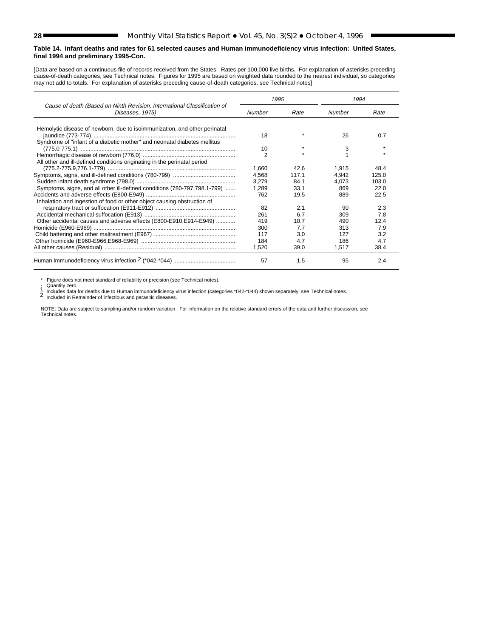#### **Table 14. Infant deaths and rates for 61 selected causes and Human immunodeficiency virus infection: United States, final 1994 and preliminary 1995-Con.**

[Data are based on a continuous file of records received from the States. Rates per 100,000 live births. For explanation of asterisks preceding cause-of-death categories, se[e Technical notes](#page-34-0). Figures for 1995 are based on weighted data rounded to the nearest individual, so categories may not add to totals. For explanation of asterisks preceding cause-of-death categories, see [Technical notes\]](#page-34-0)

|                                                                                             | 1995           |         | 1994   |         |  |
|---------------------------------------------------------------------------------------------|----------------|---------|--------|---------|--|
| Cause of death (Based on Ninth Revision, International Classification of<br>Diseases, 1975) | Number         | Rate    | Number | Rate    |  |
| Hemolytic disease of newborn, due to isoimmunization, and other perinatal                   |                |         |        |         |  |
|                                                                                             | 18             |         | 26     | 0.7     |  |
| Syndrome of "infant of a diabetic mother" and neonatal diabetes mellitus                    |                |         |        |         |  |
|                                                                                             | 10             | $\star$ | 3      | $\star$ |  |
|                                                                                             | $\overline{2}$ |         |        |         |  |
| All other and ill-defined conditions originating in the perinatal period                    |                |         |        |         |  |
|                                                                                             | 1.660          | 42.6    | 1.915  | 48.4    |  |
|                                                                                             | 4.568          | 117.1   | 4,942  | 125.0   |  |
|                                                                                             | 3.279          | 84.1    | 4.073  | 103.0   |  |
| Symptoms, signs, and all other ill-defined conditions (780-797,798.1-799)                   | 1.289          | 33.1    | 869    | 22.0    |  |
|                                                                                             | 762            | 19.5    | 889    | 22.5    |  |
| Inhalation and ingestion of food or other object causing obstruction of                     |                |         |        |         |  |
|                                                                                             | 82             | 2.1     | 90     | 2.3     |  |
|                                                                                             | 261            | 6.7     | 309    | 7.8     |  |
| Other accidental causes and adverse effects (E800-E910, E914-E949)                          | 419            | 10.7    | 490    | 12.4    |  |
|                                                                                             | 300            | 7.7     | 313    | 7.9     |  |
|                                                                                             | 117            | 3.0     | 127    | 3.2     |  |
|                                                                                             | 184            | 4.7     | 186    | 4.7     |  |
|                                                                                             | 1,520          | 39.0    | 1,517  | 38.4    |  |
|                                                                                             | 57             | 1.5     | 95     | 2.4     |  |

\* Figure does not meet standard of reliability or precision (see [Technical notes\)](#page-34-0).

- Quantity zero.<br>1 Includes data for deaths due to Human immunodeficiency virus infection (categories \*042-\*044) shown separately; see [Technical notes.](#page-34-0)<br>2 Included in Remainder of infectious and parasitic diseases.

 NOTE: Data are subject to sampling and/or random variation. For information on the relative standard errors of the data and further discussion, see [Technical notes.](#page-34-0)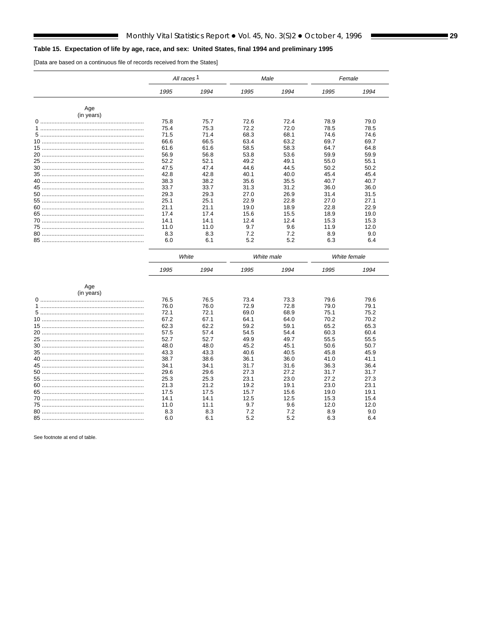# <span id="page-28-0"></span>Table 15. Expectation of life by age, race, and sex: United States, final 1994 and preliminary 1995

[Data are based on a continuous file of records received from the States]

|            | All races 1 |            | Male       |            | Female     |              |
|------------|-------------|------------|------------|------------|------------|--------------|
|            | 1995        | 1994       | 1995       | 1994       | 1995       | 1994         |
| Age        |             |            |            |            |            |              |
| (in years) |             |            |            |            |            |              |
|            | 75.8        | 75.7       | 72.6       | 72.4       | 78.9       | 79.0         |
|            |             |            |            |            |            |              |
|            | 75.4        | 75.3       | 72.2       | 72.0       | 78.5       | 78.5         |
|            | 71.5        | 71.4       | 68.3       | 68.1       | 74.6       | 74.6         |
|            | 66.6        | 66.5       | 63.4       | 63.2       | 69.7       | 69.7         |
|            | 61.6        | 61.6       | 58.5       | 58.3       | 64.7       | 64.8         |
|            | 56.9        | 56.8       | 53.8       | 53.6       | 59.9       | 59.9         |
|            | 52.2        | 52.1       | 49.2       | 49.1       | 55.0       | 55.1         |
|            | 47.5        | 47.4       | 44.6       | 44.5       | 50.2       | 50.2         |
|            | 42.8        | 42.8       | 40.1       | 40.0       | 45.4       | 45.4         |
|            | 38.3        | 38.2       | 35.6       | 35.5       | 40.7       | 40.7         |
|            | 33.7        | 33.7       | 31.3       | 31.2       | 36.0       | 36.0         |
|            | 29.3        | 29.3       | 27.0       | 26.9       | 31.4       | 31.5         |
|            | 25.1        | 25.1       | 22.9       | 22.8       | 27.0       | 27.1         |
|            | 21.1        | 21.1       | 19.0       | 18.9       | 22.8       | 22.9         |
|            | 17.4        | 17.4       | 15.6       | 15.5       | 18.9       | 19.0         |
|            |             |            | 12.4       | 12.4       |            |              |
|            | 14.1        | 14.1       |            |            | 15.3       | 15.3         |
|            | 11.0        | 11.0       | 9.7        | 9.6        | 11.9       | 12.0         |
|            | 8.3<br>6.0  | 8.3<br>6.1 | 7.2<br>5.2 | 7.2<br>5.2 | 8.9<br>6.3 | 9.0<br>6.4   |
|            |             | White      | White male |            |            | White female |
|            | 1995        | 1994       | 1995       | 1994       | 1995       | 1994         |
| Age        |             |            |            |            |            |              |
| (in years) |             |            |            |            |            |              |
|            | 76.5        | 76.5       | 73.4       | 73.3       | 79.6       | 79.6         |
|            | 76.0        | 76.0       | 72.9       | 72.8       | 79.0       | 79.1         |
|            | 72.1        | 72.1       | 69.0       | 68.9       | 75.1       | 75.2         |
|            | 67.2        | 67.1       | 64.1       | 64.0       | 70.2       | 70.2         |
|            | 62.3        | 62.2       | 59.2       | 59.1       | 65.2       | 65.3         |
|            | 57.5        | 57.4       | 54.5       | 54.4       | 60.3       | 60.4         |
|            | 52.7        | 52.7       | 49.9       | 49.7       | 55.5       | 55.5         |
|            | 48.0        | 48.0       | 45.2       | 45.1       | 50.6       | 50.7         |
|            | 43.3        | 43.3       | 40.6       | 40.5       | 45.8       | 45.9         |
|            | 38.7        | 38.6       | 36.1       | 36.0       | 41.0       | 41.1         |
|            | 34.1        | 34.1       | 31.7       | 31.6       | 36.3       | 36.4         |
|            | 29.6        | 29.6       | 27.3       | 27.2       | 31.7       | 31.7         |
|            | 25.3        | 25.3       | 23.1       | 23.0       | 27.2       | 27.3         |
|            | 21.3        | 21.2       | 19.2       | 19.1       | 23.0       | 23.1         |
|            | 17.5        | 17.5       | 15.7       | 15.6       | 19.0       | 19.1         |
|            |             |            |            |            |            |              |
|            | 14.1        | 14.1       | 12.5       | 12.5       | 15.3       | 15.4         |
|            | 11.0        | 11.1       | 9.7        | 9.6        | 12.0       | 12.0         |
|            | 8.3         | 8.3        | 7.2        | 7.2        | 8.9        | 9.0          |
|            | 6.0         | 6.1        | 5.2        | 5.2        | 6.3        | 6.4          |

See footnote at end of table.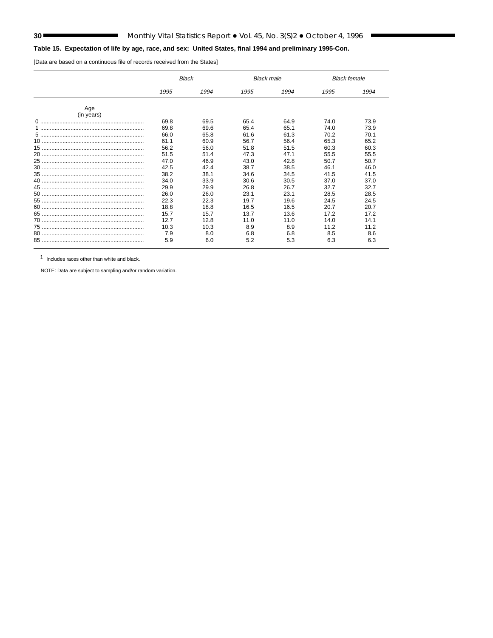$\blacksquare$ 

# **Table 15. Expectation of life by age, race, and sex: United States, final 1994 and preliminary 1995-Con.**

[Data are based on a continuous file of records received from the States]

|            | Black |      | <b>Black male</b> |      | <b>Black female</b> |      |
|------------|-------|------|-------------------|------|---------------------|------|
|            | 1995  | 1994 | 1995              | 1994 | 1995                | 1994 |
| Age        |       |      |                   |      |                     |      |
| (in years) |       |      |                   |      |                     |      |
|            | 69.8  | 69.5 | 65.4              | 64.9 | 74.0                | 73.9 |
|            | 69.8  | 69.6 | 65.4              | 65.1 | 74.0                | 73.9 |
|            | 66.0  | 65.8 | 61.6              | 61.3 | 70.2                | 70.1 |
|            | 61.1  | 60.9 | 56.7              | 56.4 | 65.3                | 65.2 |
|            | 56.2  | 56.0 | 51.8              | 51.5 | 60.3                | 60.3 |
|            | 51.5  | 51.4 | 47.3              | 471  | 55.5                | 55.5 |
|            | 47.0  | 46.9 | 43.0              | 42.8 | 50.7                | 50.7 |
|            | 42.5  | 42.4 | 38.7              | 38.5 | 46.1                | 46.0 |
|            | 38.2  | 38.1 | 34.6              | 34.5 | 41.5                | 41.5 |
|            | 34.0  | 33.9 | 30.6              | 30.5 | 37.0                | 37.0 |
|            | 29.9  | 29.9 | 26.8              | 26.7 | 32.7                | 32.7 |
|            | 26.0  | 26.0 | 23.1              | 23.1 | 28.5                | 28.5 |
|            | 22.3  | 22.3 | 19.7              | 19.6 | 24.5                | 24.5 |
|            | 18.8  | 18.8 | 16.5              | 16.5 | 20.7                | 20.7 |
|            | 15.7  | 15.7 | 13.7              | 13.6 | 17.2                | 17.2 |
|            | 12.7  | 12.8 | 11.0              | 11.0 | 14.0                | 14.1 |
|            | 10.3  | 10.3 | 8.9               | 8.9  | 11.2                | 11.2 |
|            | 7.9   | 8.0  | 6.8               | 6.8  | 8.5                 | 8.6  |
|            | 5.9   | 6.0  | 5.2               | 5.3  | 6.3                 | 6.3  |

1 Includes races other than white and black.

NOTE: Data are subject to sampling and/or random variation.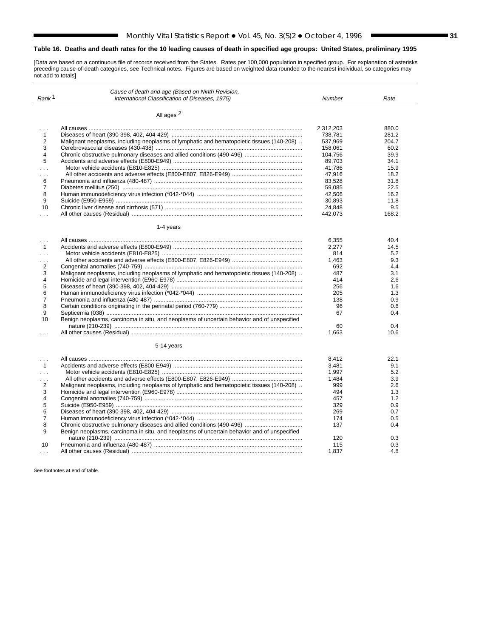# <span id="page-30-0"></span>**Table 16. Deaths and death rates for the 10 leading causes of death in specified age groups: United States, preliminary 1995**

 $\blacksquare$ 

[Data are based on a continuous file of records received from the States. Rates per 100,000 population in specified group. For explanation of asterisks preceding cause-of-death categories, see [Technical notes.](#page-34-0) Figures are based on weighted data rounded to the nearest individual, so categories may not add to totals]

|                      | Cause of death and age (Based on Ninth Revision,                                            |           |       |
|----------------------|---------------------------------------------------------------------------------------------|-----------|-------|
| Rank <sup>1</sup>    | International Classification of Diseases, 1975)                                             | Number    | Rate  |
|                      |                                                                                             |           |       |
|                      | All ages 2                                                                                  |           |       |
| $\sim$               |                                                                                             | 2,312,203 | 880.0 |
| $\mathbf{1}$         |                                                                                             | 738,781   | 281.2 |
| $\overline{2}$       | Malignant neoplasms, including neoplasms of lymphatic and hematopoietic tissues (140-208).  | 537.969   | 204.7 |
| 3                    |                                                                                             | 158,061   | 60.2  |
| 4                    |                                                                                             | 104,756   | 39.9  |
| 5                    |                                                                                             | 89,703    | 34.1  |
| $\ldots$             |                                                                                             | 41,786    | 15.9  |
| $\sim 100$           |                                                                                             | 47,916    | 18.2  |
| 6                    |                                                                                             | 83.528    | 31.8  |
| $\overline{7}$       |                                                                                             | 59,085    | 22.5  |
| 8                    |                                                                                             | 42,506    | 16.2  |
| 9                    |                                                                                             | 30,893    | 11.8  |
| 10                   |                                                                                             | 24,848    | 9.5   |
| $\cdots$             |                                                                                             | 442,073   | 168.2 |
|                      |                                                                                             |           |       |
|                      | 1-4 years                                                                                   |           |       |
|                      |                                                                                             |           |       |
| $\sim 100$           |                                                                                             | 6,355     | 40.4  |
| $\mathbf{1}$         |                                                                                             | 2,277     | 14.5  |
| $\sim$ $\sim$        |                                                                                             | 814       | 5.2   |
| $\sim 100$           |                                                                                             | 1,463     | 9.3   |
| 2                    |                                                                                             | 692       | 4.4   |
| 3                    | Malignant neoplasms, including neoplasms of lymphatic and hematopoietic tissues (140-208).  | 487       | 3.1   |
| 4                    |                                                                                             | 414       | 2.6   |
| 5                    |                                                                                             | 256       | 1.6   |
| 6                    |                                                                                             | 205       | 1.3   |
| $\overline{7}$       |                                                                                             | 138       | 0.9   |
| 8                    |                                                                                             | 96        | 0.6   |
| 9                    |                                                                                             | 67        | 0.4   |
| 10                   | Benign neoplasms, carcinoma in situ, and neoplasms of uncertain behavior and of unspecified |           |       |
|                      |                                                                                             | 60        | 0.4   |
| $\sim$ $\sim$ $\sim$ |                                                                                             | 1,663     | 10.6  |
|                      | 5-14 years                                                                                  |           |       |
|                      |                                                                                             |           |       |
| $\sim 100$           |                                                                                             | 8,412     | 22.1  |
| $\mathbf{1}$         |                                                                                             | 3,481     | 9.1   |
| $\cdots$             |                                                                                             | 1,997     | 5.2   |
| $\cdots$             |                                                                                             | 1,484     | 3.9   |
| 2                    | Malignant neoplasms, including neoplasms of lymphatic and hematopoietic tissues (140-208).  | 999       | 2.6   |
| 3                    |                                                                                             | 494       | 1.3   |
| 4                    |                                                                                             | 457       | 1.2   |
| 5                    |                                                                                             | 329       | 0.9   |
| 6                    |                                                                                             | 269       | 0.7   |
| $\overline{7}$       |                                                                                             | 174       | 0.5   |
| 8                    |                                                                                             | 137       | 0.4   |
| 9                    | Benign neoplasms, carcinoma in situ, and neoplasms of uncertain behavior and of unspecified |           |       |
|                      |                                                                                             | 120       | 0.3   |
| 10                   |                                                                                             | 115       | 0.3   |
| $\cdots$             |                                                                                             | 1.837     | 4.8   |

See footnotes at end of table.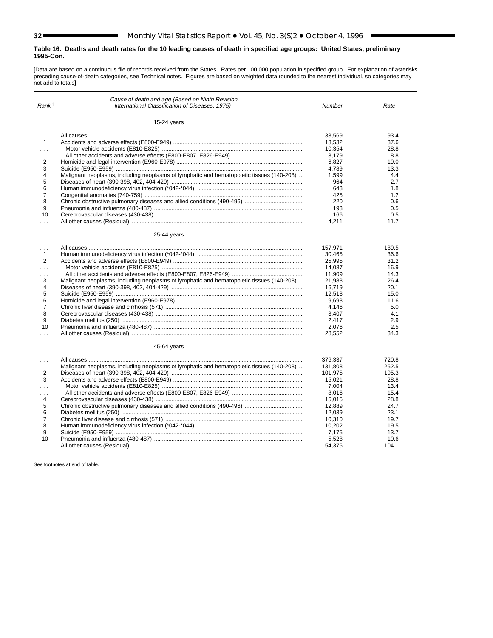#### **Table 16. Deaths and death rates for the 10 leading causes of death in specified age groups: United States, preliminary 1995-Con.**

[Data are based on a continuous file of records received from the States. Rates per 100,000 population in specified group. For explanation of asterisks preceding cause-of-death categories, se[e Technical notes.](#page-34-0) Figures are based on weighted data rounded to the nearest individual, so categories may not add to totals]

| Rank <sup>1</sup>    | Cause of death and age (Based on Ninth Revision,<br>International Classification of Diseases, 1975) | <b>Number</b>    | Rate         |
|----------------------|-----------------------------------------------------------------------------------------------------|------------------|--------------|
|                      |                                                                                                     |                  |              |
|                      |                                                                                                     |                  |              |
|                      | 15-24 years                                                                                         |                  |              |
| $\mathbf{1}$         |                                                                                                     | 33,569           | 93.4         |
| $\mathbf{1}$         |                                                                                                     | 13,532           | 37.6         |
| in a                 |                                                                                                     | 10.354           | 28.8         |
| .                    |                                                                                                     | 3,179            | 8.8          |
| $\overline{2}$       |                                                                                                     | 6,827            | 19.0         |
| 3                    |                                                                                                     | 4.789            | 13.3         |
| $\overline{4}$       | Malignant neoplasms, including neoplasms of lymphatic and hematopoietic tissues (140-208).          | 1,599            | 4.4          |
| 5                    |                                                                                                     | 964              | 2.7          |
|                      |                                                                                                     |                  |              |
| 6                    |                                                                                                     | 643              | 1.8          |
| $\overline{7}$       |                                                                                                     | 425              | 1.2          |
| 8                    |                                                                                                     | 220              | 0.6          |
| 9                    |                                                                                                     | 193              | 0.5          |
| 10                   |                                                                                                     | 166              | 0.5          |
| $\cdots$             |                                                                                                     | 4,211            | 11.7         |
|                      |                                                                                                     |                  |              |
|                      | 25-44 years                                                                                         |                  |              |
|                      |                                                                                                     |                  |              |
| $\sim 100$           |                                                                                                     | 157,971          | 189.5        |
| $\mathbf{1}$         |                                                                                                     | 30,465           | 36.6         |
| $\overline{2}$       |                                                                                                     | 25,995           | 31.2         |
| $\ddot{\phantom{a}}$ |                                                                                                     | 14,087           | 16.9         |
| .                    |                                                                                                     | 11,909           | 14.3         |
| 3                    | Malignant neoplasms, including neoplasms of lymphatic and hematopoietic tissues (140-208).          | 21.983           | 26.4         |
| $\overline{4}$       |                                                                                                     | 16,719           | 20.1         |
| 5                    |                                                                                                     | 12.518           | 15.0         |
| 6                    |                                                                                                     | 9,693            | 11.6         |
| $\overline{7}$       |                                                                                                     | 4,146            | 5.0          |
| 8                    |                                                                                                     | 3,407            | 4.1          |
| 9                    |                                                                                                     | 2.417            | 2.9          |
| 10                   |                                                                                                     | 2,076            | 2.5          |
| $\mathbf{1}$         |                                                                                                     | 28,552           | 34.3         |
|                      |                                                                                                     |                  |              |
|                      | 45-64 years                                                                                         |                  |              |
|                      |                                                                                                     |                  |              |
| .                    |                                                                                                     | 376,337          | 720.8        |
| $\mathbf{1}$         | Malignant neoplasms, including neoplasms of lymphatic and hematopoietic tissues (140-208).          | 131,808          | 252.5        |
| $\overline{2}$       |                                                                                                     | 101,975          | 195.3        |
| 3                    |                                                                                                     | 15,021           | 28.8         |
| $\cdots$             |                                                                                                     | 7.004            | 13.4         |
| $\cdots$             |                                                                                                     | 8.016            | 15.4         |
| $\overline{4}$       |                                                                                                     |                  |              |
| 5                    |                                                                                                     | 15,015<br>12.889 | 28.8<br>24.7 |
|                      |                                                                                                     |                  |              |
| 6                    |                                                                                                     | 12,039           | 23.1         |
| $\overline{7}$       |                                                                                                     | 10,310           | 19.7         |
| 8                    |                                                                                                     | 10,202           | 19.5         |
| 9                    |                                                                                                     | 7.175            | 13.7         |
| 10                   |                                                                                                     | 5,528            | 10.6         |
| $\sim$               |                                                                                                     | 54,375           | 104.1        |

See footnotes at end of table.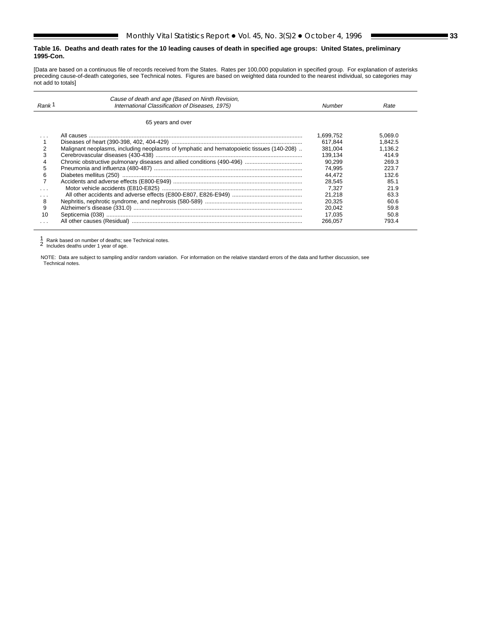# **Table 16. Deaths and death rates for the 10 leading causes of death in specified age groups: United States, preliminary 1995-Con.**

[Data are based on a continuous file of records received from the States. Rates per 100,000 population in specified group. For explanation of asterisks preceding cause-of-death categories, see [Technical notes.](#page-34-0) Figures are based on weighted data rounded to the nearest individual, so categories may not add to totals]

| Rank                  | Cause of death and age (Based on Ninth Revision,<br>International Classification of Diseases, 1975) | Number                                                                                                          | Rate                                                                                             |
|-----------------------|-----------------------------------------------------------------------------------------------------|-----------------------------------------------------------------------------------------------------------------|--------------------------------------------------------------------------------------------------|
|                       | 65 years and over                                                                                   |                                                                                                                 |                                                                                                  |
| 3<br>4<br>5<br>6<br>8 | Malignant neoplasms, including neoplasms of lymphatic and hematopoietic tissues (140-208).          | 1.699.752<br>617.844<br>381.004<br>139.134<br>90.299<br>74.995<br>44.472<br>28.545<br>7.327<br>21.218<br>20.325 | 5,069.0<br>1.842.5<br>1.136.2<br>414.9<br>269.3<br>223.7<br>1326<br>85.1<br>21.9<br>63.3<br>60 G |
| 9<br>10               |                                                                                                     | 20.042<br>17.035<br>266.057                                                                                     | 59.8<br>50.8<br>793.4                                                                            |

<sup>1</sup> Rank based on number of deaths; se[e Technical notes.](#page-34-0) <sup>2</sup> Includes deaths under 1 year of age.

l,

E

 NOTE: Data are subject to sampling and/or random variation. For information on the relative standard errors of the data and further discussion, see [Technical notes.](#page-34-0)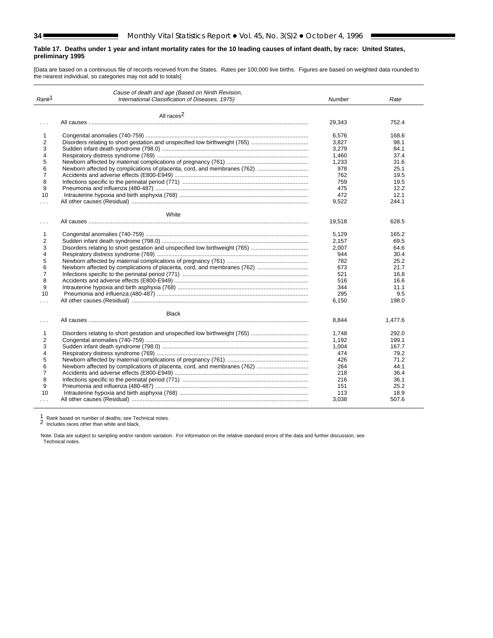$\blacksquare$ 

#### <span id="page-33-0"></span>**Table 17. Deaths under 1 year and infant mortality rates for the 10 leading causes of infant death, by race: United States, preliminary 1995**

[Data are based on a continuous file of records received from the States. Rates per 100,000 live births. Figures are based on weighted data rounded to the nearest individual, so categories may not add to totals]

| All races <sup>2</sup><br>29,343<br>752.4<br>$\sim$ $\sim$ $\sim$<br>6,576<br>1<br>168.6<br>2<br>Disorders relating to short gestation and unspecified low birthweight (765)<br>3,827<br>98.1<br>3<br>3,279<br>84.1<br>4<br>1,460<br>37.4<br>5<br>1,233<br>31.6<br>6<br>978<br>25.1<br>7<br>762<br>19.5<br>8<br>759<br>19.5<br>9<br>475<br>12.2<br>10<br>472<br>12.1<br>9,522<br>244.1<br>$\ldots$<br>White<br>19,518<br>628.5<br>$\sim$<br>1<br>5,129<br>165.2<br>$\overline{2}$<br>2,157<br>69.5<br>3<br>Disorders relating to short gestation and unspecified low birthweight (765)<br>2,007<br>64.6<br>$\overline{4}$<br>944<br>30.4<br>5<br>782<br>25.2 | Rank <sup>1</sup> | Cause of death and age (Based on Ninth Revision,<br>International Classification of Diseases, 1975) | Number | Rate |
|--------------------------------------------------------------------------------------------------------------------------------------------------------------------------------------------------------------------------------------------------------------------------------------------------------------------------------------------------------------------------------------------------------------------------------------------------------------------------------------------------------------------------------------------------------------------------------------------------------------------------------------------------------------|-------------------|-----------------------------------------------------------------------------------------------------|--------|------|
|                                                                                                                                                                                                                                                                                                                                                                                                                                                                                                                                                                                                                                                              |                   |                                                                                                     |        |      |
|                                                                                                                                                                                                                                                                                                                                                                                                                                                                                                                                                                                                                                                              |                   |                                                                                                     |        |      |
|                                                                                                                                                                                                                                                                                                                                                                                                                                                                                                                                                                                                                                                              |                   |                                                                                                     |        |      |
|                                                                                                                                                                                                                                                                                                                                                                                                                                                                                                                                                                                                                                                              |                   |                                                                                                     |        |      |
|                                                                                                                                                                                                                                                                                                                                                                                                                                                                                                                                                                                                                                                              |                   |                                                                                                     |        |      |
|                                                                                                                                                                                                                                                                                                                                                                                                                                                                                                                                                                                                                                                              |                   |                                                                                                     |        |      |
|                                                                                                                                                                                                                                                                                                                                                                                                                                                                                                                                                                                                                                                              |                   |                                                                                                     |        |      |
|                                                                                                                                                                                                                                                                                                                                                                                                                                                                                                                                                                                                                                                              |                   |                                                                                                     |        |      |
|                                                                                                                                                                                                                                                                                                                                                                                                                                                                                                                                                                                                                                                              |                   |                                                                                                     |        |      |
|                                                                                                                                                                                                                                                                                                                                                                                                                                                                                                                                                                                                                                                              |                   |                                                                                                     |        |      |
|                                                                                                                                                                                                                                                                                                                                                                                                                                                                                                                                                                                                                                                              |                   |                                                                                                     |        |      |
|                                                                                                                                                                                                                                                                                                                                                                                                                                                                                                                                                                                                                                                              |                   |                                                                                                     |        |      |
|                                                                                                                                                                                                                                                                                                                                                                                                                                                                                                                                                                                                                                                              |                   |                                                                                                     |        |      |
|                                                                                                                                                                                                                                                                                                                                                                                                                                                                                                                                                                                                                                                              |                   |                                                                                                     |        |      |
|                                                                                                                                                                                                                                                                                                                                                                                                                                                                                                                                                                                                                                                              |                   |                                                                                                     |        |      |
|                                                                                                                                                                                                                                                                                                                                                                                                                                                                                                                                                                                                                                                              |                   |                                                                                                     |        |      |
|                                                                                                                                                                                                                                                                                                                                                                                                                                                                                                                                                                                                                                                              |                   |                                                                                                     |        |      |
|                                                                                                                                                                                                                                                                                                                                                                                                                                                                                                                                                                                                                                                              |                   |                                                                                                     |        |      |
|                                                                                                                                                                                                                                                                                                                                                                                                                                                                                                                                                                                                                                                              |                   |                                                                                                     |        |      |
|                                                                                                                                                                                                                                                                                                                                                                                                                                                                                                                                                                                                                                                              |                   |                                                                                                     |        |      |
|                                                                                                                                                                                                                                                                                                                                                                                                                                                                                                                                                                                                                                                              |                   |                                                                                                     |        |      |
| 6<br>673<br>21.7                                                                                                                                                                                                                                                                                                                                                                                                                                                                                                                                                                                                                                             |                   |                                                                                                     |        |      |
| $\overline{7}$<br>521<br>16.8                                                                                                                                                                                                                                                                                                                                                                                                                                                                                                                                                                                                                                |                   |                                                                                                     |        |      |
| 8<br>516<br>16.6                                                                                                                                                                                                                                                                                                                                                                                                                                                                                                                                                                                                                                             |                   |                                                                                                     |        |      |
| 9<br>344<br>11.1                                                                                                                                                                                                                                                                                                                                                                                                                                                                                                                                                                                                                                             |                   |                                                                                                     |        |      |
| 295<br>10<br>9.5                                                                                                                                                                                                                                                                                                                                                                                                                                                                                                                                                                                                                                             |                   |                                                                                                     |        |      |
| 6,150<br>198.0<br>$\cdots$                                                                                                                                                                                                                                                                                                                                                                                                                                                                                                                                                                                                                                   |                   |                                                                                                     |        |      |
|                                                                                                                                                                                                                                                                                                                                                                                                                                                                                                                                                                                                                                                              |                   |                                                                                                     |        |      |
| <b>Black</b>                                                                                                                                                                                                                                                                                                                                                                                                                                                                                                                                                                                                                                                 |                   |                                                                                                     |        |      |
| 8,844<br>1,477.6<br>$\sim$ $\sim$ $\sim$                                                                                                                                                                                                                                                                                                                                                                                                                                                                                                                                                                                                                     |                   |                                                                                                     |        |      |
| 1<br>Disorders relating to short gestation and unspecified low birthweight (765)<br>1,748<br>292.0                                                                                                                                                                                                                                                                                                                                                                                                                                                                                                                                                           |                   |                                                                                                     |        |      |
| 2<br>1,192<br>199.1                                                                                                                                                                                                                                                                                                                                                                                                                                                                                                                                                                                                                                          |                   |                                                                                                     |        |      |
| 3<br>1,004<br>167.7                                                                                                                                                                                                                                                                                                                                                                                                                                                                                                                                                                                                                                          |                   |                                                                                                     |        |      |
| 4<br>79.2<br>474                                                                                                                                                                                                                                                                                                                                                                                                                                                                                                                                                                                                                                             |                   |                                                                                                     |        |      |
| 5<br>426<br>71.2                                                                                                                                                                                                                                                                                                                                                                                                                                                                                                                                                                                                                                             |                   |                                                                                                     |        |      |
| 6<br>264<br>44.1                                                                                                                                                                                                                                                                                                                                                                                                                                                                                                                                                                                                                                             |                   |                                                                                                     |        |      |
| $\overline{7}$<br>218<br>36.4                                                                                                                                                                                                                                                                                                                                                                                                                                                                                                                                                                                                                                |                   |                                                                                                     |        |      |
| 8<br>216<br>36.1                                                                                                                                                                                                                                                                                                                                                                                                                                                                                                                                                                                                                                             |                   |                                                                                                     |        |      |
| 9<br>151<br>25.2                                                                                                                                                                                                                                                                                                                                                                                                                                                                                                                                                                                                                                             |                   |                                                                                                     |        |      |
| 10<br>113<br>18.9                                                                                                                                                                                                                                                                                                                                                                                                                                                                                                                                                                                                                                            |                   |                                                                                                     |        |      |
| 3,038<br>507.6<br>$\cdots$                                                                                                                                                                                                                                                                                                                                                                                                                                                                                                                                                                                                                                   |                   |                                                                                                     |        |      |

<sup>1</sup> Rank based on number of deaths; se[e Technical notes.](#page-34-0) <sup>2</sup> Includes races other than white and black.

 Note: Data are subject to sampling and/or random variation. For information on the relative standard errors of the data and further discussion, see [Technical notes.](#page-34-0)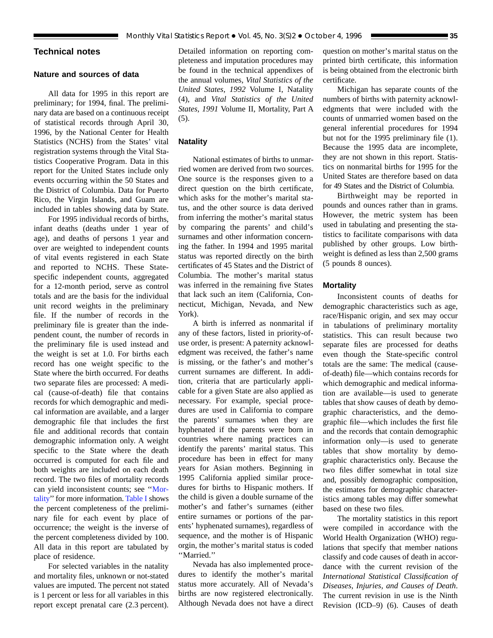# <span id="page-34-0"></span>**Technical notes**

# **Nature and sources of data**

All data for 1995 in this report are preliminary; for 1994, final. The preliminary data are based on a continuous receipt of statistical records through April 30, 1996, by the National Center for Health Statistics (NCHS) from the States' vital registration systems through the Vital Statistics Cooperative Program. Data in this report for the United States include only events occurring within the 50 States and the District of Columbia. Data for Puerto Rico, the Virgin Islands, and Guam are included in tables showing data by State.

For 1995 individual records of births, infant deaths (deaths under 1 year of age), and deaths of persons 1 year and over are weighted to independent counts of vital events registered in each State and reported to NCHS. These Statespecific independent counts, aggregated for a 12-month period, serve as control totals and are the basis for the individual unit record weights in the preliminary file. If the number of records in the preliminary file is greater than the independent count, the number of records in the preliminary file is used instead and the weight is set at 1.0. For births each record has one weight specific to the State where the birth occurred. For deaths two separate files are processed: A medical (cause-of-death) file that contains records for which demographic and medical information are available, and a larger demographic file that includes the first file and additional records that contain demographic information only. A weight specific to the State where the death occurred is computed for each file and both weights are included on each death record. The two files of mortality records can yield inconsistent counts; see ''Mortality'' for more information. [Table I](#page-35-0) shows the percent completeness of the preliminary file for each event by place of occurrence; the weight is the inverse of the percent completeness divided by 100. All data in this report are tabulated by place of residence.

For selected variables in the natality and mortality files, unknown or not-stated values are imputed. The percent not stated is 1 percent or less for all variables in this report except prenatal care (2.3 percent).

Detailed information on reporting completeness and imputation procedures may be found in the technical appendixes of the annual volumes, *Vital Statistics of the United States, 1992* Volume I, Natality (4), and *Vital Statistics of the United States, 1991* Volume II, Mortality, Part A (5).

# **Natality**

National estimates of births to unmarried women are derived from two sources. One source is the responses given to a direct question on the birth certificate, which asks for the mother's marital status, and the other source is data derived from inferring the mother's marital status by comparing the parents' and child's surnames and other information concerning the father. In 1994 and 1995 marital status was reported directly on the birth certificates of 45 States and the District of Columbia. The mother's marital status was inferred in the remaining five States that lack such an item (California, Connecticut, Michigan, Nevada, and New York).

A birth is inferred as nonmarital if any of these factors, listed in priority-ofuse order, is present: A paternity acknowledgment was received, the father's name is missing, or the father's and mother's current surnames are different. In addition, criteria that are particularly applicable for a given State are also applied as necessary. For example, special procedures are used in California to compare the parents' surnames when they are hyphenated if the parents were born in countries where naming practices can identify the parents' marital status. This procedure has been in effect for many years for Asian mothers. Beginning in 1995 California applied similar procedures for births to Hispanic mothers. If the child is given a double surname of the mother's and father's surnames (either entire surnames or portions of the parents' hyphenated surnames), regardless of sequence, and the mother is of Hispanic orgin, the mother's marital status is coded ''Married.''

Nevada has also implemented procedures to identify the mother's marital status more accurately. All of Nevada's births are now registered electronically. Although Nevada does not have a direct

question on mother's marital status on the printed birth certificate, this information is being obtained from the electronic birth certificate.

Michigan has separate counts of the numbers of births with paternity acknowledgments that were included with the counts of unmarried women based on the general inferential procedures for 1994 but not for the 1995 preliminary file (1). Because the 1995 data are incomplete, they are not shown in this report. Statistics on nonmarital births for 1995 for the United States are therefore based on data for 49 States and the District of Columbia.

Birthweight may be reported in pounds and ounces rather than in grams. However, the metric system has been used in tabulating and presenting the statistics to facilitate comparisons with data published by other groups. Low birthweight is defined as less than 2,500 grams (5 pounds 8 ounces).

#### **Mortality**

Inconsistent counts of deaths for demographic characteristics such as age, race/Hispanic origin, and sex may occur in tabulations of preliminary mortality statistics. This can result because two separate files are processed for deaths even though the State-specific control totals are the same: The medical (causeof-death) file—which contains records for which demographic and medical information are available—is used to generate tables that show causes of death by demographic characteristics, and the demographic file—which includes the first file and the records that contain demographic information only—is used to generate tables that show mortality by demographic characteristics only. Because the two files differ somewhat in total size and, possibly demographic composition, the estimates for demographic characteristics among tables may differ somewhat based on these two files.

The mortality statistics in this report were compiled in accordance with the World Health Organization (WHO) regulations that specify that member nations classify and code causes of death in accordance with the current revision of the *International Statistical Classification of Diseases, Injuries, and Causes of Death*. The current revision in use is the Ninth Revision (ICD–9) (6). Causes of death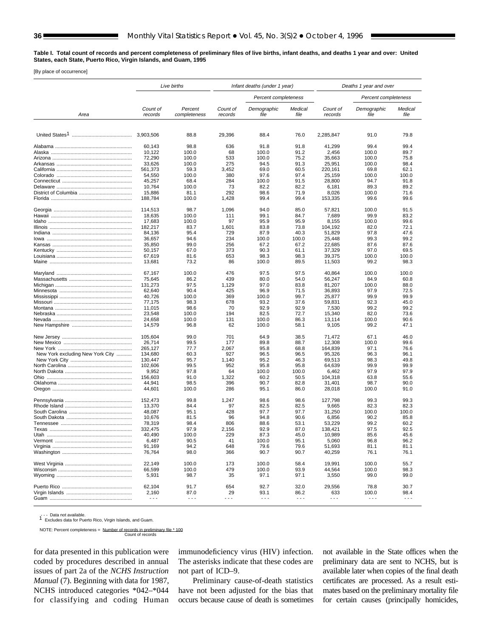<span id="page-35-0"></span>**Table I. Total count of records and percent completeness of preliminary files of live births, infant deaths, and deaths 1 year and over: United States, each State, Puerto Rico, Virgin Islands, and Guam, 1995**

[By place of occurrence]

|                                      |                     | Live births             | Infant deaths (under 1 year) |                      |                 | Deaths 1 year and over   |                     |                 |
|--------------------------------------|---------------------|-------------------------|------------------------------|----------------------|-----------------|--------------------------|---------------------|-----------------|
|                                      |                     |                         |                              | Percent completeness |                 | Percent completeness     |                     |                 |
| Area                                 | Count of<br>records | Percent<br>completeness | Count of<br>records          | Demographic<br>file  | Medical<br>file | Count of<br>records      | Demographic<br>file | Medical<br>file |
|                                      |                     |                         |                              |                      |                 |                          |                     |                 |
|                                      |                     | 88.8                    | 29,396                       | 88.4                 | 76.0            | 2,285,847                | 91.0                | 79.8            |
|                                      | 60.143              | 98.8                    | 636                          | 91.8                 | 91.8            | 41,299                   | 99.4                | 99.4            |
|                                      | 10,122              | 100.0                   | 68                           | 100.0                | 91.2            | 2,456                    | 100.0               | 89.7            |
|                                      | 72,290              | 100.0                   | 533                          | 100.0                | 75.2            | 35,663                   | 100.0               | 75.8            |
|                                      | 33,626              | 100.0                   | 275                          | 94.5                 | 91.3            | 25,951                   | 100.0               | 98.4            |
|                                      | 561,373             | 59.3                    | 3,452                        | 69.0                 | 60.5            | 220,161                  | 69.8                | 62.1            |
|                                      | 54,550              | 100.0                   | 380                          | 97.6                 | 97.4            | 25,159                   | 100.0               | 100.0           |
|                                      | 45,257              | 68.4                    | 284                          | 100.0                | 91.5            | 28,800                   | 94.7                | 91.8            |
|                                      | 10,764              | 100.0                   | 73                           | 82.2                 | 82.2            | 6,181                    | 89.3                | 89.2            |
|                                      | 15,886              | 81.1                    | 292                          | 98.6                 | 71.9            | 8,026                    | 100.0               | 71.6            |
|                                      | 188,784             | 100.0                   | 1,428                        | 99.4                 | 99.4            | 153,335                  | 99.6                | 99.6            |
|                                      | 114,513             | 98.7                    | 1,096                        | 94.0                 | 85.0            | 57,821                   | 100.0               | 91.5            |
|                                      | 18,635              | 100.0                   | 111                          | 99.1                 | 84.7            | 7,689                    | 99.9                | 83.2            |
|                                      | 17,683              | 100.0                   | 97                           | 95.9                 | 95.9            | 8,155                    | 100.0               | 99.6            |
| <u>Illinois ……………………………………………………</u> | 182,217             | 83.7                    | 1,601                        | 83.8                 | 73.8            | 104,192                  | 82.0                | 72.1            |
|                                      | 84,136              | 95.4                    | 729                          | 87.9                 | 40.3            | 51,829                   | 97.8                | 47.6            |
|                                      | 36,657              | 94.6                    | 234                          | 100.0                | 100.0           | 25,448                   | 99.3                | 99.2            |
|                                      | 35,850              | 99.0                    | 256                          | 67.2                 | 67.2            | 22,685                   | 87.6                | 87.6            |
|                                      | 50,157              | 67.0                    | 373                          | 90.3                 | 61.1            | 37,329                   | 97.0                | 69.5            |
|                                      | 67,619              | 81.6                    | 653                          | 98.3                 | 98.3            | 39,375                   | 100.0               | 100.0           |
|                                      | 13,681              | 73.2                    | 86                           | 100.0                | 89.5            | 11,503                   | 99.2                | 98.3            |
|                                      | 67,167              | 100.0                   | 476                          | 97.5                 | 97.5            | 40,864                   | 100.0               | 100.0           |
|                                      | 75,645              | 86.2                    | 439                          | 80.0                 | 54.0            | 56,247                   | 84.9                | 60.8            |
|                                      | 131,273             | 97.5                    | 1,129                        | 97.0                 | 83.8            | 81,207                   | 100.0               | 88.0            |
|                                      | 62,640              | 90.4                    | 425                          | 96.9                 | 71.5            | 36,893                   | 97.9                | 72.5            |
|                                      | 40,726              | 100.0                   | 369                          | 100.0                | 99.7            | 25,877                   | 99.9                | 99.9            |
|                                      | 77,175              | 98.3                    | 678                          | 93.2                 | 37.6            | 59,831                   | 92.3                | 45.0            |
|                                      | 11,015              | 98.6                    | 70                           | 92.9                 | 92.9            | 7,530                    | 99.2                | 99.2            |
|                                      | 23,548              | 100.0                   | 194                          | 82.5                 | 72.7            | 15,340                   | 82.0                | 73.6            |
|                                      | 24,658              | 100.0                   | 131                          | 100.0                | 86.3            | 13,114                   | 100.0               | 90.6            |
|                                      | 14,579              | 96.8                    | 62                           | 100.0                | 58.1            | 9,105                    | 99.2                | 47.1            |
|                                      | 105,604             | 99.0                    | 701                          | 64.9                 | 38.5            | 71,472                   | 67.1                | 46.0            |
|                                      | 26,714              | 99.5                    | 177                          | 89.8                 | 88.7            | 12,308                   | 100.0               | 99.6            |
|                                      | 265,127             | 77.7                    | 2,067                        | 95.8                 | 68.8            | 164,839                  | 97.1                | 76.6            |
| New York excluding New York City     | 134,680             | 60.3                    | 927                          | 96.5                 | 96.5            | 95,326                   | 96.3                | 96.1            |
|                                      | 130,447             | 95.7                    | 1,140                        | 95.2                 | 46.3            | 69,513                   | 98.3                | 49.8            |
|                                      | 102,606             | 99.5                    | 952                          | 95.8                 | 95.8            | 64,639                   | 99.9                | 99.9            |
|                                      | 9,952               | 97.8                    | 64                           | 100.0                | 100.0           | 6,462                    | 97.9                | 97.9            |
|                                      | 156,603             | 91.0                    | 1,322                        | 60.2                 | 50.5            | 104,318                  | 63.8                | 55.6            |
|                                      | 44,941              | 98.5                    | 396                          | 90.7                 | 82.8            | 31,401                   | 98.7                | 90.0            |
|                                      | 44,601              | 100.0                   | 286                          | 95.1                 | 86.0            | 28,018                   | 100.0               | 91.0            |
|                                      | 152,473             | 99.8                    | 1,247                        | 98.6                 | 98.6            | 127,798                  | 99.3                | 99.3            |
|                                      | 13,370              | 84.4                    | 97                           | 82.5                 | 82.5            | 9,665                    | 82.3                | 82.3            |
|                                      | 48,087              | 95.1                    | 428                          | 97.7                 | 97.7            | 31,250                   | 100.0               | 100.0           |
|                                      | 10,676              | 81.5                    | 96                           | 94.8                 | 90.6            | 6,856                    | 90.2                | 85.8            |
|                                      | 78,319              | 98.4                    | 806                          | 88.6                 | 53.1            | 53,229                   | 99.2                | 60.2            |
|                                      | 332,475             | 97.9                    | 2,156                        | 92.9                 | 87.0            | 138,421                  | 97.5                | 92.5            |
|                                      | 40,490              | 100.0                   | 229                          | 87.3                 | 45.0            | 10,989                   | 85.6                | 45.6            |
|                                      | 6,487               | 90.5                    | 41                           | 100.0                | 95.1            | 5,060                    | 96.8                | 96.2            |
|                                      | 91,169              | 94.2                    | 648                          | 79.6                 | 79.6            | 51,693                   | 81.1                | 81.1            |
|                                      | 76,764              | 98.0                    | 366                          | 90.7                 | 90.7            | 40,259                   | 76.1                | 76.1            |
|                                      | 22,149              | 100.0                   | 173                          | 100.0                | 58.4            | 19,991                   | 100.0               | 55.7            |
|                                      | 66,599              | 100.0                   | 479                          | 100.0                | 93.9            | 44,564                   | 100.0               | 98.3            |
|                                      | 5,931               | 98.7                    | 35                           | 97.1                 | 97.1            | 3,550                    | 99.0                | 99.0            |
|                                      | 62,104              | 91.7                    | 654                          | 92.7                 | 32.0            | 29,556                   | 78.8                | 30.7            |
|                                      | 2,160               | 87.0                    | 29                           | 93.1                 | 86.2            | 633                      | 100.0               | 98.4            |
|                                      | $- - -$             | - - -                   | $- - -$                      | $\ddotsc$            | $\ddotsc$       | $\overline{\phantom{a}}$ | $\ddotsc$           | $- - -$         |

- - - Data not available. <sup>1</sup> Excludes data for Puerto Rico, Virgin Islands, and Guam.

 NOTE: Percent completeness = Number of records in preliminary file \* 100 Count of records

for data presented in this publication were coded by procedures described in annual issues of part 2a of the *NCHS Instruction Manual* (7). Beginning with data for 1987, NCHS introduced categories \*042–\*044 for classifying and coding Human

immunodeficiency virus (HIV) infection. The asterisks indicate that these codes are not part of ICD–9.

Preliminary cause-of-death statistics have not been adjusted for the bias that occurs because cause of death is sometimes not available in the State offices when the preliminary data are sent to NCHS, but is available later when copies of the final death certificates are processed. As a result estimates based on the preliminary mortality file for certain causes (principally homicides,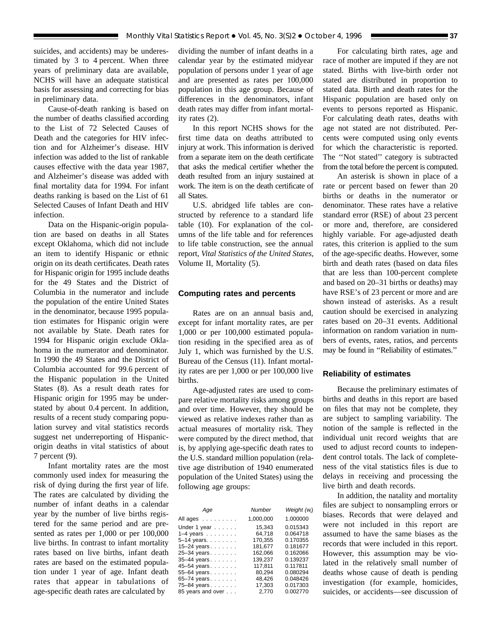<span id="page-36-0"></span>suicides, and accidents) may be underestimated by 3 to 4 percent. When three years of preliminary data are available, NCHS will have an adequate statistical basis for assessing and correcting for bias in preliminary data.

ш

Cause-of-death ranking is based on the number of deaths classified according to the List of 72 Selected Causes of Death and the categories for HIV infection and for Alzheimer's disease. HIV infection was added to the list of rankable causes effective with the data year 1987, and Alzheimer's disease was added with final mortality data for 1994. For infant deaths ranking is based on the List of 61 Selected Causes of Infant Death and HIV infection.

Data on the Hispanic-origin population are based on deaths in all States except Oklahoma, which did not include an item to identify Hispanic or ethnic origin on its death certificates. Death rates for Hispanic origin for 1995 include deaths for the 49 States and the District of Columbia in the numerator and include the population of the entire United States in the denominator, because 1995 population estimates for Hispanic origin were not available by State. Death rates for 1994 for Hispanic origin exclude Oklahoma in the numerator and denominator. In 1990 the 49 States and the District of Columbia accounted for 99.6 percent of the Hispanic population in the United States (8). As a result death rates for Hispanic origin for 1995 may be understated by about 0.4 percent. In addition, results of a recent study comparing population survey and vital statistics records suggest net underreporting of Hispanicorigin deaths in vital statistics of about 7 percent (9).

Infant mortality rates are the most commonly used index for measuring the risk of dying during the first year of life. The rates are calculated by dividing the number of infant deaths in a calendar year by the number of live births registered for the same period and are presented as rates per 1,000 or per 100,000 live births. In contrast to infant mortality rates based on live births, infant death rates are based on the estimated population under 1 year of age. Infant death rates that appear in tabulations of age-specific death rates are calculated by

dividing the number of infant deaths in a calendar year by the estimated midyear population of persons under 1 year of age and are presented as rates per 100,000 population in this age group. Because of differences in the denominators, infant death rates may differ from infant mortality rates (2).

In this report NCHS shows for the first time data on deaths attributed to injury at work. This information is derived from a separate item on the death certificate that asks the medical certifier whether the death resulted from an injury sustained at work. The item is on the death certificate of all States.

U.S. abridged life tables are constructed by reference to a standard life table (10). For explanation of the columns of the life table and for references to life table construction, see the annual report, *Vital Statistics of the United States,* Volume II, Mortality (5).

#### **Computing rates and percents**

Rates are on an annual basis and, except for infant mortality rates, are per 1,000 or per 100,000 estimated population residing in the specified area as of July 1, which was furnished by the U.S. Bureau of the Census (11). Infant mortality rates are per 1,000 or per 100,000 live births.

Age-adjusted rates are used to compare relative mortality risks among groups and over time. However, they should be viewed as relative indexes rather than as actual measures of mortality risk. They were computed by the direct method, that is, by applying age-specific death rates to the U.S. standard million population (relative age distribution of 1940 enumerated population of the United States) using the following age groups:

| Age               | <b>Number</b> | Weight (w <sub>i</sub> ) |
|-------------------|---------------|--------------------------|
| All ages          | 1,000,000     | 1.000000                 |
| Under 1 year      | 15,343        | 0.015343                 |
| $1-4$ years       | 64,718        | 0.064718                 |
| $5-14$ years.     | 170,355       | 0.170355                 |
| $15 - 24$ years.  | 181,677       | 0.181677                 |
| 25-34 years       | 162,066       | 0.162066                 |
| 35-44 years.      | 139.237       | 0.139237                 |
| 45-54 years.      | 117,811       | 0.117811                 |
| 55-64 years.      | 80,294        | 0.080294                 |
| 65-74 years.      | 48,426        | 0.048426                 |
| 75-84 years       | 17,303        | 0.017303                 |
| 85 years and over | 2.770         | 0.002770                 |

For calculating birth rates, age and race of mother are imputed if they are not stated. Births with live-birth order not stated are distributed in proportion to stated data. Birth and death rates for the Hispanic population are based only on events to persons reported as Hispanic. For calculating death rates, deaths with age not stated are not distributed. Percents were computed using only events for which the characteristic is reported. The ''Not stated'' category is subtracted from the total before the percent is computed.

An asterisk is shown in place of a rate or percent based on fewer than 20 births or deaths in the numerator or denominator. These rates have a relative standard error (RSE) of about 23 percent or more and, therefore, are considered highly variable. For age-adjusted death rates, this criterion is applied to the sum of the age-specific deaths. However, some birth and death rates (based on data files that are less than 100-percent complete and based on 20–31 births or deaths) may have RSE's of 23 percent or more and are shown instead of asterisks. As a result caution should be exercised in analyzing rates based on 20–31 events. Additional information on random variation in numbers of events, rates, ratios, and percents may be found in ''Reliability of estimates.''

#### **Reliability of estimates**

Because the preliminary estimates of births and deaths in this report are based on files that may not be complete, they are subject to sampling variability. The notion of the sample is reflected in the individual unit record weights that are used to adjust record counts to independent control totals. The lack of completeness of the vital statistics files is due to delays in receiving and processing the live birth and death records.

In addition, the natality and mortality files are subject to nonsampling errors or biases. Records that were delayed and were not included in this report are assumed to have the same biases as the records that were included in this report. However, this assumption may be violated in the relatively small number of deaths whose cause of death is pending investigation (for example, homicides, suicides, or accidents—see discussion of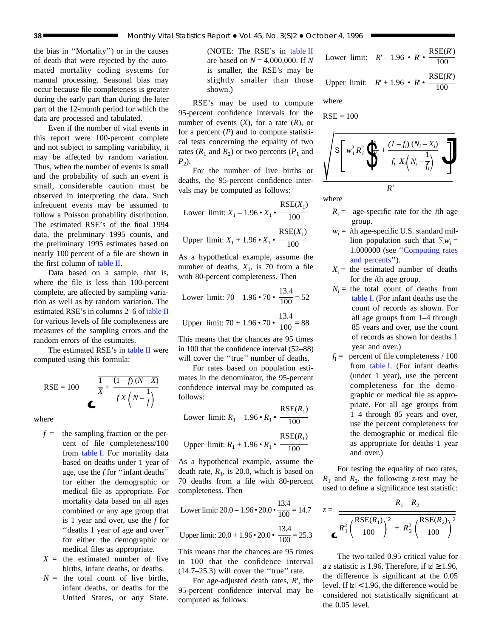the bias in ''Mortality'') or in the causes of death that were rejected by the automated mortality coding systems for manual processing. Seasonal bias may occur because file completeness is greater during the early part than during the later part of the 12-month period for which the data are processed and tabulated.

Even if the number of vital events in this report were 100-percent complete and not subject to sampling variability, it may be affected by random variation. Thus, when the number of events is small and the probability of such an event is small, considerable caution must be observed in interpreting the data. Such infrequent events may be assumed to follow a Poisson probability distribution. The estimated RSE's of the final 1994 data, the preliminary 1995 counts, and the preliminary 1995 estimates based on nearly 100 percent of a file are shown in the first column of [table II.](#page-38-0)

Data based on a sample, that is, where the file is less than 100-percent complete, are affected by sampling variation as well as by random variation. The estimated RSE's in columns 2–6 of [table II](#page-38-0) for various levels of file completeness are measures of the sampling errors and the random errors of the estimates.

The estimated RSE's in [table II](#page-38-0) were computed using this formula:

RSE = 100 
$$
\frac{1}{X} + \frac{(1 - f)(N - X)}{fX(N - \frac{1}{f})}
$$

where

- $f =$  the sampling fraction or the percent of file completeness/100 from [table I.](#page-35-0) For mortality data based on deaths under 1 year of age, use the *f* for ''infant deaths'' for either the demographic or medical file as appropriate. For mortality data based on all ages combined or any age group that is 1 year and over, use the *f* for ''deaths 1 year of age and over'' for either the demographic or medical files as appropriate.
- $X =$  the estimated number of live births, infant deaths, or deaths.
- $N =$  the total count of live births, infant deaths, or deaths for the United States, or any State.

(NOTE: The RSE's in [table II](#page-38-0) are based on *N* = 4,000,000. If *N* is smaller, the RSE's may be slightly smaller than those shown.)

RSE's may be used to compute 95-percent confidence intervals for the number of events (*X*), for a rate (*R*), or for a percent (*P*) and to compute statistical tests concerning the equality of two rates  $(R_1$  and  $R_2$ ) or two percents  $(P_1$  and  $P_2$ ).

For the number of live births or deaths, the 95-percent confidence intervals may be computed as follows:

Lower limit: 
$$
X_1 - 1.96 \cdot X_1 \cdot \frac{\text{RSE}(X_1)}{100}
$$

Upper  $\lim$ it:  $X_1 + 1.96 \cdot X_1$ .  $RSE(X_1)$ 100

As a hypothetical example, assume the number of deaths,  $X_1$ , is 70 from a file with 80-percent completeness. Then

Lower limit: 
$$
70 - 1.96 \cdot 70 \cdot \frac{13.4}{100} = 52
$$

Upper limit: 
$$
70 + 1.96 \cdot 70 \cdot \frac{13.4}{100} = 88
$$

This means that the chances are 95 times in 100 that the confidence interval (52–88) will cover the "true" number of deaths.

For rates based on population estimates in the denominator, the 95-percent confidence interval may be computed as follows:

Lower limit: 
$$
R_1 - 1.96 \cdot R_1 \cdot \frac{\text{RSE}(R_1)}{100}
$$

Upper limit: 
$$
R_1 + 1.96 \cdot R_1 \cdot \frac{\text{RSE}(R_1)}{100}
$$

As a hypothetical example, assume the death rate,  $R_1$ , is 20.0, which is based on 70 deaths from a file with 80-percent completeness. Then

Lower limit: 
$$
20.0 - 1.96 \cdot 20.0 \cdot \frac{13.4}{100} = 14.7
$$

Upper limit: 
$$
20.0 + 1.96 \cdot 20.0 \cdot \frac{13.4}{100} = 25.3
$$

This means that the chances are 95 times in 100 that the confidence interval  $(14.7–25.3)$  will cover the "true" rate.

For age-adjusted death rates, *R*', the 95-percent confidence interval may be computed as follows:

Lower limit: 
$$
R'-1.96 \cdot R' \cdot \frac{\text{RSE}(R')}{100}
$$
  
Upper limit:  $R'+1.96 \cdot R' \cdot \frac{\text{RSE}(R')}{100}$ 

where

 $RSE = 100$ 

$$
\sqrt{\frac{S\left[w_i^2 R_i^2 \sum_{i}^4 + \frac{(1-f_i)(N_i - X_i)}{f_i X_i \left(N_i - \frac{1}{f_i}\right)}\right]R'}}
$$

where

- $R_i$  = age-specific rate for the *i*th age group.
- $w_i = i$ th age-specific U.S. standard million population such that  $\sum w_i =$ 1.000000 (see [''Computing rates](#page-36-0) [and percents''](#page-36-0)).
- $X_i$  = the estimated number of deaths for the *i*th age group.
- $N_i$  = the total count of deaths from [table I](#page-35-0). (For infant deaths use the count of records as shown. For all age groups from 1–4 through 85 years and over, use the count of records as shown for deaths 1 year and over.)
- $f_i$  = percent of file completeness / 100 from [table I.](#page-35-0) (For infant deaths (under 1 year), use the percent completeness for the demographic or medical file as appropriate. For all age groups from 1–4 through 85 years and over, use the percent completeness for the demographic or medical file as appropriate for deaths 1 year and over.)

For testing the equality of two rates,  $R_1$  and  $R_2$ , the following *z*-test may be used to define a significance test statistic:

$$
z = \frac{R_1 - R_2}{R_1^2 \left(\frac{\text{RSE}(R_1)}{100}\right)^2 + R_2^2 \left(\frac{\text{RSE}(R_2)}{100}\right)^2}
$$

The two-tailed 0.95 critical value for a *z* statistic is 1.96. Therefore, if  $|z| \ge 1.96$ , the difference is significant at the 0.05 level. If  $|z|$  < 1.96, the difference would be considered not statistically significant at the 0.05 level.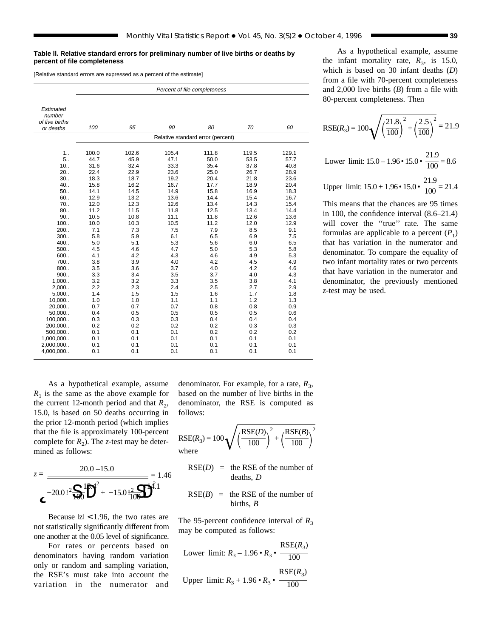#### <span id="page-38-0"></span>**Table ll. Relative standard errors for preliminary number of live births or deaths by percent of file completeness**

[Relative standard errors are expressed as a percent of the estimate]

|                                                    |            |            |            | Percent of file completeness      |            |            |
|----------------------------------------------------|------------|------------|------------|-----------------------------------|------------|------------|
|                                                    |            |            |            |                                   |            |            |
| Estimated<br>number<br>of live births<br>or deaths | 100        | 95         | 90         | 80                                | 70         | 60         |
|                                                    |            |            |            | Relative standard error (percent) |            |            |
|                                                    |            |            |            |                                   |            |            |
| 1.1                                                | 100.0      | 102.6      | 105.4      | 111.8                             | 119.5      | 129.1      |
| 5 <sub>1</sub>                                     | 44.7       | 45.9       | 47.1       | 50.0                              | 53.5       | 57.7       |
| 10.                                                | 31.6       | 32.4       | 33.3       | 35.4                              | 37.8       | 40.8       |
| 20.                                                | 22.4       | 22.9       | 23.6       | 25.0                              | 26.7       | 28.9       |
| 30.                                                | 18.3       | 18.7       | 19.2       | 20.4                              | 21.8       | 23.6       |
| 40                                                 | 15.8       | 16.2       | 16.7       | 17.7                              | 18.9       | 20.4       |
| 50.                                                | 14.1       | 14.5       | 14.9       | 15.8                              | 16.9       | 18.3       |
| 60.                                                | 12.9       | 13.2       | 13.6       | 14.4                              | 15.4       | 16.7       |
| 70.                                                | 12.0       | 12.3       | 12.6       | 13.4                              | 14.3       | 15.4       |
| 80.                                                | 11.2       | 11.5       | 11.8       | 12.5                              | 13.4       | 14.4       |
| 90                                                 | 10.5       | 10.8       | 11.1       | 11.8                              | 12.6       | 13.6       |
| 100                                                | 10.0       | 10.3       | 10.5       | 11.2                              | 12.0       | 12.9       |
| 200                                                | 7.1        | 7.3        | 7.5        | 7.9                               | 8.5        | 9.1        |
| 300                                                | 5.8        | 5.9        | 6.1        | 6.5                               | 6.9        | 7.5        |
| 400                                                | 5.0        | 5.1        | 5.3        | 5.6                               | 6.0        | 6.5        |
| 500.                                               | 4.5        | 4.6        | 4.7        | 5.0                               | 5.3        | 5.8        |
| 600.                                               | 4.1        | 4.2        | 4.3        | 4.6                               | 4.9        | 5.3        |
| 700.                                               | 3.8        | 3.9        | 4.0        | 4.2                               | 4.5        | 4.9        |
| 800.                                               | 3.5        | 3.6        | 3.7        | 4.0                               | 4.2        | 4.6        |
| 900.                                               | 3.3        | 3.4        | 3.5        | 3.7                               | 4.0        | 4.3        |
| 1,000                                              | 3.2        | 3.2        | 3.3        | 3.5                               | 3.8        | 4.1        |
| 2,000                                              | 2.2        | 2.3        | 2.4        | 2.5                               | 2.7        | 2.9        |
| 5,000                                              | 1.4        | 1.5        | 1.5        | 1.6                               | 1.7        | 1.8        |
| 10,000.                                            | 1.0        | 1.0        | 1.1        | 1.1                               | 1.2        | 1.3        |
| 20,000                                             | 0.7        | 0.7        | 0.7        | 0.8                               | 0.8        | 0.9        |
| 50,000                                             | 0.4        | 0.5        | 0.5        | 0.5                               | 0.5        | 0.6        |
| 100,000.                                           | 0.3        | 0.3        | 0.3        | 0.4                               | 0.4        | 0.4        |
| 200,000                                            | 0.2        | 0.2        | 0.2        | 0.2                               | 0.3        | 0.3        |
| 500,000.                                           | 0.1        | 0.1        | 0.1        | 0.2                               | 0.2        | 0.2        |
| 1,000,000                                          | 0.1        | 0.1        | 0.1        | 0.1                               | 0.1        | 0.1        |
| 2,000,000<br>4,000,000                             | 0.1<br>0.1 | 0.1<br>0.1 | 0.1<br>0.1 | 0.1<br>0.1                        | 0.1<br>0.1 | 0.1<br>0.1 |
|                                                    |            |            |            |                                   |            |            |

As a hypothetical example, assume  $R_1$  is the same as the above example for the current 12-month period and that  $R_2$ , 15.0, is based on 50 deaths occurring in the prior 12-month period (which implies that the file is approximately 100-percent complete for  $R_2$ ). The *z*-test may be determined as follows:

$$
z = \frac{20.0 - 15.0}{20.0 \cdot 2 \cdot \frac{13.4^2}{100} + 15.0 \cdot \frac{1}{100} \cdot 10^{2}} = 1.46
$$

Because  $|z|$  < 1.96, the two rates are not statistically significantly different from one another at the 0.05 level of significance.

For rates or percents based on denominators having random variation only or random and sampling variation, the RSE's must take into account the variation in the numerator and denominator. For example, for a rate,  $R_3$ , based on the number of live births in the denominator, the RSE is computed as follows:

$$
RSE(R_3) = 100 \sqrt{\left(\frac{RSE(D)}{100}\right)^2 + \left(\frac{RSE(B)}{100}\right)^2}
$$
  
where

$$
RSE(D) = the RSE of the number ofdeaths, D
$$

$$
RSE(B) = the RSE of the number ofbirths, B
$$

The 95-percent confidence interval of  $R_3$ may be computed as follows:

Lower limit: 
$$
R_3 - 1.96 \cdot R_3 \cdot \frac{\text{RSE}(R_3)}{100}
$$
  
Upper limit:  $R_3 + 1.96 \cdot R_3 \cdot \frac{\text{RSE}(R_3)}{100}$ 

As a hypothetical example, assume the infant mortality rate,  $R_3$ , is 15.0, which is based on 30 infant deaths (*D*) from a file with 70-percent completeness and 2,000 live births (*B*) from a file with 80-percent completeness. Then

$$
RSE(R_3) = 100 \sqrt{\left(\frac{21.8}{100}\right)^2 + \left(\frac{2.5}{100}\right)^2} = 21.9
$$

Lower limit: 
$$
15.0 - 1.96 \cdot 15.0 \cdot \frac{21.9}{100} = 8.6
$$

Upper limit:  $15.0 + 1.96 \cdot 15.0 \cdot$ 21.9  $\frac{1}{100}$  = 21.4

This means that the chances are 95 times in 100, the confidence interval (8.6–21.4) will cover the "true" rate. The same formulas are applicable to a percent  $(P_1)$ that has variation in the numerator and denominator. To compare the equality of two infant mortality rates or two percents that have variation in the numerator and denominator, the previously mentioned *z*-test may be used.